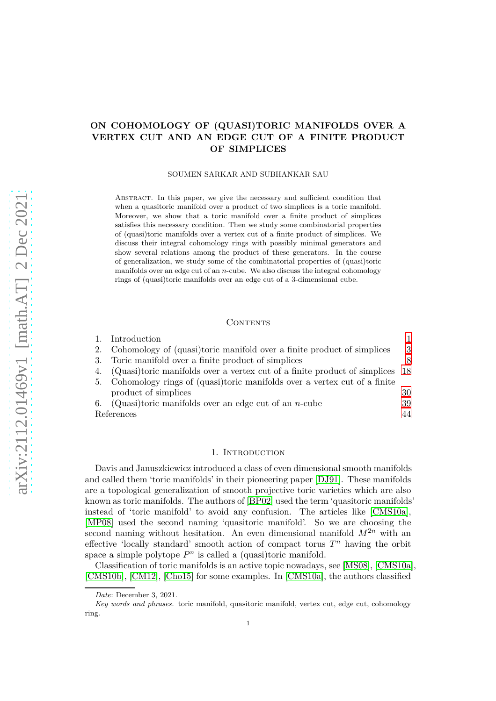# **ON COHOMOLOGY OF (QUASI)TORIC MANIFOLDS OVER A VERTEX CUT AND AN EDGE CUT OF A FINITE PRODUCT OF SIMPLICES**

### SOUMEN SARKAR AND SUBHANKAR SAU

Abstract. In this paper, we give the necessary and sufficient condition that when a quasitoric manifold over a product of two simplices is a toric manifold. Moreover, we show that a toric manifold over a finite product of simplices satisfies this necessary condition. Then we study some combinatorial properties of (quasi)toric manifolds over a vertex cut of a finite product of simplices. We discuss their integral cohomology rings with possibly minimal generators and show several relations among the product of these generators. In the course of generalization, we study some of the combinatorial properties of (quasi)toric manifolds over an edge cut of an *n*-cube. We also discuss the integral cohomology rings of (quasi)toric manifolds over an edge cut of a 3-dimensional cube.

### **CONTENTS**

|    | Introduction                                                                 |    |
|----|------------------------------------------------------------------------------|----|
|    | 2. Cohomology of (quasi)toric manifold over a finite product of simplices    | -3 |
| 3. | Toric manifold over a finite product of simplices                            | 8  |
| 4. | (Quasi)toric manifolds over a vertex cut of a finite product of simplices 18 |    |
|    | 5. Cohomology rings of (quasi)toric manifolds over a vertex cut of a finite  |    |
|    | product of simplices                                                         | 30 |
|    | 6. (Quasi)toric manifolds over an edge cut of an <i>n</i> -cube              | 39 |
|    | References                                                                   | 44 |

### 1. INTRODUCTION

<span id="page-0-0"></span>Davis and Januszkiewicz introduced a class of even dimensional smooth manifolds and called them 'toric manifolds' in their pioneering paper [\[DJ91\]](#page-43-1). These manifolds are a topological generalization of smooth projective toric varieties which are also known as toric manifolds. The authors of [\[BP02\]](#page-43-2) used the term 'quasitoric manifolds' instead of 'toric manifold' to avoid any confusion. The articles like [\[CMS10a\]](#page-43-3), [\[MP08\]](#page-43-4) used the second naming 'quasitoric manifold'. So we are choosing the second naming without hesitation. An even dimensional manifold  $M^{2n}$  with an effective 'locally standard' smooth action of compact torus *T <sup>n</sup>* having the orbit space a simple polytope  $P<sup>n</sup>$  is called a (quasi)toric manifold.

Classification of toric manifolds is an active topic nowadays, see [\[MS08\]](#page-43-5), [\[CMS10a\]](#page-43-3), [\[CMS10b\]](#page-43-6), [\[CM12\]](#page-43-7), [\[Cho15\]](#page-43-8) for some examples. In [\[CMS10a\]](#page-43-3), the authors classified

*Date*: December 3, 2021.

*Key words and phrases.* toric manifold, quasitoric manifold, vertex cut, edge cut, cohomology ring.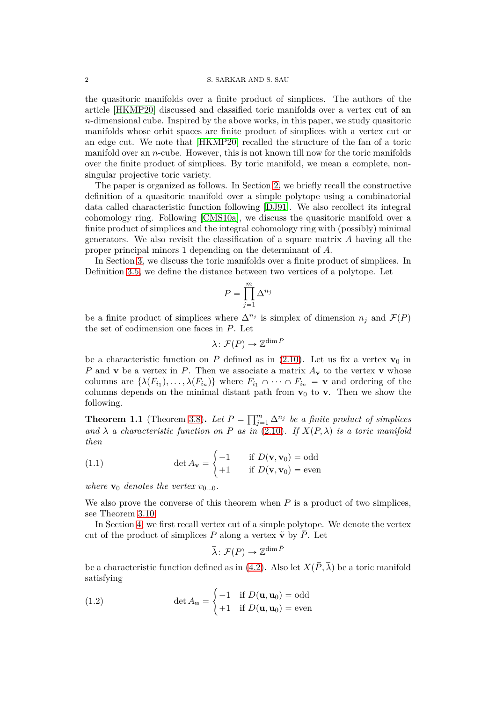the quasitoric manifolds over a finite product of simplices. The authors of the article [\[HKMP20\]](#page-43-9) discussed and classified toric manifolds over a vertex cut of an *n*-dimensional cube. Inspired by the above works, in this paper, we study quasitoric manifolds whose orbit spaces are finite product of simplices with a vertex cut or an edge cut. We note that [\[HKMP20\]](#page-43-9) recalled the structure of the fan of a toric manifold over an *n*-cube. However, this is not known till now for the toric manifolds over the finite product of simplices. By toric manifold, we mean a complete, nonsingular projective toric variety.

The paper is organized as follows. In Section [2,](#page-2-0) we briefly recall the constructive definition of a quasitoric manifold over a simple polytope using a combinatorial data called characteristic function following [\[DJ91\]](#page-43-1). We also recollect its integral cohomology ring. Following [\[CMS10a\]](#page-43-3), we discuss the quasitoric manifold over a finite product of simplices and the integral cohomology ring with (possibly) minimal generators. We also revisit the classification of a square matrix *A* having all the proper principal minors 1 depending on the determinant of *A*.

In Section [3,](#page-7-0) we discuss the toric manifolds over a finite product of simplices. In Definition [3.5,](#page-8-0) we define the distance between two vertices of a polytope. Let

$$
P = \prod_{j=1}^{m} \Delta^{n_j}
$$

be a finite product of simplices where  $\Delta^{n_j}$  is simplex of dimension  $n_j$  and  $\mathcal{F}(P)$ the set of codimension one faces in *P*. Let

$$
\lambda\colon \mathcal{F}(P)\to \mathbb{Z}^{\dim P}
$$

be a characteristic function on *P* defined as in [\(2.10\)](#page-4-0). Let us fix a vertex  $\mathbf{v}_0$  in *P* and **v** be a vertex in *P*. Then we associate a matrix  $A_v$  to the vertex **v** whose columns are  $\{\lambda(F_{i_1}), \ldots, \lambda(F_{i_n})\}$  where  $F_{i_1} \cap \cdots \cap F_{i_n} = \mathbf{v}$  and ordering of the columns depends on the minimal distant path from  $v_0$  to **v**. Then we show the following.

**Theorem 1.1** (Theorem [3.8\)](#page-10-0). Let  $P = \prod_{j=1}^{m} \Delta^{n_j}$  be a finite product of simplices and  $\lambda$  *a characteristic function on P as in* [\(2.10\)](#page-4-0)*.* If  $X(P, \lambda)$  *is a toric manifold then*

(1.1) 
$$
\det A_{\mathbf{v}} = \begin{cases} -1 & \text{if } D(\mathbf{v}, \mathbf{v}_0) = \text{odd} \\ +1 & \text{if } D(\mathbf{v}, \mathbf{v}_0) = \text{even} \end{cases}
$$

*where*  $\mathbf{v}_0$  *denotes the vertex*  $v_{0...0}$ *.* 

We also prove the converse of this theorem when *P* is a product of two simplices, see Theorem [3.10.](#page-12-0)

In Section [4,](#page-17-0) we first recall vertex cut of a simple polytope. We denote the vertex cut of the product of simplices *P* along a vertex  $\tilde{\mathbf{v}}$  by  $\overline{P}$ . Let

$$
\bar{\lambda} \colon \mathcal{F}(\bar{P}) \to \mathbb{Z}^{\dim \bar{P}}
$$

be a characteristic function defined as in [\(4.2\)](#page-18-0). Also let  $X(\overline{P}, \overline{\lambda})$  be a toric manifold satisfying

<span id="page-1-0"></span>(1.2) 
$$
\det A_{\mathbf{u}} = \begin{cases} -1 & \text{if } D(\mathbf{u}, \mathbf{u}_0) = \text{odd} \\ +1 & \text{if } D(\mathbf{u}, \mathbf{u}_0) = \text{even} \end{cases}
$$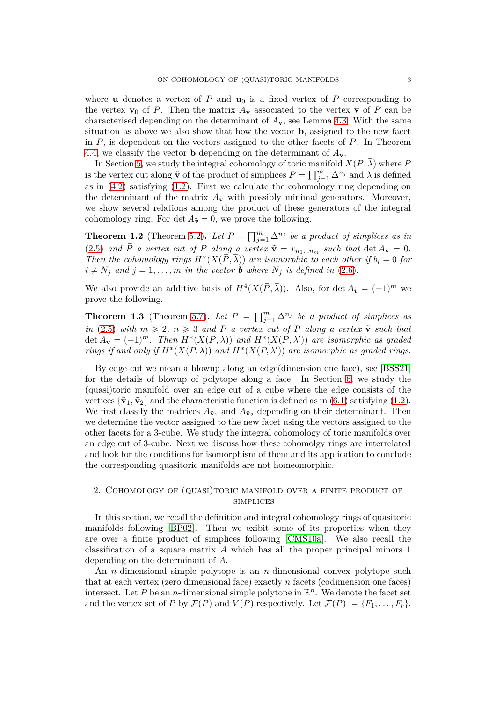where **u** denotes a vertex of  $\overline{P}$  and **u**<sub>0</sub> is a fixed vertex of  $\overline{P}$  corresponding to the vertex **v**<sub>0</sub> of *P*. Then the matrix  $A_{\tilde{v}}$  associated to the vertex  $\tilde{v}$  of *P* can be characterised depending on the determinant of  $A_{\tilde{v}}$ , see Lemma [4.3.](#page-20-0) With the same situation as above we also show that how the vector **b**, assigned to the new facet in  $P$ , is dependent on the vectors assigned to the other facets of  $P$ . In Theorem [4.4,](#page-22-0) we classify the vector **b** depending on the determinant of  $A_{\tilde{v}}$ .

In Section [5,](#page-29-0) we study the integral cohomology of toric manifold  $X(\overline{P}, \overline{\lambda})$  where  $\overline{P}$ is the vertex cut along  $\tilde{\mathbf{v}}$  of the product of simplices  $P = \prod_{j=1}^{m} \Delta^{n_j}$  and  $\overline{\lambda}$  is defined as in [\(4.2\)](#page-18-0) satisfying [\(1.2\)](#page-1-0). First we calculate the cohomology ring depending on the determinant of the matrix  $A_{\tilde{v}}$  with possibly minimal generators. Moreover, we show several relations among the product of these generators of the integral cohomology ring. For  $\det A_{\tilde{\mathbf{v}}} = 0$ , we prove the following.

**Theorem 1.2** (Theorem [5.2\)](#page-34-0). Let  $P = \prod_{j=1}^{m} \Delta^{n_j}$  be a product of simplices as in [\(2.5\)](#page-3-0) and  $\overline{P}$  a vertex cut of P along a vertex  $\tilde{\mathbf{v}} = v_{n_1...n_m}$  such that  $\det A_{\tilde{\mathbf{v}}} = 0$ . *Then the cohomology rings*  $H^*(X(\overline{P}, \overline{\lambda}))$  are isomorphic to each other if  $b_i = 0$  for  $i \neq N_i$  and  $j = 1, \ldots, m$  *in the vector b* where  $N_i$  *is defined in* [\(2.6\)](#page-4-1)*.* 

We also provide an additive basis of  $H^4(X(\overline{P},\overline{\lambda}))$ . Also, for det  $A_{\tilde{v}} = (-1)^m$  we prove the following.

**Theorem 1.3** (Theorem [5.7\)](#page-37-0). Let  $P = \prod_{j=1}^{m} \Delta^{n_j}$  be a product of simplices as *in* [\(2.5\)](#page-3-0) *with*  $m \ge 2$ ,  $n \ge 3$  *and*  $\overline{P}$  *a vertex cut of P along a vertex*  $\tilde{v}$  *such that*  $\det A_{\tilde{\mathbf{v}}}=(-1)^{m}$ . Then  $H^{*}(X(\overline{P},\overline{\lambda}))$  and  $H^{*}(X(\overline{P},\overline{\lambda}'))$  are isomorphic as graded *rings if and only if*  $H^*(X(P, \lambda))$  *and*  $H^*(X(P, \lambda'))$  *are isomorphic as graded rings.* 

By edge cut we mean a blowup along an edge(dimension one face), see [\[BSS21\]](#page-43-10) for the details of blowup of polytope along a face. In Section [6,](#page-38-0) we study the (quasi)toric manifold over an edge cut of a cube where the edge consists of the vertices  $\{\tilde{\mathbf{v}}_1, \tilde{\mathbf{v}}_2\}$  and the characteristic function is defined as in [\(6.1\)](#page-38-1) satisfying [\(1.2\)](#page-1-0). We first classify the matrices  $A_{\tilde{\mathbf{v}}_1}$  and  $A_{\tilde{\mathbf{v}}_2}$  depending on their determinant. Then we determine the vector assigned to the new facet using the vectors assigned to the other facets for a 3-cube. We study the integral cohomology of toric manifolds over an edge cut of 3-cube. Next we discuss how these cohomolgy rings are interrelated and look for the conditions for isomorphism of them and its application to conclude the corresponding quasitoric manifolds are not homeomorphic.

## <span id="page-2-0"></span>2. Cohomology of (quasi)toric manifold over a finite product of **SIMPLICES**

In this section, we recall the definition and integral cohomology rings of quasitoric manifolds following [\[BP02\]](#page-43-2). Then we exibit some of its properties when they are over a finite product of simplices following [\[CMS10a\]](#page-43-3). We also recall the classification of a square matrix *A* which has all the proper principal minors 1 depending on the determinant of *A*.

An *n*-dimensional simple polytope is an *n*-dimensional convex polytope such that at each vertex (zero dimensional face) exactly *n* facets (codimension one faces) intersect. Let  $P$  be an  $n$ -dimensional simple polytope in  $\mathbb{R}^n$ . We denote the facet set and the vertex set of *P* by  $\mathcal{F}(P)$  and  $V(P)$  respectively. Let  $\mathcal{F}(P) := \{F_1, \ldots, F_r\}.$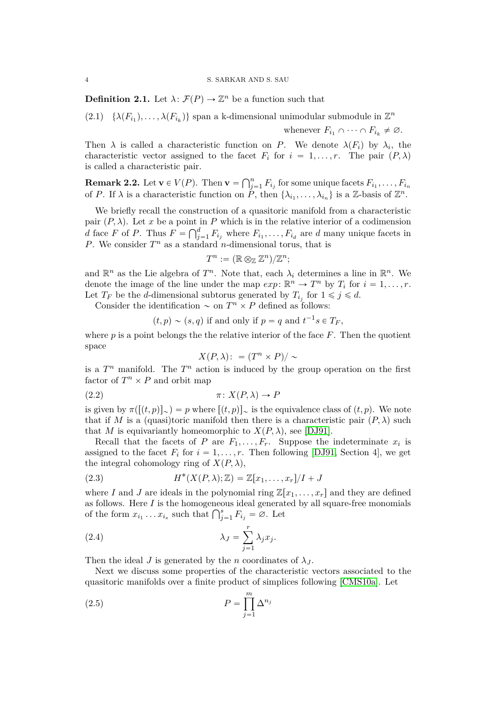#### 4 S. SARKAR AND S. SAU

**Definition 2.1.** Let  $\lambda$ :  $\mathcal{F}(P) \to \mathbb{Z}^n$  be a function such that

<span id="page-3-1"></span> $(2.1) \quad \{\lambda(F_{i_1}), \ldots, \lambda(F_{i_k})\}$  span a k-dimensional unimodular submodule in  $\mathbb{Z}^n$ whenever  $F_{i_1} \cap \cdots \cap F_{i_k} \neq \emptyset$ .

Then  $\lambda$  is called a characteristic function on *P*. We denote  $\lambda(F_i)$  by  $\lambda_i$ , the characteristic vector assigned to the facet  $F_i$  for  $i = 1, ..., r$ . The pair  $(P, \lambda)$ is called a characteristic pair.

**Remark 2.2.** Let  $\mathbf{v} \in V(P)$ . Then  $\mathbf{v} = \bigcap_{j=1}^{n} F_{i_j}$  for some unique facets  $F_{i_1}, \ldots, F_{i_n}$ of *P*. If  $\lambda$  is a characteristic function on  $\tilde{P}$ , then  $\{\lambda_{i_1}, \ldots, \lambda_{i_n}\}$  is a Z-basis of  $\mathbb{Z}^n$ .

We briefly recall the construction of a quasitoric manifold from a characteristic pair  $(P, \lambda)$ . Let *x* be a point in *P* which is in the relative interior of a codimension *d* face *F* of *P*. Thus  $F = \bigcap_{j=1}^{d} F_{i_j}$  where  $F_{i_1}, \ldots, F_{i_d}$  are *d* many unique facets in *P*. We consider  $T^n$  as a standard *n*-dimensional torus, that is

$$
T^n:=(\mathbb{R}\otimes_{\mathbb{Z}}\mathbb{Z}^n)/\mathbb{Z}^n;
$$

and  $\mathbb{R}^n$  as the Lie algebra of  $T^n$ . Note that, each  $\lambda_i$  determines a line in  $\mathbb{R}^n$ . We denote the image of the line under the map  $exp: \mathbb{R}^n \to T^n$  by  $T_i$  for  $i = 1, \ldots, r$ . Let  $T_F$  be the *d*-dimensional subtorus generated by  $T_{i_j}$  for  $1 \leq j \leq d$ .

Consider the identification  $\sim$  on  $T^n \times P$  defined as follows:

$$
(t, p) \sim (s, q)
$$
 if and only if  $p = q$  and  $t^{-1}s \in T_F$ ,

where  $p$  is a point belongs the the relative interior of the face  $F$ . Then the quotient space

<span id="page-3-3"></span>
$$
X(P,\lambda)\colon = (T^n\times P)/\sim
$$

is a  $T^n$  manifold. The  $T^n$  action is induced by the group operation on the first factor of  $T^n \times P$  and orbit map

$$
(2.2) \t\t \pi \colon X(P,\lambda) \to P
$$

is given by  $\pi([t,p)]_{\sim}$   $=$  p where  $[(t,p)]_{\sim}$  is the equivalence class of  $(t,p)$ . We note that if *M* is a (quasi)toric manifold then there is a characteristic pair  $(P, \lambda)$  such that *M* is equivariantly homeomorphic to  $X(P, \lambda)$ , see [\[DJ91\]](#page-43-1).

Recall that the facets of *P* are  $F_1, \ldots, F_r$ . Suppose the indeterminate  $x_i$  is assigned to the facet  $F_i$  for  $i = 1, \ldots, r$ . Then following [\[DJ91,](#page-43-1) Section 4], we get the integral cohomology ring of  $X(P, \lambda)$ ,

<span id="page-3-2"></span>(2.3) 
$$
H^*(X(P,\lambda);\mathbb{Z}) = \mathbb{Z}[x_1,\ldots,x_r]/I + J
$$

where *I* and *J* are ideals in the polynomial ring  $\mathbb{Z}[x_1, \ldots, x_r]$  and they are defined as follows. Here *I* is the homogeneous ideal generated by all square-free monomials of the form  $x_{i_1} \ldots x_{i_s}$  such that  $\bigcap_{j=1}^s F_{i_j} = \emptyset$ . Let

(2.4) 
$$
\lambda_J = \sum_{j=1}^r \lambda_j x_j.
$$

Then the ideal *J* is generated by the *n* coordinates of  $\lambda_J$ .

Next we discuss some properties of the characteristic vectors associated to the quasitoric manifolds over a finite product of simplices following [\[CMS10a\]](#page-43-3). Let

<span id="page-3-0"></span>
$$
(2.5) \t\t P = \prod_{j=1}^{m} \Delta^{n_j}
$$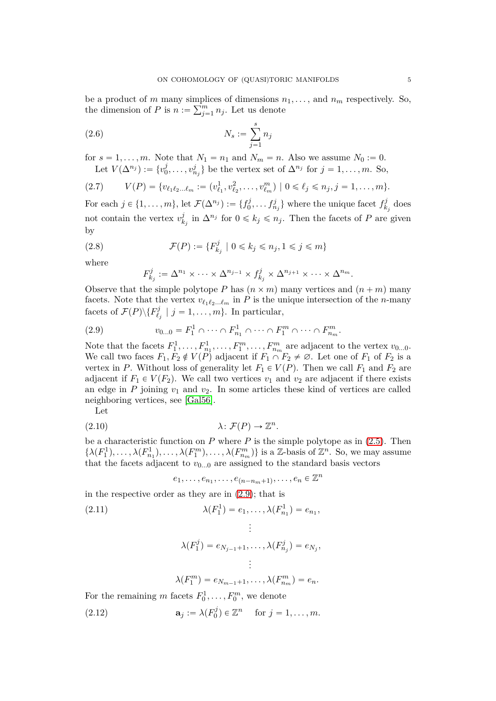be a product of *m* many simplices of dimensions  $n_1, \ldots$ , and  $n_m$  respectively. So, the dimension of *P* is  $n := \sum_{j=1}^{m} n_j$ . Let us denote

<span id="page-4-1"></span>(2.6) 
$$
N_s := \sum_{j=1}^s n_j
$$

for  $s = 1, \ldots, m$ . Note that  $N_1 = n_1$  and  $N_m = n$ . Also we assume  $N_0 := 0$ . Let  $V(\Delta^{n_j}) := \{v_0^j\}$  $\{0, \ldots, v_{n_j}^j\}$  be the vertex set of  $\Delta^{n_j}$  for  $j = 1, \ldots, m$ . So,

<span id="page-4-5"></span>
$$
(2.7) \tV(P) = \{v_{\ell_1\ell_2\ldots\ell_m} := (v_{\ell_1}^1, v_{\ell_2}^2, \ldots, v_{\ell_m}^m) \mid 0 \leq \ell_j \leq n_j, j = 1, \ldots, m\}.
$$

For each  $j \in \{1, ..., m\}$ , let  $\mathcal{F}(\Delta^{n_j}) := \{f_0^j\}$  $\{b_0^j, \ldots, f_{n_j}^j\}$  where the unique facet  $f_k^j$  $\dot{k}_j$  does not contain the vertex  $v_k^j$  $\sum_{k_j}^{j}$  in  $\Delta^{n_j}$  for  $0 \leq k_j \leq n_j$ . Then the facets of *P* are given by

(2.8) 
$$
\mathcal{F}(P) := \{ F_{k_j}^j \mid 0 \leq k_j \leq n_j, 1 \leq j \leq m \}
$$

where

<span id="page-4-6"></span><span id="page-4-2"></span>
$$
F_{k_j}^j := \Delta^{n_1} \times \cdots \times \Delta^{n_{j-1}} \times f_{k_j}^j \times \Delta^{n_{j+1}} \times \cdots \times \Delta^{n_m}.
$$

Observe that the simple polytope *P* has  $(n \times m)$  many vertices and  $(n + m)$  many facets. Note that the vertex  $v_{\ell_1 \ell_2 \ldots \ell_m}$  in *P* is the unique intersection of the *n*-many facets of  $\mathcal{F}(P)\backslash \{F_{\ell}^j\}$  $\mathcal{V}_{\ell_j}^j \mid j = 1, \ldots, m$ . In particular,

(2.9) 
$$
v_{0...0} = F_1^1 \cap \cdots \cap F_{n_1}^1 \cap \cdots \cap F_1^m \cap \cdots \cap F_{n_m}^m.
$$

Note that the facets  $F_1^1, \ldots, F_{n_1}^1, \ldots, F_1^m, \ldots, F_{n_m}^m$  are adjacent to the vertex  $v_{0...0}$ . We call two faces  $F_1, F_2 \notin V(P)$  adjacent if  $F_1 \cap F_2 \neq \emptyset$ . Let one of  $F_1$  of  $F_2$  is a vertex in *P*. Without loss of generality let  $F_1 \in V(P)$ . Then we call  $F_1$  and  $F_2$  are adjacent if  $F_1 \in V(F_2)$ . We call two vertices  $v_1$  and  $v_2$  are adjacent if there exists an edge in  $P$  joining  $v_1$  and  $v_2$ . In some articles these kind of vertices are called neighboring vertices, see [\[Gal56\]](#page-43-11).

Let

$$
(2.10) \t\t \lambda: \mathcal{F}(P) \to \mathbb{Z}^n.
$$

be a characteristic function on *P* where *P* is the simple polytope as in [\(2.5\)](#page-3-0). Then  $\{\lambda(F_1^1), \ldots, \lambda(F_{n_1}^1), \ldots, \lambda(F_1^m), \ldots, \lambda(F_{n_m}^m)\}\$ is a Z-basis of  $\mathbb{Z}^n$ . So, we may assume that the facets adjacent to  $v_{0...0}$  are assigned to the standard basis vectors

<span id="page-4-0"></span>
$$
e_1, \ldots, e_{n_1}, \ldots, e_{(n-n_m+1)}, \ldots, e_n \in \mathbb{Z}^n
$$

in the respective order as they are in [\(2.9\)](#page-4-2); that is

<span id="page-4-3"></span>(2.11) 
$$
\lambda(F_1^1) = e_1, ..., \lambda(F_{n_1}^1) = e_{n_1},
$$

$$
\vdots
$$

$$
\lambda(F_1^j) = e_{N_{j-1}+1}, ..., \lambda(F_{n_j}^j) = e_{N_j},
$$

$$
\vdots
$$

$$
\lambda(F_1^m) = e_{N_{m-1}+1}, ..., \lambda(F_{n_m}^m) = e_n.
$$

For the remaining *m* facets  $F_0^1, \ldots, F_0^m$ , we denote

<span id="page-4-4"></span>(2.12) 
$$
\mathbf{a}_j := \lambda(F_0^j) \in \mathbb{Z}^n \quad \text{for } j = 1, \dots, m.
$$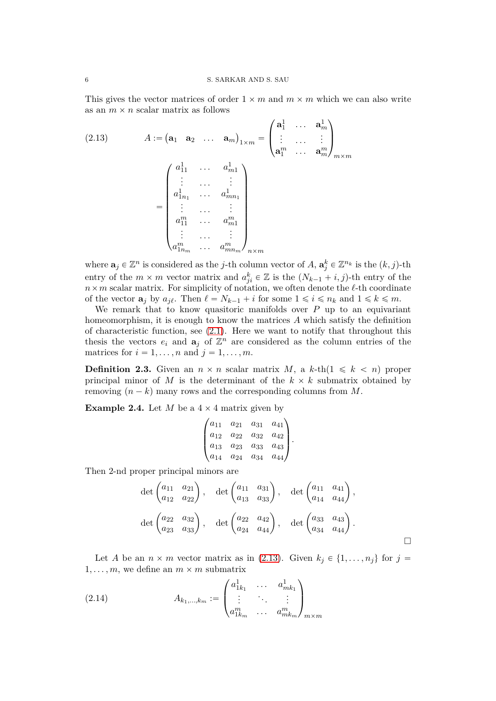This gives the vector matrices of order  $1 \times m$  and  $m \times m$  which we can also write as an  $m \times n$  scalar matrix as follows

<span id="page-5-0"></span>
$$
(2.13) \qquad A := \left(\mathbf{a}_1 \quad \mathbf{a}_2 \quad \dots \quad \mathbf{a}_m\right)_{1 \times m} = \begin{pmatrix} \mathbf{a}_1^1 & \dots & \mathbf{a}_m^1 \\ \vdots & \dots & \vdots \\ \mathbf{a}_1^m & \dots & \mathbf{a}_m^m \end{pmatrix}_{m \times m}
$$
\n
$$
= \begin{pmatrix} a_{11}^1 & \dots & a_{m1}^1 \\ \vdots & \dots & \vdots \\ a_{1n_1}^1 & \dots & a_{mn_1}^1 \\ \vdots & \dots & \vdots \\ a_{1n_m}^m & \dots & a_{mn_m}^m \end{pmatrix}_{n \times m}
$$

where  $\mathbf{a}_j \in \mathbb{Z}^n$  is considered as the *j*-th column vector of *A*,  $\mathbf{a}_j^k \in \mathbb{Z}^{n_k}$  is the  $(k, j)$ -th entry of the  $m \times m$  vector matrix and  $a_{ji}^k \in \mathbb{Z}$  is the  $(N_{k-1} + i, j)$ -th entry of the  $n \times m$  scalar matrix. For simplicity of notation, we often denote the  $\ell$ -th coordinate of the vector  $\mathbf{a}_j$  by  $a_{j\ell}$ . Then  $\ell = N_{k-1} + i$  for some  $1 \leq i \leq n_k$  and  $1 \leq k \leq m$ .

We remark that to know quasitoric manifolds over *P* up to an equivariant homeomorphism, it is enough to know the matrices *A* which satisfy the definition of characteristic function, see  $(2.1)$ . Here we want to notify that throughout this thesis the vectors  $e_i$  and  $\mathbf{a}_j$  of  $\mathbb{Z}^n$  are considered as the column entries of the matrices for  $i = 1, \ldots, n$  and  $j = 1, \ldots, m$ .

**Definition 2.3.** Given an  $n \times n$  scalar matrix *M*, a *k*-th(1  $\leq k \leq n$ ) proper principal minor of *M* is the determinant of the  $k \times k$  submatrix obtained by removing  $(n - k)$  many rows and the corresponding columns from *M*.

**Example 2.4.** Let *M* be a  $4 \times 4$  matrix given by

$$
\begin{pmatrix} a_{11} & a_{21} & a_{31} & a_{41} \ a_{12} & a_{22} & a_{32} & a_{42} \ a_{13} & a_{23} & a_{33} & a_{43} \ a_{14} & a_{24} & a_{34} & a_{44} \end{pmatrix}.
$$

Then 2-nd proper principal minors are

$$
\det\begin{pmatrix} a_{11} & a_{21} \\ a_{12} & a_{22} \end{pmatrix}, \quad \det\begin{pmatrix} a_{11} & a_{31} \\ a_{13} & a_{33} \end{pmatrix}, \quad \det\begin{pmatrix} a_{11} & a_{41} \\ a_{14} & a_{44} \end{pmatrix},
$$

$$
\det\begin{pmatrix} a_{22} & a_{32} \\ a_{23} & a_{33} \end{pmatrix}, \quad \det\begin{pmatrix} a_{22} & a_{42} \\ a_{24} & a_{44} \end{pmatrix}, \quad \det\begin{pmatrix} a_{33} & a_{43} \\ a_{34} & a_{44} \end{pmatrix}.
$$

Let *A* be an  $n \times m$  vector matrix as in [\(2.13\)](#page-5-0). Given  $k_j \in \{1, \ldots, n_j\}$  for  $j =$ 1, ..., m, we define an  $m \times m$  submatrix

<span id="page-5-1"></span>(2.14) 
$$
A_{k_1,...,k_m} := \begin{pmatrix} a_{1k_1}^1 & \cdots & a_{mk_1}^1 \\ \vdots & \ddots & \vdots \\ a_{1k_m}^m & \cdots & a_{mk_m}^m \end{pmatrix}_{m \times m}
$$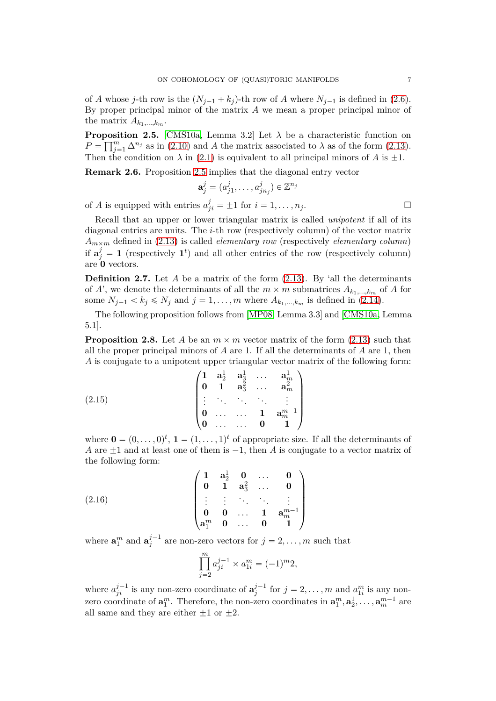of *A* whose *j*-th row is the  $(N_{j-1} + k_j)$ -th row of *A* where  $N_{j-1}$  is defined in [\(2.6\)](#page-4-1). By proper principal minor of the matrix *A* we mean a proper principal minor of the matrix  $A_{k_1,\ldots,k_m}$ .

<span id="page-6-0"></span>**Proposition 2.5.** [\[CMS10a,](#page-43-3) Lemma 3.2] Let  $\lambda$  be a characteristic function on  $P = \prod_{j=1}^{m} \Delta^{n_j}$  as in [\(2.10\)](#page-4-0) and *A* the matrix associated to  $\lambda$  as of the form [\(2.13\)](#page-5-0). Then the condition on  $\lambda$  in [\(2.1\)](#page-3-1) is equivalent to all principal minors of *A* is  $\pm 1$ .

**Remark 2.6.** Proposition [2.5](#page-6-0) implies that the diagonal entry vector

$$
\mathbf{a}^j_j=(a^j_{j1},\ldots,a^j_{jn_j})\in\mathbb{Z}^{n_j}
$$

of *A* is equipped with entries  $a_{ji}^j = \pm 1$  for  $i = 1, ..., n_j$ .

Recall that an upper or lower triangular matrix is called *unipotent* if all of its diagonal entries are units. The *i*-th row (respectively column) of the vector matrix  $A_{m \times m}$  defined in [\(2.13\)](#page-5-0) is called *elementary row* (respectively *elementary column*) if  $\mathbf{a}_{j}^{j} = 1$  (respectively  $\mathbf{1}^{t}$ ) and all other entries of the row (respectively column) are **0** vectors.

<span id="page-6-2"></span>**Definition 2.7.** Let *A* be a matrix of the form [\(2.13\)](#page-5-0). By 'all the determinants of *A*', we denote the determinants of all the  $m \times m$  submatrices  $A_{k_1,\dots,k_m}$  of *A* for some  $N_{j-1} < k_j \le N_j$  and  $j = 1, \ldots, m$  where  $A_{k_1,\ldots,k_m}$  is defined in [\(2.14\)](#page-5-1).

The following proposition follows from [\[MP08,](#page-43-4) Lemma 3.3] and [\[CMS10a,](#page-43-3) Lemma 5.1].

<span id="page-6-1"></span>**Proposition 2.8.** Let *A* be an  $m \times m$  vector matrix of the form [\(2.13\)](#page-5-0) such that all the proper principal minors of *A* are 1. If all the determinants of *A* are 1, then *A* is conjugate to a unipotent upper triangular vector matrix of the following form:

<span id="page-6-3"></span>(2.15) 
$$
\begin{pmatrix} 1 & a_2^1 & a_3^1 & \dots & a_m^1 \\ 0 & 1 & a_3^2 & \dots & a_m^2 \\ \vdots & \vdots & \ddots & \vdots & \vdots \\ 0 & \dots & \dots & 1 & a_m^{m-1} \\ 0 & \dots & \dots & 0 & 1 \end{pmatrix}
$$

where  $\mathbf{0} = (0, \ldots, 0)^t$ ,  $\mathbf{1} = (1, \ldots, 1)^t$  of appropriate size. If all the determinants of *A* are  $\pm 1$  and at least one of them is  $-1$ , then *A* is conjugate to a vector matrix of the following form:

(2.16) 
$$
\begin{pmatrix}\n1 & a_2^1 & 0 & \dots & 0 \\
0 & 1 & a_3^2 & \dots & 0 \\
\vdots & \vdots & \ddots & \ddots & \vdots \\
0 & 0 & \dots & 1 & a_m^{m-1} \\
a_1^m & 0 & \dots & 0 & 1\n\end{pmatrix}
$$

where  $\mathbf{a}_1^m$  and  $\mathbf{a}_j^{j-1}$  $j^{j-1}$  are non-zero vectors for  $j = 2, ..., m$  such that

<span id="page-6-4"></span>
$$
\prod_{j=2}^{m} a_{ji}^{j-1} \times a_{1i}^{m} = (-1)^{m} 2,
$$

where  $a_{ji}^{j-1}$  is any non-zero coordinate of  $a_j^{j-1}$  $j^{j-1}$  for  $j = 2, \ldots, m$  and  $a_{1i}^m$  is any nonzero coordinate of  $\mathbf{a}_1^m$ . Therefore, the non-zero coordinates in  $\mathbf{a}_1^m, \mathbf{a}_2^1, \ldots, \mathbf{a}_m^{m-1}$  are all same and they are either  $\pm 1$  or  $\pm 2$ .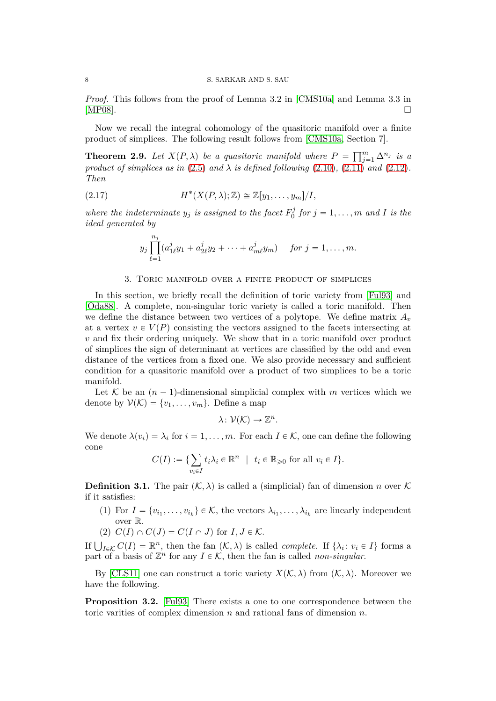#### 8 S. SARKAR AND S. SAU

*Proof.* This follows from the proof of Lemma 3.2 in [\[CMS10a\]](#page-43-3) and Lemma 3.3 in [\[MP08\]](#page-43-4).  $\square$ 

Now we recall the integral cohomology of the quasitoric manifold over a finite product of simplices. The following result follows from [\[CMS10a,](#page-43-3) Section 7].

**Theorem 2.9.** Let  $X(P, \lambda)$  be a quasitoric manifold where  $P = \prod_{j=1}^{m} \Delta^{n_j}$  is a *product of simplices as in* [\(2.5\)](#page-3-0) *and*  $\lambda$  *is defined following* [\(2.10\)](#page-4-0)*,* [\(2.11\)](#page-4-3) *and* [\(2.12\)](#page-4-4)*. Then*

(2.17) 
$$
H^*(X(P,\lambda);\mathbb{Z}) \cong \mathbb{Z}[y_1,\ldots,y_m]/I,
$$

*where the indeterminate*  $y_j$  *is assigned to the facet*  $F_0^j$  $\int_0^j$  for  $j = 1, \ldots, m$  and *I* is the *ideal generated by*

$$
y_j \prod_{\ell=1}^{n_j} (a_{1\ell}^j y_1 + a_{2\ell}^j y_2 + \cdots + a_{m\ell}^j y_m)
$$
 for  $j = 1, ..., m$ .

#### 3. Toric manifold over a finite product of simplices

<span id="page-7-0"></span>In this section, we briefly recall the definition of toric variety from [\[Ful93\]](#page-43-12) and [\[Oda88\]](#page-43-13). A complete, non-singular toric variety is called a toric manifold. Then we define the distance between two vertices of a polytope. We define matrix  $A_v$ at a vertex  $v \in V(P)$  consisting the vectors assigned to the facets intersecting at *v* and fix their ordering uniquely. We show that in a toric manifold over product of simplices the sign of determinant at vertices are classified by the odd and even distance of the vertices from a fixed one. We also provide necessary and sufficient condition for a quasitoric manifold over a product of two simplices to be a toric manifold.

Let K be an  $(n-1)$ -dimensional simplicial complex with *m* vertices which we denote by  $V(\mathcal{K}) = \{v_1, \ldots, v_m\}$ . Define a map

$$
\lambda\colon \mathcal{V}(\mathcal{K})\to \mathbb{Z}^n.
$$

We denote  $\lambda(v_i) = \lambda_i$  for  $i = 1, ..., m$ . For each  $I \in \mathcal{K}$ , one can define the following cone

$$
C(I) := \{ \sum_{v_i \in I} t_i \lambda_i \in \mathbb{R}^n \mid t_i \in \mathbb{R}_{\geq 0} \text{ for all } v_i \in I \}.
$$

**Definition 3.1.** The pair  $(K, \lambda)$  is called a (simplicial) fan of dimension *n* over K if it satisfies:

- (1) For  $I = \{v_{i_1}, \ldots, v_{i_k}\} \in \mathcal{K}$ , the vectors  $\lambda_{i_1}, \ldots, \lambda_{i_k}$  are linearly independent over R.
- (2)  $C(I) \cap C(J) = C(I \cap J)$  for  $I, J \in \mathcal{K}$ .

If  $\bigcup_{I \in \mathcal{K}} C(I) = \mathbb{R}^n$ , then the fan  $(\mathcal{K}, \lambda)$  is called *complete*. If  $\{\lambda_i : v_i \in I\}$  forms a part of a basis of  $\mathbb{Z}^n$  for any  $I \in \mathcal{K}$ , then the fan is called *non-singular*.

By [\[CLS11\]](#page-43-14) one can construct a toric variety  $X(K, \lambda)$  from  $(K, \lambda)$ . Moreover we have the following.

**Proposition 3.2.** [\[Ful93\]](#page-43-12) There exists a one to one correspondence between the toric varities of complex dimension *n* and rational fans of dimension *n*.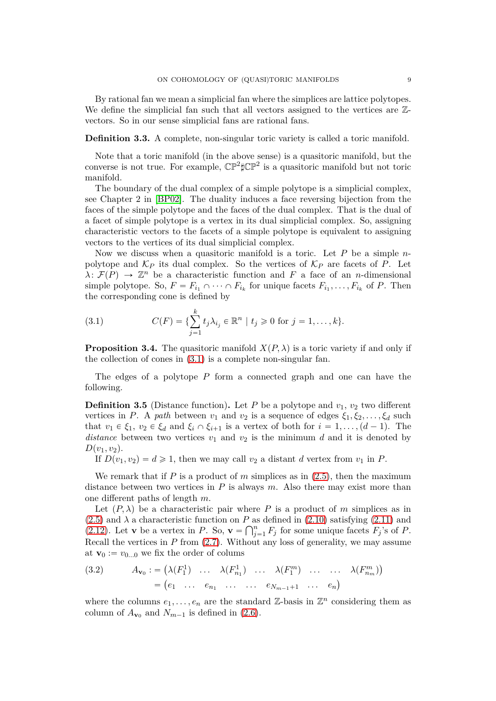By rational fan we mean a simplicial fan where the simplices are lattice polytopes. We define the simplicial fan such that all vectors assigned to the vertices are  $\mathbb{Z}$ vectors. So in our sense simplicial fans are rational fans.

<span id="page-8-4"></span>**Definition 3.3.** A complete, non-singular toric variety is called a toric manifold.

Note that a toric manifold (in the above sense) is a quasitoric manifold, but the converse is not true. For example,  $\mathbb{CP}^2 \sharp \mathbb{CP}^2$  is a quasitoric manifold but not toric manifold.

The boundary of the dual complex of a simple polytope is a simplicial complex, see Chapter 2 in [\[BP02\]](#page-43-2). The duality induces a face reversing bijection from the faces of the simple polytope and the faces of the dual complex. That is the dual of a facet of simple polytope is a vertex in its dual simplicial complex. So, assigning characteristic vectors to the facets of a simple polytope is equivalent to assigning vectors to the vertices of its dual simplicial complex.

Now we discuss when a quasitoric manifold is a toric. Let *P* be a simple *n*polytope and  $K_P$  its dual complex. So the vertices of  $K_P$  are facets of P. Let  $\lambda: \mathcal{F}(P) \to \mathbb{Z}^n$  be a characteristic function and *F* a face of an *n*-dimensional simple polytope. So,  $F = F_{i_1} \cap \cdots \cap F_{i_k}$  for unique facets  $F_{i_1}, \ldots, F_{i_k}$  of P. Then the corresponding cone is defined by

<span id="page-8-1"></span>(3.1) 
$$
C(F) = \{ \sum_{j=1}^{k} t_j \lambda_{i_j} \in \mathbb{R}^n \mid t_j \geq 0 \text{ for } j = 1, ..., k \}.
$$

<span id="page-8-3"></span>**Proposition 3.4.** The quasitoric manifold  $X(P, \lambda)$  is a toric variety if and only if the collection of cones in [\(3.1\)](#page-8-1) is a complete non-singular fan.

The edges of a polytope *P* form a connected graph and one can have the following.

<span id="page-8-0"></span>**Definition 3.5** (Distance function). Let *P* be a polytope and  $v_1$ ,  $v_2$  two different vertices in *P*. A *path* between  $v_1$  and  $v_2$  is a sequence of edges  $\xi_1, \xi_2, \ldots, \xi_d$  such that  $v_1 \in \xi_1$ ,  $v_2 \in \xi_d$  and  $\xi_i \cap \xi_{i+1}$  is a vertex of both for  $i = 1, \ldots, (d-1)$ . The *distance* between two vertices  $v_1$  and  $v_2$  is the minimum *d* and it is denoted by  $D(v_1, v_2)$ .

If  $D(v_1, v_2) = d \ge 1$ , then we may call  $v_2$  a distant *d* vertex from  $v_1$  in *P*.

We remark that if *P* is a product of *m* simplices as in [\(2.5\)](#page-3-0), then the maximum distance between two vertices in *P* is always *m*. Also there may exist more than one different paths of length *m*.

Let  $(P, \lambda)$  be a characteristic pair where P is a product of m simplices as in  $(2.5)$  and  $\lambda$  a characteristic function on *P* as defined in  $(2.10)$  satisfying  $(2.11)$  and [\(2.12\)](#page-4-4). Let **v** be a vertex in *P*. So,  $\mathbf{v} = \bigcap_{j=1}^{n} F_j$  for some unique facets  $F_j$ 's of *P*. Recall the vertices in *P* from [\(2.7\)](#page-4-5). Without any loss of generality, we may assume at  $\mathbf{v}_0 := v_{0...0}$  we fix the order of colums

<span id="page-8-2"></span>(3.2) 
$$
A_{\mathbf{v}_0} := (\lambda(F_1^1) \quad \dots \quad \lambda(F_{n_1}^1) \quad \dots \quad \lambda(F_1^m) \quad \dots \quad \dots \quad \lambda(F_{n_m}^m))
$$

$$
= (e_1 \quad \dots \quad e_{n_1} \quad \dots \quad \dots \quad e_{N_{m-1}+1} \quad \dots \quad e_n)
$$

where the columns  $e_1, \ldots, e_n$  are the standard  $\mathbb{Z}$ -basis in  $\mathbb{Z}^n$  considering them as column of  $A_{\mathbf{v}_0}$  and  $N_{m-1}$  is defined in [\(2.6\)](#page-4-1).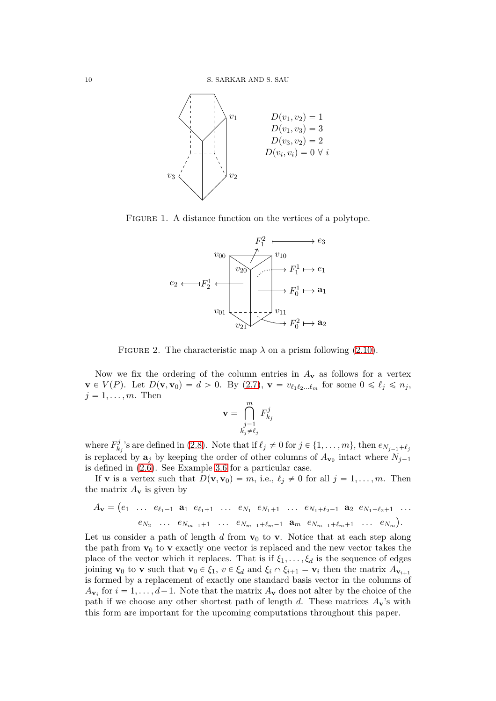

FIGURE 1. A distance function on the vertices of a polytope.



<span id="page-9-0"></span>FIGURE 2. The characteristic map  $\lambda$  on a prism following [\(2.10\)](#page-4-0).

Now we fix the ordering of the column entries in  $A_{\mathbf{v}}$  as follows for a vertex  $\mathbf{v} \in V(P)$ . Let  $D(\mathbf{v}, \mathbf{v}_0) = d > 0$ . By [\(2.7\)](#page-4-5),  $\mathbf{v} = v_{\ell_1 \ell_2 ... \ell_m}$  for some  $0 \le \ell_j \le n_j$ ,  $j = 1, \ldots, m$ . Then

$$
\mathbf{v} = \bigcap_{\substack{j=1\\k_j\neq\ell_j}}^m F_{k_j}^j
$$

where  $F_k^j$  $\binom{J}{k_j}$ 's are defined in [\(2.8\)](#page-4-6). Note that if  $\ell_j \neq 0$  for  $j \in \{1, \ldots, m\}$ , then  $e_{N_{j-1} + \ell_j}$ is replaced by  $\mathbf{a}_j$  by keeping the order of other columns of  $A_{\mathbf{v}_0}$  intact where  $N_{j-1}$ is defined in [\(2.6\)](#page-4-1). See Example [3.6](#page-10-1) for a particular case.

If **v** is a vertex such that  $D(\mathbf{v}, \mathbf{v}_0) = m$ , i.e.,  $\ell_j \neq 0$  for all  $j = 1, ..., m$ . Then the matrix  $A_{\mathbf{v}}$  is given by

$$
A_{\mathbf{v}} = (e_1 \ \ldots \ e_{\ell_1-1} \ \mathbf{a}_1 \ e_{\ell_1+1} \ \ldots \ e_{N_1} \ e_{N_1+1} \ \ldots \ e_{N_1+\ell_2-1} \ \mathbf{a}_2 \ e_{N_1+\ell_2+1} \ \ldots
$$

$$
e_{N_2} \ \ldots \ e_{N_{m-1}+1} \ \ldots \ e_{N_{m-1}+\ell_m-1} \ \mathbf{a}_m \ e_{N_{m-1}+\ell_m+1} \ \ldots \ e_{N_m}).
$$

Let us consider a path of length  $d$  from  $\mathbf{v}_0$  to  $\mathbf{v}$ . Notice that at each step along the path from  $\mathbf{v}_0$  to  $\mathbf{v}$  exactly one vector is replaced and the new vector takes the place of the vector which it replaces. That is if  $\xi_1, \ldots, \xi_d$  is the sequence of edges joining **v**<sub>0</sub> to **v** such that  $\mathbf{v}_0 \in \xi_1$ ,  $v \in \xi_d$  and  $\xi_i \cap \xi_{i+1} = \mathbf{v}_i$  then the matrix  $A_{\mathbf{v}_{i+1}}$ is formed by a replacement of exactly one standard basis vector in the columns of  $A_{\mathbf{v}_i}$  for  $i = 1, \ldots, d-1$ . Note that the matrix  $A_{\mathbf{v}}$  does not alter by the choice of the path if we choose any other shortest path of length  $d$ . These matrices  $A_{\mathbf{v}}$ 's with this form are important for the upcoming computations throughout this paper.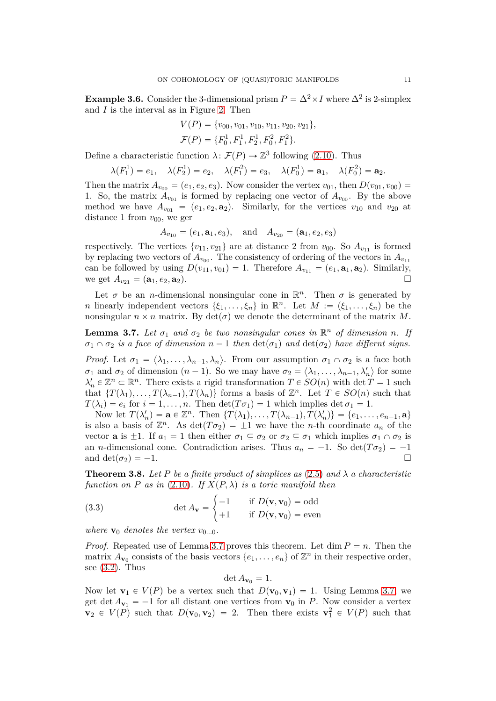<span id="page-10-1"></span>**Example 3.6.** Consider the 3-dimensional prism  $P = \Delta^2 \times I$  where  $\Delta^2$  is 2-simplex and *I* is the interval as in Figure [2.](#page-9-0) Then

$$
V(P) = \{v_{00}, v_{01}, v_{10}, v_{11}, v_{20}, v_{21}\},\
$$
  

$$
\mathcal{F}(P) = \{F_0^1, F_1^1, F_2^1, F_0^2, F_1^2\}.
$$

Define a characteristic function  $\lambda \colon \mathcal{F}(P) \to \mathbb{Z}^3$  following [\(2.10\)](#page-4-0). Thus

$$
\lambda(F_1^1) = e_1, \quad \lambda(F_2^1) = e_2, \quad \lambda(F_1^2) = e_3, \quad \lambda(F_0^1) = \mathbf{a}_1, \quad \lambda(F_0^2) = \mathbf{a}_2.
$$

Then the matrix  $A_{v_{00}} = (e_1, e_2, e_3)$ . Now consider the vertex  $v_{01}$ , then  $D(v_{01}, v_{00}) =$ 1. So, the matrix  $A_{v_{01}}$  is formed by replacing one vector of  $A_{v_{00}}$ . By the above method we have  $A_{v_{01}} = (e_1, e_2, \mathbf{a}_2)$ . Similarly, for the vertices  $v_{10}$  and  $v_{20}$  at distance 1 from  $v_{00}$ , we ger

$$
A_{v_{10}} = (e_1, \mathbf{a}_1, e_3), \text{ and } A_{v_{20}} = (\mathbf{a}_1, e_2, e_3)
$$

respectively. The vertices  $\{v_{11}, v_{21}\}$  are at distance 2 from  $v_{00}$ . So  $A_{v_{11}}$  is formed by replacing two vectors of  $A_{v_{00}}$ . The consistency of ordering of the vectors in  $A_{v_{11}}$ can be followed by using  $D(v_{11}, v_{01}) = 1$ . Therefore  $A_{v_{11}} = (e_1, \mathbf{a}_1, \mathbf{a}_2)$ . Similarly, we get  $A_{v_{11}} = (\mathbf{a}_1, e_2, \mathbf{a}_2)$ . we get  $A_{v_{21}} = (\mathbf{a}_1, e_2, \mathbf{a}_2).$ 

Let  $\sigma$  be an *n*-dimensional nonsingular cone in  $\mathbb{R}^n$ . Then  $\sigma$  is generated by *n* linearly independent vectors  $\{\xi_1, \ldots, \xi_n\}$  in  $\mathbb{R}^n$ . Let  $M := (\xi_1, \ldots, \xi_n)$  be the nonsingular  $n \times n$  matrix. By  $\det(\sigma)$  we denote the determinant of the matrix *M*.

<span id="page-10-2"></span>**Lemma 3.7.** Let  $\sigma_1$  and  $\sigma_2$  be two nonsingular cones in  $\mathbb{R}^n$  of dimension *n*. If  $\sigma_1 \cap \sigma_2$  *is a face of dimension*  $n-1$  *then*  $\det(\sigma_1)$  *and*  $\det(\sigma_2)$  *have differnt signs.* 

*Proof.* Let  $\sigma_1 = \langle \lambda_1, \ldots, \lambda_{n-1}, \lambda_n \rangle$ . From our assumption  $\sigma_1 \cap \sigma_2$  is a face both *σ*<sub>1</sub> and *σ*<sub>2</sub> of dimension  $(n-1)$ . So we may have  $\sigma_2 = \langle \lambda_1, \ldots, \lambda_{n-1}, \lambda'_n \rangle$  for some  $\lambda'_n \in \mathbb{Z}^n \subset \mathbb{R}^n$ . There exists a rigid transformation  $T \in SO(n)$  with det  $T = 1$  such that  $\{T(\lambda_1), \ldots, T(\lambda_{n-1}), T(\lambda_n)\}\)$  forms a basis of  $\mathbb{Z}^n$ . Let  $T \in SO(n)$  such that  $T(\lambda_i) = e_i$  for  $i = 1, \ldots, n$ . Then  $\det(T\sigma_1) = 1$  which implies  $\det \sigma_1 = 1$ .

Now let  $T(\lambda'_n) = \mathbf{a} \in \mathbb{Z}^n$ . Then  $\{T(\lambda_1), \ldots, T(\lambda_{n-1}), T(\lambda'_n)\} = \{e_1, \ldots, e_{n-1}, \mathbf{a}\}\$ is also a basis of  $\mathbb{Z}^n$ . As  $\det(T\sigma_2) = \pm 1$  we have the *n*-th coordinate  $a_n$  of the vector **a** is  $\pm 1$ . If  $a_1 = 1$  then either  $\sigma_1 \subseteq \sigma_2$  or  $\sigma_2 \subseteq \sigma_1$  which implies  $\sigma_1 \cap \sigma_2$  is an *n*-dimensional cone. Contradiction arises. Thus  $a_n = -1$ . So  $\det(T\sigma_2) = -1$ and  $\det(\sigma_2) = -1$ .

<span id="page-10-0"></span>**Theorem 3.8.** Let P be a finite product of simplices as  $(2.5)$  and  $\lambda$  a characteristic *function on P as in* [\(2.10\)](#page-4-0)*.* If  $X(P, \lambda)$  *is a toric manifold then* 

(3.3) 
$$
\det A_{\mathbf{v}} = \begin{cases} -1 & \text{if } D(\mathbf{v}, \mathbf{v}_0) = \text{odd} \\ +1 & \text{if } D(\mathbf{v}, \mathbf{v}_0) = \text{even} \end{cases}
$$

*where*  $\mathbf{v}_0$  *denotes the vertex*  $v_{0...0}$ *.* 

*Proof.* Repeated use of Lemma [3.7](#page-10-2) proves this theorem. Let dim  $P = n$ . Then the matrix  $A_{\mathbf{v}_0}$  consists of the basis vectors  $\{e_1, \ldots, e_n\}$  of  $\mathbb{Z}^n$  in their respective order, see  $(3.2)$ . Thus

$$
\det A_{\mathbf{v}_0}=1.
$$

Now let  $\mathbf{v}_1 \in V(P)$  be a vertex such that  $D(\mathbf{v}_0, \mathbf{v}_1) = 1$ . Using Lemma [3.7,](#page-10-2) we get det  $A_{\mathbf{v}_1} = -1$  for all distant one vertices from  $\mathbf{v}_0$  in *P*. Now consider a vertex  $\mathbf{v}_2 \in V(P)$  such that  $D(\mathbf{v}_0, \mathbf{v}_2) = 2$ . Then there exists  $\mathbf{v}_1^2 \in V(P)$  such that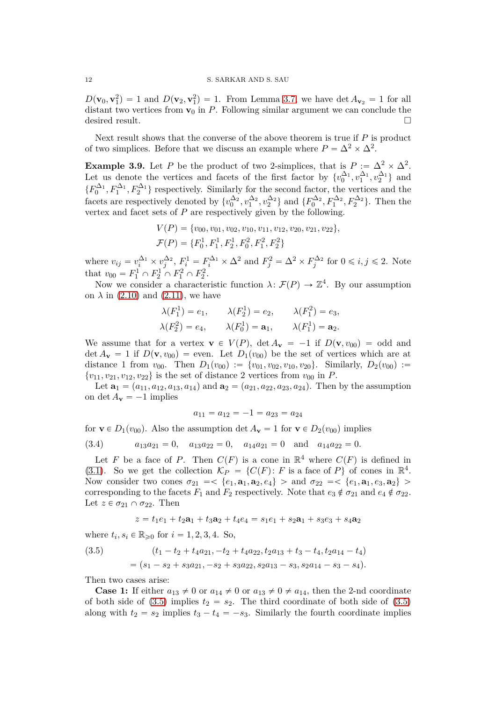#### 12 S. SARKAR AND S. SAU

 $D(\mathbf{v}_0, \mathbf{v}_1^2) = 1$  and  $D(\mathbf{v}_2, \mathbf{v}_1^2) = 1$ . From Lemma [3.7,](#page-10-2) we have det  $A_{\mathbf{v}_2} = 1$  for all distant two vertices from  $\mathbf{v}_0$  in  $P$ . Following similar argument we can conclude the desired result.

Next result shows that the converse of the above theorem is true if *P* is product of two simplices. Before that we discuss an example where  $P = \Delta^2 \times \Delta^2$ .

**Example 3.9.** Let *P* be the product of two 2-simplices, that is  $P := \Delta^2 \times \Delta^2$ . Let us denote the vertices and facets of the first factor by  $\{v_0^{\Delta_1}, v_1^{\Delta_1}, v_2^{\Delta_1}\}$  and  $\{F_0^{\Delta_1}, F_1^{\Delta_1}, F_2^{\Delta_1}\}\$ respectively. Similarly for the second factor, the vertices and the facets are respectively denoted by  $\{v_0^{\Delta_2}, v_1^{\Delta_2}, v_2^{\Delta_2}\}\$  and  $\{F_0^{\Delta_2}, F_1^{\Delta_2}, F_2^{\Delta_2}\}\$ . Then the vertex and facet sets of *P* are respectively given by the following.

$$
V(P) = \{v_{00}, v_{01}, v_{02}, v_{10}, v_{11}, v_{12}, v_{20}, v_{21}, v_{22}\},\
$$

$$
\mathcal{F}(P) = \{F_0^1, F_1^1, F_2^1, F_0^2, F_1^2, F_2^2\}
$$

where  $v_{ij} = v_i^{\Delta_1} \times v_j^{\Delta_2}$ ,  $F_i^1 = F_i^{\Delta_1} \times \Delta^2$  and  $F_j^2 = \Delta^2 \times F_j^{\Delta_2}$  for  $0 \le i, j \le 2$ . Note that  $v_{00} = F_1^1 \cap F_2^1 \cap F_1^2 \cap F_2^2$ .

Now we consider a characteristic function  $\lambda \colon \mathcal{F}(P) \to \mathbb{Z}^4$ . By our assumption on  $\lambda$  in [\(2.10\)](#page-4-0) and [\(2.11\)](#page-4-3), we have

$$
\lambda(F_1^1) = e_1, \qquad \lambda(F_2^1) = e_2, \qquad \lambda(F_1^2) = e_3,
$$
  

$$
\lambda(F_2^2) = e_4, \qquad \lambda(F_0^1) = \mathbf{a}_1, \qquad \lambda(F_1^1) = \mathbf{a}_2.
$$

We assume that for a vertex  $\mathbf{v} \in V(P)$ ,  $\det A_{\mathbf{v}} = -1$  if  $D(\mathbf{v}, v_{00}) = \text{odd}$  and det  $A_{\mathbf{v}} = 1$  if  $D(\mathbf{v}, v_{00})$  = even. Let  $D_1(v_{00})$  be the set of vertices which are at distance 1 from  $v_{00}$ . Then  $D_1(v_{00}) := \{v_{01}, v_{02}, v_{10}, v_{20}\}.$  Similarly,  $D_2(v_{00}) :=$  $\{v_{11}, v_{21}, v_{12}, v_{22}\}\$ is the set of distance 2 vertices from  $v_{00}$  in *P*.

Let  $\mathbf{a}_1 = (a_{11}, a_{12}, a_{13}, a_{14})$  and  $\mathbf{a}_2 = (a_{21}, a_{22}, a_{23}, a_{24})$ . Then by the assumption on det  $A_v = -1$  implies

$$
a_{11} = a_{12} = -1 = a_{23} = a_{24}
$$

for  $\mathbf{v} \in D_1(v_{00})$ . Also the assumption det  $A_{\mathbf{v}} = 1$  for  $\mathbf{v} \in D_2(v_{00})$  implies

$$
(3.4) \t a_{13}a_{21} = 0, \t a_{13}a_{22} = 0, \t a_{14}a_{21} = 0 \t and \t a_{14}a_{22} = 0.
$$

Let *F* be a face of *P*. Then  $C(F)$  is a cone in  $\mathbb{R}^4$  where  $C(F)$  is defined in [\(3.1\)](#page-8-1). So we get the collection  $\mathcal{K}_P = \{C(F): F \text{ is a face of } P\}$  of cones in  $\mathbb{R}^4$ . Now consider two cones  $\sigma_{21} = \{e_1, \mathbf{a}_1, \mathbf{a}_2, e_4\}$  is and  $\sigma_{22} = \{e_1, \mathbf{a}_1, e_3, \mathbf{a}_2\}$ corresponding to the facets  $F_1$  and  $F_2$  respectively. Note that  $e_3 \notin \sigma_{21}$  and  $e_4 \notin \sigma_{22}$ . Let  $z \in \sigma_{21} \cap \sigma_{22}$ . Then

$$
z = t_1e_1 + t_2\mathbf{a}_1 + t_3\mathbf{a}_2 + t_4e_4 = s_1e_1 + s_2\mathbf{a}_1 + s_3e_3 + s_4\mathbf{a}_2
$$

where  $t_i, s_i \in \mathbb{R}_{\geqslant 0}$  for  $i = 1, 2, 3, 4$ . So,

<span id="page-11-0"></span>(3.5) 
$$
(t_1 - t_2 + t_4 a_{21}, -t_2 + t_4 a_{22}, t_2 a_{13} + t_3 - t_4, t_2 a_{14} - t_4)
$$

$$
= (s_1 - s_2 + s_3 a_{21}, -s_2 + s_3 a_{22}, s_2 a_{13} - s_3, s_2 a_{14} - s_3 - s_4).
$$

Then two cases arise:

**Case 1:** If either  $a_{13} \neq 0$  or  $a_{14} \neq 0$  or  $a_{13} \neq 0 \neq a_{14}$ , then the 2-nd coordinate of both side of  $(3.5)$  implies  $t_2 = s_2$ . The third coordinate of both side of  $(3.5)$ along with  $t_2 = s_2$  implies  $t_3 - t_4 = -s_3$ . Similarly the fourth coordinate implies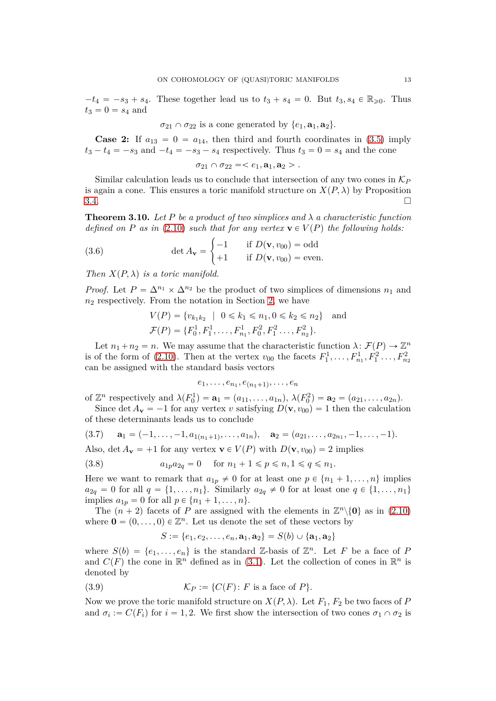$-t_4 = -s_3 + s_4$ . These together lead us to  $t_3 + s_4 = 0$ . But  $t_3, s_4 \in \mathbb{R}_{\geq 0}$ . Thus  $t_3 = 0 = s_4$  and

$$
\sigma_{21} \cap \sigma_{22}
$$
 is a cone generated by  $\{e_1, \mathbf{a}_1, \mathbf{a}_2\}$ .

**Case 2:** If  $a_{13} = 0 = a_{14}$ , then third and fourth coordinates in [\(3.5\)](#page-11-0) imply  $t_3 - t_4 = -s_3$  and  $-t_4 = -s_3 - s_4$  respectively. Thus  $t_3 = 0 = s_4$  and the cone

 $\sigma_{21} \cap \sigma_{22} = \langle e_1, \mathbf{a}_1, \mathbf{a}_2 \rangle$ .

Similar calculation leads us to conclude that intersection of any two cones in K*<sup>P</sup>* is again a cone. This ensures a toric manifold structure on  $X(P, \lambda)$  by Proposition 3.4.  $3.4.$ 

<span id="page-12-0"></span>**Theorem 3.10.** Let P be a product of two simplices and  $\lambda$  a characteristic function *defined on P as in* [\(2.10\)](#page-4-0) *such that for any vertex*  $\mathbf{v} \in V(P)$  *the following holds:* 

<span id="page-12-3"></span>(3.6) 
$$
\det A_{\mathbf{v}} = \begin{cases} -1 & \text{if } D(\mathbf{v}, v_{00}) = \text{odd} \\ +1 & \text{if } D(\mathbf{v}, v_{00}) = \text{even.} \end{cases}
$$

*Then*  $X(P, \lambda)$  *is a toric manifold.* 

*Proof.* Let  $P = \Delta^{n_1} \times \Delta^{n_2}$  be the product of two simplices of dimensions  $n_1$  and *n*<sup>2</sup> respectively. From the notation in Section [2,](#page-2-0) we have

$$
V(P) = \{v_{k_1k_2} \mid 0 \le k_1 \le n_1, 0 \le k_2 \le n_2\} \text{ and}
$$
  

$$
\mathcal{F}(P) = \{F_0^1, F_1^1, \dots, F_{n_1}^1, F_0^2, F_1^2 \dots, F_{n_2}^2\}.
$$

Let  $n_1 + n_2 = n$ . We may assume that the characteristic function  $\lambda \colon \mathcal{F}(P) \to \mathbb{Z}^n$ is of the form of [\(2.10\)](#page-4-0). Then at the vertex  $v_{00}$  the facets  $F_1^1, \ldots, F_{n_1}^1, F_1^2, \ldots, F_{n_2}^2$ can be assigned with the standard basis vectors

$$
e_1,\ldots,e_{n_1},e_{(n_1+1)},\ldots,e_n
$$

of  $\mathbb{Z}^n$  respectively and  $\lambda(F_0^1) = \mathbf{a}_1 = (a_{11}, \dots, a_{1n}), \lambda(F_0^2) = \mathbf{a}_2 = (a_{21}, \dots, a_{2n}).$ 

Since det  $A_v = -1$  for any vertex *v* satisfying  $D(v, v_{00}) = 1$  then the calculation of these determinants leads us to conclude

<span id="page-12-1"></span>
$$
(3.7) \quad \mathbf{a}_1 = (-1, \ldots, -1, a_{1(n_1+1)}, \ldots, a_{1n}), \quad \mathbf{a}_2 = (a_{21}, \ldots, a_{2n_1}, -1, \ldots, -1).
$$

Also, det  $A_v = +1$  for any vertex  $v \in V(P)$  with  $D(v, v_{00}) = 2$  implies

(3.8) 
$$
a_{1p}a_{2q} = 0
$$
 for  $n_1 + 1 \le p \le n, 1 \le q \le n_1$ .

Here we want to remark that  $a_{1p} \neq 0$  for at least one  $p \in \{n_1 + 1, \ldots, n\}$  implies  $a_{2q} = 0$  for all  $q = \{1, ..., n_1\}$ . Similarly  $a_{2q} \neq 0$  for at least one  $q \in \{1, ..., n_1\}$ implies  $a_{1p} = 0$  for all  $p \in \{n_1 + 1, ..., n\}.$ 

The  $(n + 2)$  facets of *P* are assigned with the elements in  $\mathbb{Z}^n \setminus \{0\}$  as in [\(2.10\)](#page-4-0) where  $\mathbf{0} = (0, \ldots, 0) \in \mathbb{Z}^n$ . Let us denote the set of these vectors by

<span id="page-12-2"></span>
$$
S := \{e_1, e_2, \dots, e_n, \mathbf{a}_1, \mathbf{a}_2\} = S(b) \cup \{\mathbf{a}_1, \mathbf{a}_2\}
$$

where  $S(b) = \{e_1, \ldots, e_n\}$  is the standard Z-basis of  $\mathbb{Z}^n$ . Let *F* be a face of *P* and  $C(F)$  the cone in  $\mathbb{R}^n$  defined as in [\(3.1\)](#page-8-1). Let the collection of cones in  $\mathbb{R}^n$  is denoted by

(3.9) 
$$
\mathcal{K}_P := \{C(F) \colon F \text{ is a face of } P\}.
$$

Now we prove the toric manifold structure on  $X(P, \lambda)$ . Let  $F_1$ ,  $F_2$  be two faces of *P* and  $\sigma_i := C(F_i)$  for  $i = 1, 2$ . We first show the intersection of two cones  $\sigma_1 \cap \sigma_2$  is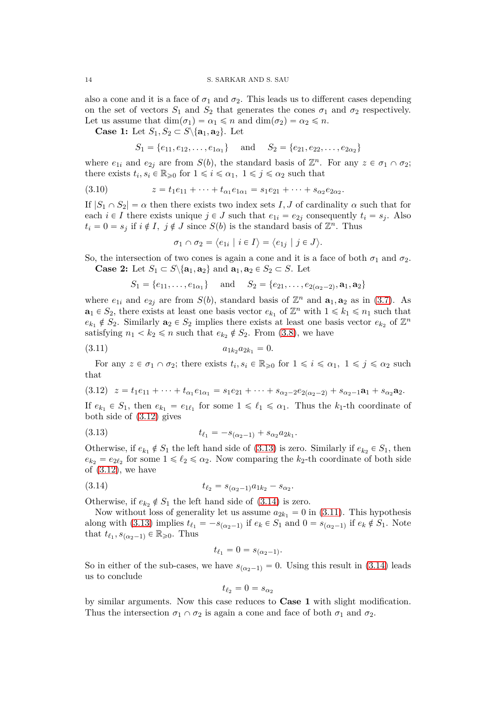also a cone and it is a face of  $\sigma_1$  and  $\sigma_2$ . This leads us to different cases depending on the set of vectors  $S_1$  and  $S_2$  that generates the cones  $\sigma_1$  and  $\sigma_2$  respectively. Let us assume that  $\dim(\sigma_1) = \alpha_1 \leq n$  and  $\dim(\sigma_2) = \alpha_2 \leq n$ .

**Case 1:** Let  $S_1, S_2 \subset S \setminus \{a_1, a_2\}$ . Let

$$
S_1 = \{e_{11}, e_{12}, \dots, e_{1\alpha_1}\}\
$$
 and  $S_2 = \{e_{21}, e_{22}, \dots, e_{2\alpha_2}\}\$ 

where  $e_{1i}$  and  $e_{2j}$  are from  $S(b)$ , the standard basis of  $\mathbb{Z}^n$ . For any  $z \in \sigma_1 \cap \sigma_2$ ; there exists  $t_i, s_i \in \mathbb{R}_{\geqslant 0}$  for  $1 \leqslant i \leqslant \alpha_1, \ 1 \leqslant j \leqslant \alpha_2$  such that

(3.10) 
$$
z = t_1 e_{11} + \dots + t_{\alpha_1} e_{1\alpha_1} = s_1 e_{21} + \dots + s_{\alpha_2} e_{2\alpha_2}.
$$

If  $|S_1 \cap S_2| = \alpha$  then there exists two index sets *I*, *J* of cardinality  $\alpha$  such that for each  $i \in I$  there exists unique  $j \in J$  such that  $e_{1i} = e_{2j}$  consequently  $t_i = s_j$ . Also  $t_i = 0 = s_j$  if  $i \notin I$ ,  $j \notin J$  since  $S(b)$  is the standard basis of  $\mathbb{Z}^n$ . Thus

$$
\sigma_1 \cap \sigma_2 = \langle e_{1i} \mid i \in I \rangle = \langle e_{1j} \mid j \in J \rangle.
$$

So, the intersection of two cones is again a cone and it is a face of both  $\sigma_1$  and  $\sigma_2$ . **Case 2:** Let  $S_1 \subset S \setminus \{a_1, a_2\}$  and  $a_1, a_2 \in S_2 \subset S$ . Let

<span id="page-13-3"></span>
$$
S_1 = \{e_{11}, \ldots, e_{1\alpha_1}\}\
$$
 and  $S_2 = \{e_{21}, \ldots, e_{2(\alpha_2-2)}, \mathbf{a}_1, \mathbf{a}_2\}$ 

where  $e_{1i}$  and  $e_{2j}$  are from  $S(b)$ , standard basis of  $\mathbb{Z}^n$  and  $\mathbf{a}_1, \mathbf{a}_2$  as in [\(3.7\)](#page-12-1). As  $\mathbf{a}_1 \in S_2$ , there exists at least one basis vector  $e_{k_1}$  of  $\mathbb{Z}^n$  with  $1 \leq k_1 \leq n_1$  such that  $e_{k_1} \notin S_2$ . Similarly  $\mathbf{a}_2 \in S_2$  implies there exists at least one basis vector  $e_{k_2}$  of  $\mathbb{Z}^n$ satisfying  $n_1 < k_2 \le n$  such that  $e_{k_2} \notin S_2$ . From [\(3.8\)](#page-12-2), we have

$$
(3.11) \t\t a_{1k_2}a_{2k_1} = 0.
$$

For any  $z \in \sigma_1 \cap \sigma_2$ ; there exists  $t_i, s_i \in \mathbb{R}_{\geqslant 0}$  for  $1 \leqslant i \leqslant \alpha_1, 1 \leqslant j \leqslant \alpha_2$  such that

<span id="page-13-0"></span>
$$
(3.12) \t z = t_1 e_{11} + \cdots + t_{\alpha_1} e_{1\alpha_1} = s_1 e_{21} + \cdots + s_{\alpha_2 - 2} e_{2(\alpha_2 - 2)} + s_{\alpha_2 - 1} a_1 + s_{\alpha_2} a_2.
$$

If  $e_{k_1} \in S_1$ , then  $e_{k_1} = e_{1\ell_1}$  for some  $1 \leq \ell_1 \leq \alpha_1$ . Thus the  $k_1$ -th coordinate of both side of [\(3.12\)](#page-13-0) gives

<span id="page-13-1"></span>(3.13) 
$$
t_{\ell_1} = -s_{(\alpha_2-1)} + s_{\alpha_2} a_{2k_1}.
$$

Otherwise, if  $e_{k_1} \notin S_1$  the left hand side of [\(3.13\)](#page-13-1) is zero. Similarly if  $e_{k_2} \in S_1$ , then  $e_{k_2} = e_{2\ell_2}$  for some  $1 \leq \ell_2 \leq \alpha_2$ . Now comparing the  $k_2$ -th coordinate of both side of  $(3.12)$ , we have

(3.14) 
$$
t_{\ell_2} = s_{(\alpha_2 - 1)} a_{1k_2} - s_{\alpha_2}.
$$

Otherwise, if  $e_k$ ,  $\notin S_1$  the left hand side of [\(3.14\)](#page-13-2) is zero.

Now without loss of generality let us assume  $a_{2k_1} = 0$  in [\(3.11\)](#page-13-3). This hypothesis along with [\(3.13\)](#page-13-1) implies  $t_{\ell_1} = -s_{(\alpha_2-1)}$  if  $e_k \in S_1$  and  $0 = s_{(\alpha_2-1)}$  if  $e_k \notin S_1$ . Note that  $t_{\ell_1}, s_{(\alpha_2-1)} \in \mathbb{R}_{\geq 0}$ . Thus

<span id="page-13-2"></span>
$$
t_{\ell_1} = 0 = s_{(\alpha_2 - 1)}.
$$

So in either of the sub-cases, we have  $s_{(\alpha_2-1)} = 0$ . Using this result in [\(3.14\)](#page-13-2) leads us to conclude

$$
t_{\ell_2}=0=s_{\alpha_2}
$$

by similar arguments. Now this case reduces to **Case 1** with slight modification. Thus the intersection  $\sigma_1 \cap \sigma_2$  is again a cone and face of both  $\sigma_1$  and  $\sigma_2$ .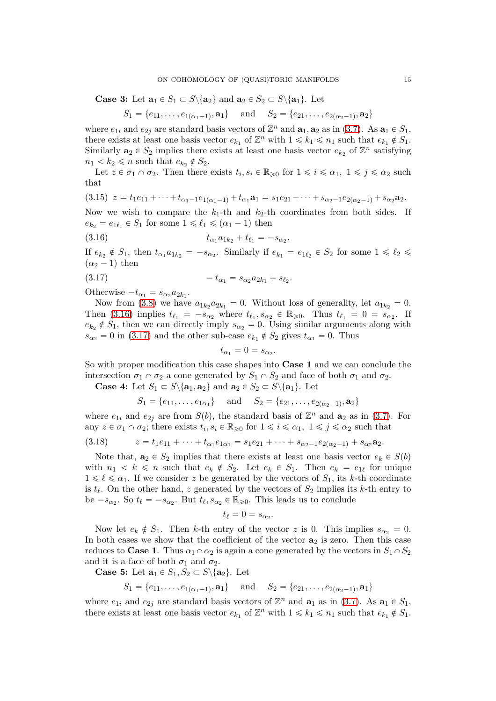**Case 3:** Let  $\mathbf{a}_1 \in S_1 \subset S \setminus \{ \mathbf{a}_2 \}$  and  $\mathbf{a}_2 \in S_2 \subset S \setminus \{ \mathbf{a}_1 \}$ . Let

$$
S_1 = \{e_{11}, \ldots, e_{1(\alpha_1 - 1)}, \mathbf{a}_1\}
$$
 and  $S_2 = \{e_{21}, \ldots, e_{2(\alpha_2 - 1)}, \mathbf{a}_2\}$ 

where  $e_{1i}$  and  $e_{2j}$  are standard basis vectors of  $\mathbb{Z}^n$  and  $\mathbf{a}_1, \mathbf{a}_2$  as in [\(3.7\)](#page-12-1). As  $\mathbf{a}_1 \in S_1$ , there exists at least one basis vector  $e_{k_1}$  of  $\mathbb{Z}^n$  with  $1 \leq k_1 \leq n_1$  such that  $e_{k_1} \notin S_1$ . Similarly  $\mathbf{a}_2 \in S_2$  implies there exists at least one basis vector  $e_{k_2}$  of  $\mathbb{Z}^n$  satisfying  $n_1 < k_2 \leqslant n$  such that  $e_{k_2} \notin S_2$ .

Let  $z \in \sigma_1 \cap \sigma_2$ . Then there exists  $t_i, s_i \in \mathbb{R}_{\geqslant 0}$  for  $1 \leqslant i \leqslant \alpha_1, 1 \leqslant j \leqslant \alpha_2$  such that

$$
(3.15) \ z = t_1e_{11} + \cdots + t_{\alpha_1-1}e_{1(\alpha_1-1)} + t_{\alpha_1} \mathbf{a}_1 = s_1e_{21} + \cdots + s_{\alpha_2-1}e_{2(\alpha_2-1)} + s_{\alpha_2} \mathbf{a}_2.
$$

Now we wish to compare the  $k_1$ -th and  $k_2$ -th coordinates from both sides. If  $e_{k_2} = e_{1\ell_1} \in S_1$  for some  $1 \leq \ell_1 \leq (\alpha_1 - 1)$  then

(3.16) 
$$
t_{\alpha_1}a_{1k_2}+t_{\ell_1}=-s_{\alpha_2}.
$$

If  $e_{k_2} \notin S_1$ , then  $t_{\alpha_1} a_{1k_2} = -s_{\alpha_2}$ . Similarly if  $e_{k_1} = e_{1\ell_2} \in S_2$  for some  $1 \leq \ell_2 \leq \ell_1$  $(\alpha_2 - 1)$  then

$$
(3.17) \t\t -t_{\alpha_1} = s_{\alpha_2} a_{2k_1} + s_{\ell_2}.
$$

Otherwise  $-t_{\alpha_1} = s_{\alpha_2} a_{2k_1}$ .

Now from [\(3.8\)](#page-12-2) we have  $a_{1k_2}a_{2k_1} = 0$ . Without loss of generality, let  $a_{1k_2} = 0$ . Then [\(3.16\)](#page-14-0) implies  $t_{\ell_1} = -s_{\alpha_2}$  where  $t_{\ell_1}, s_{\alpha_2} \in \mathbb{R}_{\geq 0}$ . Thus  $t_{\ell_1} = 0 = s_{\alpha_2}$ . If  $e_{k_2} \notin S_1$ , then we can directly imply  $s_{\alpha_2} = 0$ . Using similar arguments along with  $s_{\alpha_2} = 0$  in [\(3.17\)](#page-14-1) and the other sub-case  $e_{k_1} \notin S_2$  gives  $t_{\alpha_1} = 0$ . Thus

<span id="page-14-1"></span><span id="page-14-0"></span>
$$
t_{\alpha_1}=0=s_{\alpha_2}.
$$

So with proper modification this case shapes into **Case 1** and we can conclude the intersection  $\sigma_1 \cap \sigma_2$  a cone generated by  $S_1 \cap S_2$  and face of both  $\sigma_1$  and  $\sigma_2$ .

**Case 4:** Let  $S_1 \subset S \setminus \{a_1, a_2\}$  and  $a_2 \in S_2 \subset S \setminus \{a_1\}$ . Let

$$
S_1 = \{e_{11}, \ldots, e_{1\alpha_1}\}\
$$
 and  $S_2 = \{e_{21}, \ldots, e_{2(\alpha_2-1)}, \mathbf{a}_2\}$ 

where  $e_{1i}$  and  $e_{2j}$  are from  $S(b)$ , the standard basis of  $\mathbb{Z}^n$  and  $\mathbf{a}_2$  as in [\(3.7\)](#page-12-1). For any  $z \in \sigma_1 \cap \sigma_2$ ; there exists  $t_i, s_i \in \mathbb{R}_{\geqslant 0}$  for  $1 \leqslant i \leqslant \alpha_1, 1 \leqslant j \leqslant \alpha_2$  such that

(3.18) 
$$
z = t_1 e_{11} + \dots + t_{\alpha_1} e_{1\alpha_1} = s_1 e_{21} + \dots + s_{\alpha_2 - 1} e_{2(\alpha_2 - 1)} + s_{\alpha_2} a_2.
$$

Note that,  $\mathbf{a}_2 \in S_2$  implies that there exists at least one basis vector  $e_k \in S(b)$ with  $n_1 < k \leq n$  such that  $e_k \notin S_2$ . Let  $e_k \in S_1$ . Then  $e_k = e_{1\ell}$  for unique  $1 \leq \ell \leq \alpha_1$ . If we consider *z* be generated by the vectors of  $S_1$ , its *k*-th coordinate is *t<sup>ℓ</sup>* . On the other hand, *z* generated by the vectors of *S*<sup>2</sup> implies its *k*-th entry to be  $-s_{\alpha_2}$ . So  $t_{\ell} = -s_{\alpha_2}$ . But  $t_{\ell}, s_{\alpha_2} \in \mathbb{R}_{\geq 0}$ . This leads us to conclude

$$
t_{\ell}=0=s_{\alpha_2}.
$$

Now let  $e_k \notin S_1$ . Then *k*-th entry of the vector *z* is 0. This implies  $s_{\alpha_2} = 0$ . In both cases we show that the coefficient of the vector **a**<sup>2</sup> is zero. Then this case reduces to **Case 1**. Thus  $\alpha_1 \cap \alpha_2$  is again a cone generated by the vectors in  $S_1 \cap S_2$ and it is a face of both  $\sigma_1$  and  $\sigma_2$ .

**Case 5:** Let  $\mathbf{a}_1 \in S_1, S_2 \subset S \setminus \{ \mathbf{a}_2 \}$ . Let

$$
S_1 = \{e_{11}, \ldots, e_{1(\alpha_1-1)}, \mathbf{a}_1\}
$$
 and  $S_2 = \{e_{21}, \ldots, e_{2(\alpha_2-1)}, \mathbf{a}_1\}$ 

where  $e_{1i}$  and  $e_{2j}$  are standard basis vectors of  $\mathbb{Z}^n$  and  $\mathbf{a}_1$  as in [\(3.7\)](#page-12-1). As  $\mathbf{a}_1 \in S_1$ , there exists at least one basis vector  $e_{k_1}$  of  $\mathbb{Z}^n$  with  $1 \leq k_1 \leq n_1$  such that  $e_{k_1} \notin S_1$ .

*,* **a**2u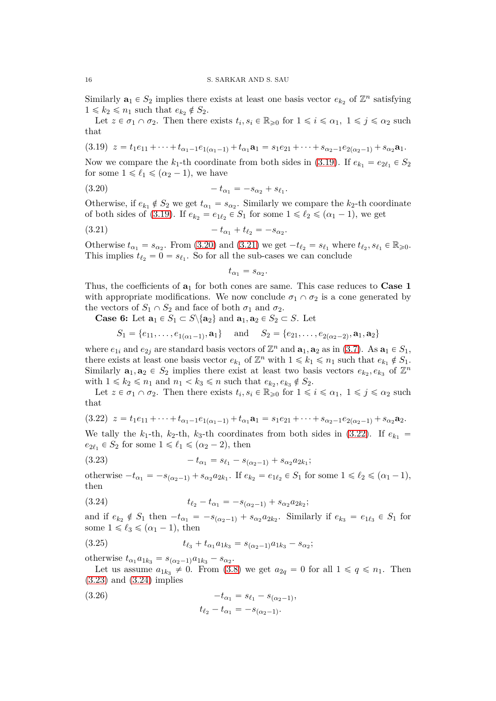Similarly  $\mathbf{a}_1 \in S_2$  implies there exists at least one basis vector  $e_{k_2}$  of  $\mathbb{Z}^n$  satisfying  $1 \leq k_2 \leq n_1$  such that  $e_{k_2} \notin S_2$ .

Let  $z \in \sigma_1 \cap \sigma_2$ . Then there exists  $t_i, s_i \in \mathbb{R}_{\geqslant 0}$  for  $1 \leqslant i \leqslant \alpha_1, 1 \leqslant j \leqslant \alpha_2$  such that

<span id="page-15-0"></span>
$$
(3.19) \ z = t_1e_{11} + \cdots + t_{\alpha_1-1}e_{1(\alpha_1-1)} + t_{\alpha_1}\mathbf{a}_1 = s_1e_{21} + \cdots + s_{\alpha_2-1}e_{2(\alpha_2-1)} + s_{\alpha_2}\mathbf{a}_1.
$$

Now we compare the  $k_1$ -th coordinate from both sides in [\(3.19\)](#page-15-0). If  $e_{k_1} = e_{2\ell_1} \in S_2$ for some  $1 \leq \ell_1 \leq (\alpha_2 - 1)$ , we have

(3.20) 
$$
-t_{\alpha_1} = -s_{\alpha_2} + s_{\ell_1}.
$$

Otherwise, if  $e_{k_1} \notin S_2$  we get  $t_{\alpha_1} = s_{\alpha_2}$ . Similarly we compare the  $k_2$ -th coordinate of both sides of [\(3.19\)](#page-15-0). If  $e_{k_2} = e_{1\ell_2} \in S_1$  for some  $1 \leq \ell_2 \leq (\alpha_1 - 1)$ , we get

(3.21) 
$$
-t_{\alpha_1} + t_{\ell_2} = -s_{\alpha_2}.
$$

Otherwise  $t_{\alpha_1} = s_{\alpha_2}$ . From [\(3.20\)](#page-15-1) and [\(3.21\)](#page-15-2) we get  $-t_{\ell_2} = s_{\ell_1}$  where  $t_{\ell_2}, s_{\ell_1} \in \mathbb{R}_{\geq 0}$ . This implies  $t_{\ell_2} = 0 = s_{\ell_1}$ . So for all the sub-cases we can conclude

<span id="page-15-2"></span><span id="page-15-1"></span>
$$
t_{\alpha_1}=s_{\alpha_2}.
$$

Thus, the coefficients of **a**<sup>1</sup> for both cones are same. This case reduces to **Case 1** with appropriate modifications. We now conclude  $\sigma_1 \cap \sigma_2$  is a cone generated by the vectors of  $S_1 \cap S_2$  and face of both  $\sigma_1$  and  $\sigma_2$ .

**Case 6:** Let  $\mathbf{a}_1 \in S_1 \subset S \setminus \{ \mathbf{a}_2 \}$  and  $\mathbf{a}_1, \mathbf{a}_2 \in S_2 \subset S$ . Let

$$
S_1 = \{e_{11}, \ldots, e_{1(\alpha_1 - 1)}, \mathbf{a}_1\}
$$
 and  $S_2 = \{e_{21}, \ldots, e_{2(\alpha_2 - 2)}, \mathbf{a}_1, \mathbf{a}_2\}$ 

where  $e_{1i}$  and  $e_{2j}$  are standard basis vectors of  $\mathbb{Z}^n$  and  $\mathbf{a}_1, \mathbf{a}_2$  as in [\(3.7\)](#page-12-1). As  $\mathbf{a}_1 \in S_1$ , there exists at least one basis vector  $e_{k_1}$  of  $\mathbb{Z}^n$  with  $1 \leq k_1 \leq n_1$  such that  $e_{k_1} \notin S_1$ . Similarly  $\mathbf{a}_1, \mathbf{a}_2 \in S_2$  implies there exist at least two basis vectors  $e_{k_2}, e_{k_3}$  of  $\mathbb{Z}^n$ with  $1 \leq k_2 \leq n_1$  and  $n_1 < k_3 \leq n$  such that  $e_{k_2}, e_{k_3} \notin S_2$ .

Let  $z \in \sigma_1 \cap \sigma_2$ . Then there exists  $t_i, s_i \in \mathbb{R}_{\geqslant 0}$  for  $1 \leqslant i \leqslant \alpha_1, 1 \leqslant j \leqslant \alpha_2$  such that

<span id="page-15-3"></span>
$$
(3.22) \ z = t_1 e_{11} + \cdots + t_{\alpha_1 - 1} e_{1(\alpha_1 - 1)} + t_{\alpha_1} \mathbf{a}_1 = s_1 e_{21} + \cdots + s_{\alpha_2 - 1} e_{2(\alpha_2 - 1)} + s_{\alpha_2} \mathbf{a}_2.
$$

We tally the  $k_1$ -th,  $k_2$ -th,  $k_3$ -th coordinates from both sides in [\(3.22\)](#page-15-3). If  $e_{k_1}$  =  $e_{2\ell_1} \in S_2$  for some  $1 \leq \ell_1 \leq (\alpha_2 - 2)$ , then

<span id="page-15-4"></span>(3.23) 
$$
-t_{\alpha_1} = s_{\ell_1} - s_{(\alpha_2-1)} + s_{\alpha_2} a_{2k_1};
$$

otherwise  $-t_{\alpha_1} = -s_{(\alpha_2-1)} + s_{\alpha_2}a_{2k_1}$ . If  $e_{k_2} = e_{1\ell_2} \in S_1$  for some  $1 \le \ell_2 \le (\alpha_1 - 1)$ , then

<span id="page-15-5"></span>(3.24) 
$$
t_{\ell_2} - t_{\alpha_1} = -s_{(\alpha_2 - 1)} + s_{\alpha_2} a_{2k_2};
$$

and if  $e_{k_2} \notin S_1$  then  $-t_{\alpha_1} = -s_{(\alpha_2-1)} + s_{\alpha_2}a_{2k_2}$ . Similarly if  $e_{k_3} = e_{1\ell_3} \in S_1$  for some  $1 \leq \ell_3 \leq (\alpha_1 - 1)$ , then

<span id="page-15-6"></span>(3.25) 
$$
t_{\ell_3} + t_{\alpha_1} a_{1k_3} = s_{(\alpha_2 - 1)} a_{1k_3} - s_{\alpha_2};
$$

otherwise  $t_{\alpha_1}a_{1k_3} = s_{(\alpha_2-1)}a_{1k_3} - s_{\alpha_2}$ .

Let us assume  $a_{1k_3} \neq 0$ . From [\(3.8\)](#page-12-2) we get  $a_{2q} = 0$  for all  $1 \leq q \leq n_1$ . Then [\(3.23\)](#page-15-4) and [\(3.24\)](#page-15-5) implies

<span id="page-15-7"></span>

(3.26) 
$$
-t_{\alpha_1} = s_{\ell_1} - s_{(\alpha_2 - 1)},
$$

$$
t_{\ell_2} - t_{\alpha_1} = -s_{(\alpha_2 - 1)}.
$$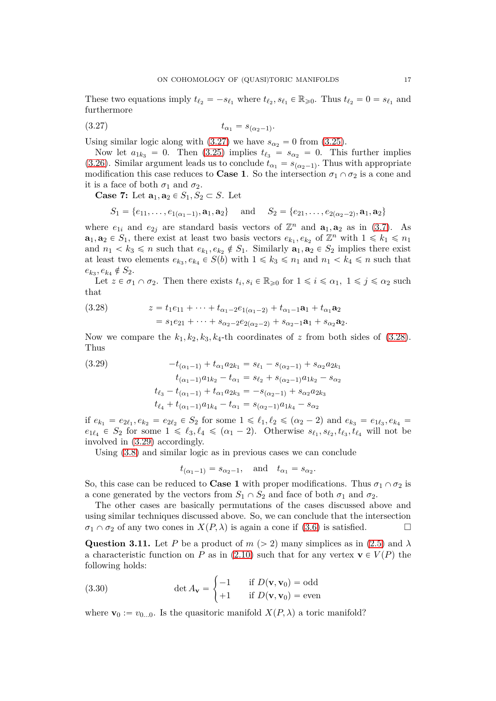These two equations imply  $t_{\ell_2} = -s_{\ell_1}$  where  $t_{\ell_2}, s_{\ell_1} \in \mathbb{R}_{\geq 0}$ . Thus  $t_{\ell_2} = 0 = s_{\ell_1}$  and furthermore

<span id="page-16-0"></span>
$$
(3.27) \t t_{\alpha_1} = s_{(\alpha_2 - 1)}.
$$

Using similar logic along with  $(3.27)$  we have  $s_{\alpha} = 0$  from  $(3.25)$ .

Now let  $a_{1k_3} = 0$ . Then [\(3.25\)](#page-15-6) implies  $t_{\ell_3} = s_{\alpha_2} = 0$ . This further implies [\(3.26\)](#page-15-7). Similar argument leads us to conclude  $t_{\alpha_1} = s_{(\alpha_2-1)}$ . Thus with appropriate modification this case reduces to **Case 1**. So the intersection  $\sigma_1 \cap \sigma_2$  is a cone and it is a face of both  $\sigma_1$  and  $\sigma_2$ .

**Case 7:** Let  $\mathbf{a}_1, \mathbf{a}_2 \in S_1, S_2 \subset S$ . Let

$$
S_1 = \{e_{11}, \ldots, e_{1(\alpha_1-1)}, \mathbf{a}_1, \mathbf{a}_2\}
$$
 and  $S_2 = \{e_{21}, \ldots, e_{2(\alpha_2-2)}, \mathbf{a}_1, \mathbf{a}_2\}$ 

where  $e_{1i}$  and  $e_{2j}$  are standard basis vectors of  $\mathbb{Z}^n$  and  $\mathbf{a}_1, \mathbf{a}_2$  as in [\(3.7\)](#page-12-1). As  $\mathbf{a}_1, \mathbf{a}_2 \in S_1$ , there exist at least two basis vectors  $e_{k_1}, e_{k_2}$  of  $\mathbb{Z}^n$  with  $1 \leq k_1 \leq n_1$ and  $n_1 < k_3 \le n$  such that  $e_{k_1}, e_{k_2} \notin S_1$ . Similarly  $\mathbf{a}_1, \mathbf{a}_2 \in S_2$  implies there exist at least two elements  $e_{k_3}, e_{k_4} \in S(b)$  with  $1 \leq k_3 \leq n_1$  and  $n_1 < k_4 \leq n$  such that  $e_{k_3}, e_{k_4} \notin S_2.$ 

Let  $z \in \sigma_1 \cap \sigma_2$ . Then there exists  $t_i, s_i \in \mathbb{R}_{\geqslant 0}$  for  $1 \leqslant i \leqslant \alpha_1, 1 \leqslant j \leqslant \alpha_2$  such that

<span id="page-16-1"></span>(3.28) 
$$
z = t_1 e_{11} + \dots + t_{\alpha_1 - 2} e_{1(\alpha_1 - 2)} + t_{\alpha_1 - 1} a_1 + t_{\alpha_1} a_2
$$

$$
= s_1 e_{21} + \dots + s_{\alpha_2 - 2} e_{2(\alpha_2 - 2)} + s_{\alpha_2 - 1} a_1 + s_{\alpha_2} a_2.
$$

Now we compare the  $k_1, k_2, k_3, k_4$ -th coordinates of *z* from both sides of [\(3.28\)](#page-16-1). Thus

<span id="page-16-2"></span>(3.29) 
$$
-t_{(\alpha_1-1)} + t_{\alpha_1} a_{2k_1} = s_{\ell_1} - s_{(\alpha_2-1)} + s_{\alpha_2} a_{2k_1}
$$

$$
t_{(\alpha_1-1)} a_{1k_2} - t_{\alpha_1} = s_{\ell_2} + s_{(\alpha_2-1)} a_{1k_2} - s_{\alpha_2}
$$

$$
t_{\ell_3} - t_{(\alpha_1-1)} + t_{\alpha_1} a_{2k_3} = -s_{(\alpha_2-1)} + s_{\alpha_2} a_{2k_3}
$$

$$
t_{\ell_4} + t_{(\alpha_1-1)} a_{1k_4} - t_{\alpha_1} = s_{(\alpha_2-1)} a_{1k_4} - s_{\alpha_2}
$$

if  $e_{k_1} = e_{2\ell_1}, e_{k_2} = e_{2\ell_2} \in S_2$  for some  $1 \leq \ell_1, \ell_2 \leq (\alpha_2 - 2)$  and  $e_{k_3} = e_{1\ell_3}, e_{k_4} =$  $e_{1\ell_4} \in S_2$  for some  $1 \leq \ell_3, \ell_4 \leq (\alpha_1 - 2)$ . Otherwise  $s_{\ell_1}, s_{\ell_2}, t_{\ell_3}, t_{\ell_4}$  will not be involved in [\(3.29\)](#page-16-2) accordingly.

Using [\(3.8\)](#page-12-2) and similar logic as in previous cases we can conclude

$$
t_{(\alpha_1-1)} = s_{\alpha_2-1}
$$
, and  $t_{\alpha_1} = s_{\alpha_2}$ .

So, this case can be reduced to **Case 1** with proper modifications. Thus  $\sigma_1 \cap \sigma_2$  is a cone generated by the vectors from  $S_1 \cap S_2$  and face of both  $\sigma_1$  and  $\sigma_2$ .

The other cases are basically permutations of the cases discussed above and using similar techniques discussed above. So, we can conclude that the intersection  $\sigma_1 \cap \sigma_2$  of any two cones in  $X(P, \lambda)$  is again a cone if [\(3.6\)](#page-12-3) is satisfied.

**Question 3.11.** Let *P* be a product of  $m > 2$  many simplices as in [\(2.5\)](#page-3-0) and  $\lambda$ a characteristic function on *P* as in [\(2.10\)](#page-4-0) such that for any vertex  $\mathbf{v} \in V(P)$  the following holds:

(3.30) 
$$
\det A_{\mathbf{v}} = \begin{cases} -1 & \text{if } D(\mathbf{v}, \mathbf{v}_0) = \text{odd} \\ +1 & \text{if } D(\mathbf{v}, \mathbf{v}_0) = \text{even} \end{cases}
$$

where  $\mathbf{v}_0 := v_{0...0}$ . Is the quasitoric manifold  $X(P, \lambda)$  a toric manifold?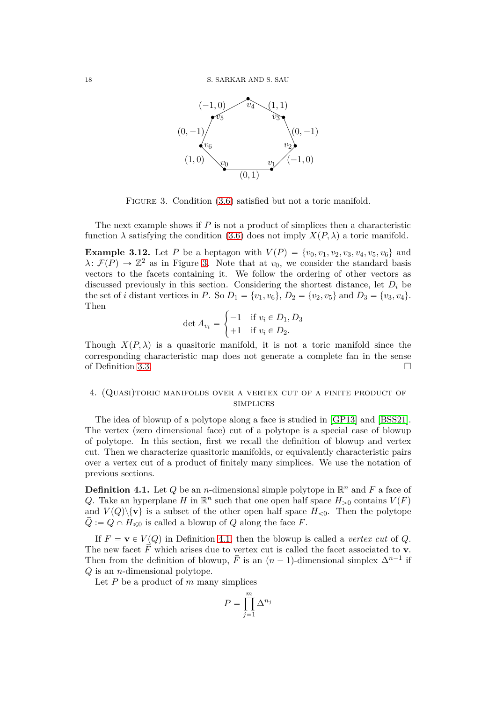

<span id="page-17-1"></span>FIGURE 3. Condition  $(3.6)$  satisfied but not a toric manifold.

The next example shows if *P* is not a product of simplices then a characteristic function  $\lambda$  satisfying the condition [\(3.6\)](#page-12-3) does not imply  $X(P, \lambda)$  a toric manifold.

**Example 3.12.** Let *P* be a heptagon with  $V(P) = \{v_0, v_1, v_2, v_3, v_4, v_5, v_6\}$  and  $\lambda \colon \mathcal{F}(P) \to \mathbb{Z}^2$  as in Figure [3.](#page-17-1) Note that at *v*<sub>0</sub>, we consider the standard basis vectors to the facets containing it. We follow the ordering of other vectors as discussed previously in this section. Considering the shortest distance, let  $D_i$  be the set of *i* distant vertices in *P*. So  $D_1 = \{v_1, v_6\}$ ,  $D_2 = \{v_2, v_5\}$  and  $D_3 = \{v_3, v_4\}$ . Then

$$
\det A_{v_i} = \begin{cases} -1 & \text{if } v_i \in D_1, D_3 \\ +1 & \text{if } v_i \in D_2. \end{cases}
$$

Though  $X(P, \lambda)$  is a quasitoric manifold, it is not a toric manifold since the corresponding characteristic map does not generate a complete fan in the sense of Definition [3.3.](#page-8-4)

## <span id="page-17-0"></span>4. (Quasi)toric manifolds over a vertex cut of a finite product of **SIMPLICES**

The idea of blowup of a polytope along a face is studied in [\[GP13\]](#page-43-15) and [\[BSS21\]](#page-43-10). The vertex (zero dimensional face) cut of a polytope is a special case of blowup of polytope. In this section, first we recall the definition of blowup and vertex cut. Then we characterize quasitoric manifolds, or equivalently characteristic pairs over a vertex cut of a product of finitely many simplices. We use the notation of previous sections.

<span id="page-17-2"></span>**Definition 4.1.** Let Q be an *n*-dimensional simple polytope in  $\mathbb{R}^n$  and F a face of *Q*. Take an hyperplane *H* in  $\mathbb{R}^n$  such that one open half space  $H_{>0}$  contains  $V(F)$ and  $V(Q)\$  is a subset of the other open half space  $H_{\leq 0}$ . Then the polytope  $Q := Q \cap H_{\leq 0}$  is called a blowup of *Q* along the face *F*.

If  $F = \mathbf{v} \in V(Q)$  in Definition [4.1,](#page-17-2) then the blowup is called a *vertex cut* of *Q*. The new facet  $\overline{F}$  which arises due to vertex cut is called the facet associated to **v**. Then from the definition of blowup,  $\overline{F}$  is an  $(n-1)$ -dimensional simplex  $\Delta^{n-1}$  if *Q* is an *n*-dimensional polytope.

Let *P* be a product of *m* many simplices

$$
P = \prod_{j=1}^{m} \Delta^{n_j}
$$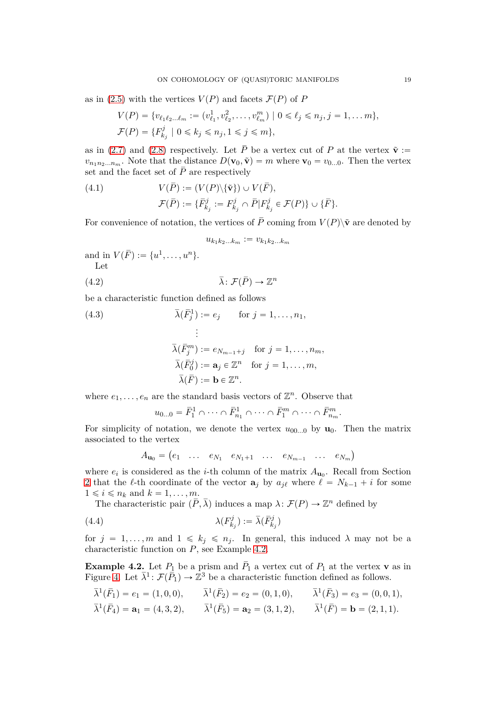as in [\(2.5\)](#page-3-0) with the vertices  $V(P)$  and facets  $\mathcal{F}(P)$  of *P* 

$$
V(P) = \{v_{\ell_1\ell_2\ldots\ell_m} := (v_{\ell_1}^1, v_{\ell_2}^2, \ldots, v_{\ell_m}^m) \mid 0 \le \ell_j \le n_j, j = 1, \ldots m\},\
$$
  

$$
\mathcal{F}(P) = \{F_{k_j}^j \mid 0 \le k_j \le n_j, 1 \le j \le m\},\
$$

as in [\(2.7\)](#page-4-5) and [\(2.8\)](#page-4-6) respectively. Let  $\overline{P}$  be a vertex cut of *P* at the vertex  $\tilde{\mathbf{v}}$  :=  $v_{n_1 n_2 ... n_m}$ . Note that the distance  $D(\mathbf{v}_0, \tilde{\mathbf{v}}) = m$  where  $\mathbf{v}_0 = v_{0...0}$ . Then the vertex set and the facet set of  $\overline{P}$  are respectively

<span id="page-18-3"></span>(4.1) 
$$
V(\overline{P}) := (V(P)\backslash{\{\tilde{\mathbf{v}}\}}) \cup V(\overline{F}),
$$

$$
\mathcal{F}(\overline{P}) := {\{\overline{F}_{k_j}^j := F_{k_j}^j \cap \overline{P} | F_{k_j}^j \in \mathcal{F}(P)\} \cup {\{\overline{F}\}}.
$$

For convenience of notation, the vertices of  $\overline{P}$  coming from  $V(P)\backslash\tilde{v}$  are denoted by

<span id="page-18-0"></span>
$$
u_{k_1k_2\ldots k_m} := v_{k_1k_2\ldots k_m}
$$

and in  $V(\bar{F}) := \{u^1, \ldots, u^n\}.$ Let

(4.2) 
$$
\overline{\lambda}: \mathcal{F}(\overline{P}) \to \mathbb{Z}^n
$$

be a characteristic function defined as follows

(4.3) 
$$
\overline{\lambda}(\overline{F}_j^1) := e_j \quad \text{for } j = 1, ..., n_1,
$$

$$
\vdots
$$

$$
\overline{\lambda}(\overline{F}_j^m) := e_{N_{m-1}+j} \quad \text{for } j = 1, ..., n_m,
$$

$$
\overline{\lambda}(\overline{F}_0^j) := \mathbf{a}_j \in \mathbb{Z}^n \quad \text{for } j = 1, ..., m,
$$

$$
\overline{\lambda}(\overline{F}) := \mathbf{b} \in \mathbb{Z}^n.
$$

where  $e_1, \ldots, e_n$  are the standard basis vectors of  $\mathbb{Z}^n$ . Observe that

$$
u_{0...0} = \bar{F}_1^1 \cap \cdots \cap \bar{F}_{n_1}^1 \cap \cdots \cap \bar{F}_1^m \cap \cdots \cap \bar{F}_{n_m}^m.
$$

For simplicity of notation, we denote the vertex  $u_{00...0}$  by  $\mathbf{u}_0$ . Then the matrix associated to the vertex

<span id="page-18-2"></span>
$$
A_{\mathbf{u}_0} = \begin{pmatrix} e_1 & \dots & e_{N_1} & e_{N_1+1} & \dots & e_{N_{m-1}} & \dots & e_{N_m} \end{pmatrix}
$$

where  $e_i$  is considered as the *i*-th column of the matrix  $A_{\mathbf{u}_0}$ . Recall from Section [2](#page-2-0) that the  $\ell$ -th coordinate of the vector  $\mathbf{a}_j$  by  $a_{j\ell}$  where  $\ell = N_{k-1} + i$  for some  $1 \leq i \leq n_k$  and  $k = 1, \ldots, m$ .

The characteristic pair  $(\overline{P}, \overline{\lambda})$  induces a map  $\lambda \colon \mathcal{F}(P) \to \mathbb{Z}^n$  defined by

(4.4) 
$$
\lambda(F_{k_j}^j) := \bar{\lambda}(\bar{F}_{k_j}^j)
$$

for  $j = 1, ..., m$  and  $1 \le k_j \le n_j$ . In general, this induced  $\lambda$  may not be a characteristic function on *P*, see Example [4.2.](#page-18-1)

<span id="page-18-1"></span>**Example 4.2.** Let  $P_1$  be a prism and  $P_1$  a vertex cut of  $P_1$  at the vertex **v** as in Figure [4.](#page-19-0) Let  $\bar{\lambda}^1$ :  $\mathcal{F}(\bar{P}_1) \to \mathbb{Z}^3$  be a characteristic function defined as follows.

$$
\bar{\lambda}^{1}(\bar{F}_{1}) = e_{1} = (1,0,0), \qquad \bar{\lambda}^{1}(\bar{F}_{2}) = e_{2} = (0,1,0), \qquad \bar{\lambda}^{1}(\bar{F}_{3}) = e_{3} = (0,0,1), \n\bar{\lambda}^{1}(\bar{F}_{4}) = \mathbf{a}_{1} = (4,3,2), \qquad \bar{\lambda}^{1}(\bar{F}_{5}) = \mathbf{a}_{2} = (3,1,2), \qquad \bar{\lambda}^{1}(\bar{F}) = \mathbf{b} = (2,1,1).
$$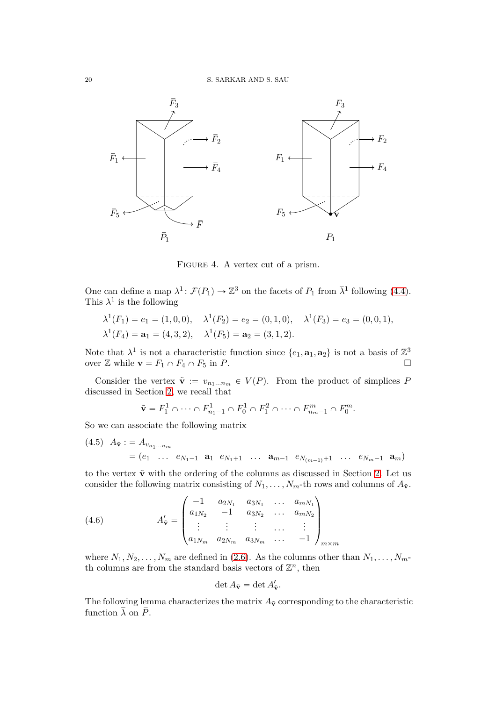

<span id="page-19-0"></span>FIGURE 4. A vertex cut of a prism.

One can define a map  $\lambda^1$ :  $\mathcal{F}(P_1) \to \mathbb{Z}^3$  on the facets of  $P_1$  from  $\bar{\lambda}^1$  following [\(4.4\)](#page-18-2). This  $\lambda^1$  is the following

$$
\lambda^1(F_1) = e_1 = (1, 0, 0), \quad \lambda^1(F_2) = e_2 = (0, 1, 0), \quad \lambda^1(F_3) = e_3 = (0, 0, 1), \n\lambda^1(F_4) = \mathbf{a}_1 = (4, 3, 2), \quad \lambda^1(F_5) = \mathbf{a}_2 = (3, 1, 2).
$$

Note that  $\lambda^1$  is not a characteristic function since  $\{e_1, \mathbf{a}_1, \mathbf{a}_2\}$  is not a basis of  $\mathbb{Z}^3$ over  $\mathbb{Z}$  while  $\mathbf{v} = F_1 \cap F_4 \cap F_5$  in *P*.

Consider the vertex  $\tilde{\mathbf{v}} := v_{n_1...n_m} \in V(P)$ . From the product of simplices *P* discussed in Section [2,](#page-2-0) we recall that

$$
\tilde{\mathbf{v}} = F_1^1 \cap \cdots \cap F_{n_1-1}^1 \cap F_0^1 \cap F_1^2 \cap \cdots \cap F_{n_m-1}^m \cap F_0^m.
$$

So we can associate the following matrix

<span id="page-19-1"></span> $(A.5)$   $A_{\tilde{v}}$  : =  $A_{v_{n_1...n_m}}$  $p = (e_1 \ldots e_{N_1-1} \mathbf{a}_1 e_{N_1+1} \ldots \mathbf{a}_{m-1} e_{N_{(m-1)}+1} \ldots e_{N_m-1} \mathbf{a}_m)$ 

to the vertex  $\tilde{\mathbf{v}}$  with the ordering of the columns as discussed in Section [2.](#page-2-0) Let us consider the following matrix consisting of  $N_1, \ldots, N_m$ -th rows and columns of  $A_{\tilde{\mathbf{v}}}$ .

(4.6) 
$$
A'_{\tilde{\mathbf{v}}} = \begin{pmatrix} -1 & a_{2N_1} & a_{3N_1} & \cdots & a_{mN_1} \\ a_{1N_2} & -1 & a_{3N_2} & \cdots & a_{mN_2} \\ \vdots & \vdots & \vdots & \cdots & \vdots \\ a_{1N_m} & a_{2N_m} & a_{3N_m} & \cdots & -1 \end{pmatrix}_{m \times m}
$$

where  $N_1, N_2, \ldots, N_m$  are defined in [\(2.6\)](#page-4-1). As the columns other than  $N_1, \ldots, N_m$ th columns are from the standard basis vectors of  $\mathbb{Z}^n$ , then

$$
\det A_{\tilde{\mathbf{v}}} = \det A'_{\tilde{\mathbf{v}}}.
$$

The following lemma characterizes the matrix  $A_{\tilde{v}}$  corresponding to the characteristic function  $\overline{\lambda}$  on  $\overline{P}$ .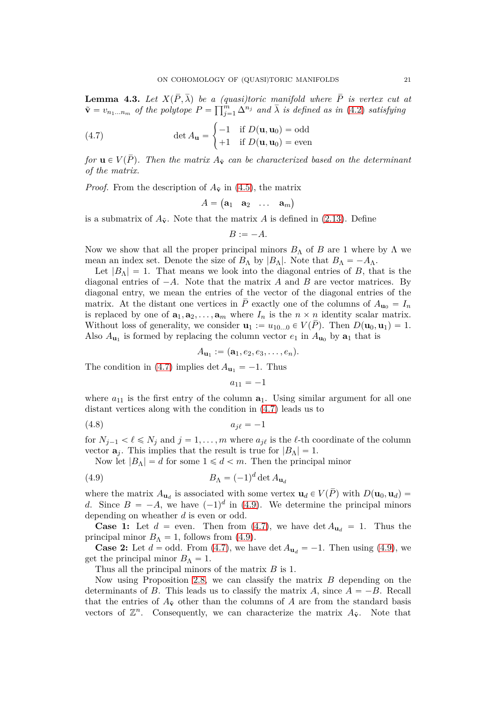<span id="page-20-0"></span>**Lemma 4.3.** Let  $X(\overline{P}, \overline{\lambda})$  be a *(quasi)toric manifold where*  $\overline{P}$  *is vertex cut at*  $\tilde{\mathbf{v}} = v_{n_1...n_m}$  of the polytope  $P = \prod_{j=1}^{m} \Delta^{n_j}$  and  $\overline{\lambda}$  is defined as in [\(4.2\)](#page-18-0) satisfying

<span id="page-20-1"></span>(4.7) 
$$
\det A_{\mathbf{u}} = \begin{cases} -1 & \text{if } D(\mathbf{u}, \mathbf{u}_0) = \text{odd} \\ +1 & \text{if } D(\mathbf{u}, \mathbf{u}_0) = \text{even} \end{cases}
$$

*for*  $\mathbf{u} \in V(\overline{P})$ *. Then the matrix*  $A_{\tilde{v}}$  *can be characterized based on the determinant of the matrix.*

*Proof.* From the description of  $A_{\tilde{v}}$  in [\(4.5\)](#page-19-1), the matrix

$$
A = \begin{pmatrix} \mathbf{a}_1 & \mathbf{a}_2 & \dots & \mathbf{a}_m \end{pmatrix}
$$

is a submatrix of  $A_{\tilde{\mathbf{v}}}$ . Note that the matrix A is defined in [\(2.13\)](#page-5-0). Define

$$
B:=-A.
$$

Now we show that all the proper principal minors  $B_\Lambda$  of *B* are 1 where by  $\Lambda$  we mean an index set. Denote the size of  $B_{\Lambda}$  by  $|B_{\Lambda}|$ . Note that  $B_{\Lambda} = -A_{\Lambda}$ .

Let  $|B_\Lambda| = 1$ . That means we look into the diagonal entries of *B*, that is the diagonal entries of  $-A$ . Note that the matrix *A* and *B* are vector matrices. By diagonal entry, we mean the entries of the vector of the diagonal entries of the matrix. At the distant one vertices in  $\overline{P}$  exactly one of the columns of  $A_{\mathbf{u}_0} = I_n$ is replaced by one of  $\mathbf{a}_1, \mathbf{a}_2, \ldots, \mathbf{a}_m$  where  $I_n$  is the  $n \times n$  identity scalar matrix. Without loss of generality, we consider  $\mathbf{u}_1 := u_{10...0} \in V(\overline{P})$ . Then  $D(\mathbf{u}_0, \mathbf{u}_1) = 1$ . Also  $A_{\mathbf{u}_1}$  is formed by replacing the column vector  $e_1$  in  $A_{\mathbf{u}_0}$  by  $\mathbf{a}_1$  that is

$$
A_{\mathbf{u}_1}:=(\mathbf{a}_1,e_2,e_3,\ldots,e_n).
$$

The condition in [\(4.7\)](#page-20-1) implies  $\det A_{\mathbf{u}_1} = -1$ . Thus

<span id="page-20-3"></span><span id="page-20-2"></span> $a_{11} = -1$ 

where  $a_{11}$  is the first entry of the column  $a_1$ . Using similar argument for all one distant vertices along with the condition in [\(4.7\)](#page-20-1) leads us to

$$
(4.8) \t\t a_{j\ell} = -1
$$

for  $N_{j-1} < \ell \leq N_j$  and  $j = 1, ..., m$  where  $a_{j\ell}$  is the  $\ell$ -th coordinate of the column vector  $\mathbf{a}_j$ . This implies that the result is true for  $|B_\Lambda| = 1$ .

Now let  $|B_\Lambda| = d$  for some  $1 \leq d \leq m$ . Then the principal minor

$$
(4.9) \t\t B_{\Lambda} = (-1)^d \det A_{\mathbf{u}_d}
$$

where the matrix  $A_{\mathbf{u}_d}$  is associated with some vertex  $\mathbf{u}_d \in V(P)$  with  $D(\mathbf{u}_0, \mathbf{u}_d)$ *d*. Since  $B = -A$ , we have  $(-1)^d$  in [\(4.9\)](#page-20-2). We determine the principal minors depending on wheather *d* is even or odd.

**Case 1:** Let  $d =$  even. Then from [\(4.7\)](#page-20-1), we have det  $A_{\mathbf{u}_d} = 1$ . Thus the principal minor  $B_\Lambda = 1$ , follows from [\(4.9\)](#page-20-2).

**Case 2:** Let  $d = \text{odd}$ . From [\(4.7\)](#page-20-1), we have det  $A_{\mathbf{u}_d} = -1$ . Then using [\(4.9\)](#page-20-2), we get the principal minor  $B_\Lambda = 1$ .

Thus all the principal minors of the matrix *B* is 1.

Now using Proposition [2.8,](#page-6-1) we can classify the matrix *B* depending on the determinants of *B*. This leads us to classify the matrix *A*, since  $A = -B$ . Recall that the entries of  $A_{\tilde{v}}$  other than the columns of A are from the standard basis vectors of  $\mathbb{Z}^n$ . Consequently, we can characterize the matrix  $A_{\tilde{\mathbf{v}}}$ . Note that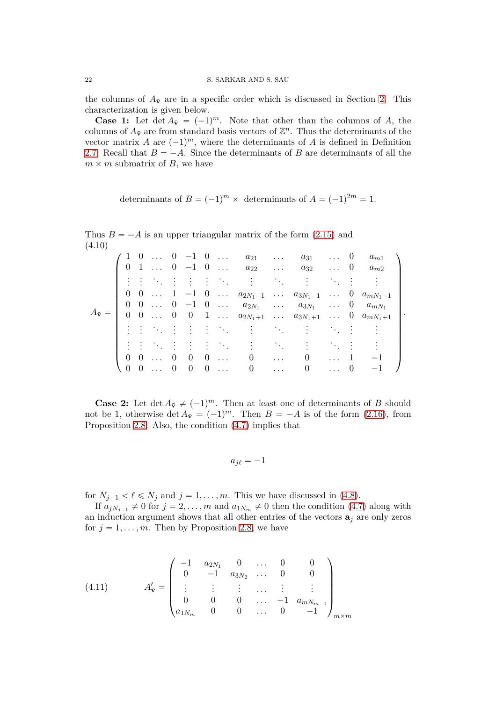the columns of  $A_{\tilde{v}}$  are in a specific order which is discussed in Section [2.](#page-2-0) This characterization is given below.

**Case 1:** Let  $\det A_{\tilde{v}} = (-1)^m$ . Note that other than the columns of *A*, the columns of  $A_{\tilde{v}}$  are from standard basis vectors of  $\mathbb{Z}^n$ . Thus the determinants of the vector matrix *A* are  $(-1)^m$ , where the determinants of *A* is defined in Definition [2.7.](#page-6-2) Recall that  $B = -A$ . Since the determinants of *B* are determinants of all the  $m \times m$  submatrix of *B*, we have

determinants of  $B = (-1)^m \times$  determinants of  $A = (-1)^{2m} = 1$ .

<span id="page-21-0"></span>

| $- - -$                    |  |                                          |  |                                                                                         |                                                                                                                                                     |                                                               |            |                                                         |                |                     |  |
|----------------------------|--|------------------------------------------|--|-----------------------------------------------------------------------------------------|-----------------------------------------------------------------------------------------------------------------------------------------------------|---------------------------------------------------------------|------------|---------------------------------------------------------|----------------|---------------------|--|
|                            |  |                                          |  |                                                                                         | $1 \ 0 \ \ldots \ 0 \ -1 \ 0 \ \ldots \ a_{21} \ \ldots$                                                                                            |                                                               | $a_{31}$ 0 |                                                         |                | $a_{m1}$            |  |
|                            |  |                                          |  |                                                                                         | $0 \quad 1 \quad \dots \quad 0 \quad -1 \quad 0 \quad \dots \quad a_{22} \quad \dots$                                                               |                                                               | $a_{32}$   |                                                         |                | $\ldots$ 0 $a_{m2}$ |  |
|                            |  |                                          |  |                                                                                         | 主要 医自由性 医心脏心包炎                                                                                                                                      |                                                               |            | $\mathcal{D}(\mathcal{A})$ , $\mathcal{D}(\mathcal{A})$ |                |                     |  |
|                            |  |                                          |  |                                                                                         | $0 \quad 0 \quad \ldots \quad 1 \quad -1 \quad 0 \quad \ldots \quad a_{2N_1-1} \quad \ldots \quad a_{3N_1-1} \quad \ldots \quad 0 \quad a_{mN_1-1}$ |                                                               |            |                                                         |                |                     |  |
|                            |  |                                          |  |                                                                                         | 0 0  0 -1 0 $a_{2N_1}$ $a_{3N_1}$ 0 $a_{mN_1}$                                                                                                      |                                                               |            |                                                         |                |                     |  |
| $A_{\tilde{\mathbf{v}}} =$ |  |                                          |  |                                                                                         | $0 \quad 0 \quad \ldots \quad 0 \quad 0 \quad 1 \quad \ldots \quad a_{2N_1+1} \quad \ldots \quad a_{3N_1+1} \quad \ldots \quad 0 \quad a_{mN_1+1}$  |                                                               |            |                                                         |                |                     |  |
|                            |  |                                          |  | 王子 医马尔氏试验检尿                                                                             |                                                                                                                                                     | $\mathcal{L}^{\text{max}}(\mathcal{L}^{\text{max}})$          |            | $\mathbb{R}^n \times \mathbb{R}^n \times \mathbb{R}$    |                |                     |  |
|                            |  | 4.4.4.4.4                                |  | $\mathcal{L}=\frac{1}{2}$ , where $\mathcal{L}=\frac{1}{2}$ , $\mathcal{L}=\frac{1}{2}$ |                                                                                                                                                     | $\sim 10^{11}$                                                |            |                                                         |                |                     |  |
|                            |  | $0 \quad 0 \quad \ldots \quad 0 \quad 0$ |  | $0 \ldots$                                                                              | $\begin{array}{ccc} & & 0 & \end{array}$                                                                                                            | $\ldots$ .                                                    | 0          |                                                         |                | $-1$                |  |
|                            |  | $(0 \ 0 \  \ 0 \ 0)$                     |  | $0 \ldots$                                                                              | $\hspace{1.6cm}0$                                                                                                                                   | $\mathcal{L}^{\text{max}}$ , where $\mathcal{L}^{\text{max}}$ | $\theta$   | $\ldots$                                                | $\overline{0}$ | $^{-1}$             |  |
|                            |  |                                          |  |                                                                                         |                                                                                                                                                     |                                                               |            |                                                         |                |                     |  |

Thus  $B = -A$  is an upper triangular matrix of the form  $(2.15)$  and  $(4.10)$ 

**Case 2:** Let  $\det A_{\tilde{v}} \neq (-1)^m$ . Then at least one of determinants of *B* should not be 1, otherwise  $\det A_{\tilde{v}} = (-1)^m$ . Then  $B = -A$  is of the form [\(2.16\)](#page-6-4), from Proposition [2.8.](#page-6-1) Also, the condition [\(4.7\)](#page-20-1) implies that

$$
a_{j\ell}=-1
$$

for  $N_{j-1} < l \le N_j$  and  $j = 1, ..., m$ . This we have discussed in [\(4.8\)](#page-20-3).

If  $a_{jN_{j-1}} \neq 0$  for  $j = 2, ..., m$  and  $a_{1N_m} \neq 0$  then the condition [\(4.7\)](#page-20-1) along with an induction argument shows that all other entries of the vectors  $\mathbf{a}_i$  are only zeros for  $j = 1, \ldots, m$ . Then by Proposition [2.8,](#page-6-1) we have

(4.11) 
$$
A'_{\mathbf{v}} = \begin{pmatrix} -1 & a_{2N_1} & 0 & \dots & 0 & 0 \\ 0 & -1 & a_{3N_2} & \dots & 0 & 0 \\ \vdots & \vdots & \vdots & \dots & \vdots & \vdots \\ 0 & 0 & 0 & \dots & -1 & a_{mN_{m-1}} \\ a_{1N_m} & 0 & 0 & \dots & 0 & -1 \end{pmatrix}_{m \times m}
$$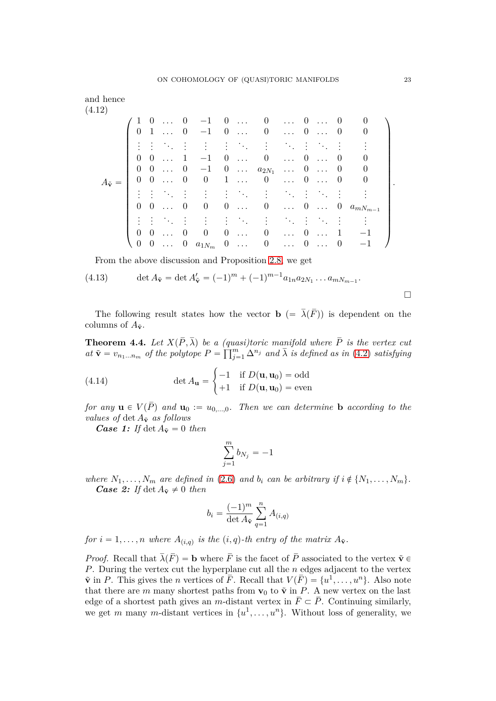(4.12)

\n(4.12)

\n
$$
A_{\tilde{\mathbf{v}}} = \begin{pmatrix}\n1 & 0 & \cdots & 0 & -1 & 0 & \cdots & 0 & \cdots & 0 & \cdots & 0 & 0 \\
0 & 1 & \cdots & 0 & -1 & 0 & \cdots & 0 & \cdots & 0 & \cdots & 0 & 0 \\
\vdots & \vdots & \ddots & \vdots & \vdots & \vdots & \ddots & \vdots & \ddots & \vdots & \ddots & \vdots & \vdots \\
0 & 0 & \cdots & 1 & -1 & 0 & \cdots & 0 & \cdots & 0 & \cdots & 0 & 0 \\
0 & 0 & \cdots & 0 & -1 & 0 & \cdots & 0 & \cdots & 0 & \cdots & 0 & 0 \\
\vdots & \vdots & \ddots & \vdots & \vdots & \vdots & \ddots & \vdots & \ddots & \vdots & \ddots & \vdots & \vdots \\
0 & 0 & \cdots & 0 & 0 & 0 & \cdots & 0 & \cdots & 0 & \cdots & 0 & \cdots & 0 & a_{mN_{m-1}} \\
0 & 0 & \cdots & 0 & 0 & 0 & \cdots & 0 & \cdots & 0 & \cdots & 0 & \cdots & 1 & -1 \\
0 & 0 & \cdots & 0 & a_{1N_{m}} & 0 & \cdots & 0 & \cdots & 0 & \cdots & 0 & -1\n\end{pmatrix}
$$

<span id="page-22-3"></span><span id="page-22-2"></span>From the above discussion and Proposition [2.8,](#page-6-1) we get

(4.13) 
$$
\det A_{\tilde{\mathbf{v}}} = \det A'_{\tilde{\mathbf{v}}} = (-1)^m + (-1)^{m-1} a_{1n} a_{2N_1} \dots a_{mN_{m-1}}.
$$

The following result states how the vector **b**  $(=\bar{\lambda}(\bar{F}))$  is dependent on the columns of  $A_{\tilde{v}}$ .

<span id="page-22-0"></span>**Theorem 4.4.** Let  $X(P, \lambda)$  be a (quasi)toric manifold where P is the vertex cut  $a_n \tilde{\mathbf{v}} = v_{n_1...n_m}$  *of the polytope*  $P = \prod_{j=1}^m \Delta^{n_j}$  *and*  $\overline{\lambda}$  *is defined as in* [\(4.2\)](#page-18-0) *satisfying* 

<span id="page-22-1"></span>(4.14) 
$$
\det A_{\mathbf{u}} = \begin{cases} -1 & \text{if } D(\mathbf{u}, \mathbf{u}_0) = \text{odd} \\ +1 & \text{if } D(\mathbf{u}, \mathbf{u}_0) = \text{even} \end{cases}
$$

*for any*  $\mathbf{u} \in V(\overline{P})$  *and*  $\mathbf{u}_0 := u_{0,...,0}$ *. Then we can determine* **b** *according to the values of*  $\det A_{\tilde{\mathbf{v}}}$  *as follows* 

*Case 1: If*  $\det A_{\tilde{\mathbf{v}}} = 0$  *then* 

$$
\sum_{j=1}^m b_{N_j} = -1
$$

*where*  $N_1, \ldots, N_m$  *are defined in* [\(2.6\)](#page-4-1) *and*  $b_i$  *can be arbitrary if*  $i \notin \{N_1, \ldots, N_m\}$ . *Case 2: If*  $\det A_{\tilde{v}} \neq 0$  *then* 

$$
b_i = \frac{(-1)^m}{\det A_{\tilde{\mathbf{v}}}} \sum_{q=1}^n A_{(i,q)}
$$

*for*  $i = 1, \ldots, n$  *where*  $A_{(i,q)}$  *is the*  $(i,q)$ -*th entry of the matrix*  $A_{\tilde{\mathbf{v}}}$ *.* 

*Proof.* Recall that  $\bar{\lambda}(\bar{F}) = \mathbf{b}$  where  $\bar{F}$  is the facet of  $\bar{P}$  associated to the vertex  $\tilde{\mathbf{v}} \in \mathbb{R}$ *P*. During the vertex cut the hyperplane cut all the *n* edges adjacent to the vertex  $\tilde{\mathbf{v}}$  in *P*. This gives the *n* vertices of  $\overline{F}$ . Recall that  $V(\overline{F}) = \{u^1, \ldots, u^n\}$ . Also note that there are *m* many shortest paths from  $\mathbf{v}_0$  to  $\tilde{\mathbf{v}}$  in *P*. A new vertex on the last edge of a shortest path gives an *m*-distant vertex in  $\bar{F} \subset \bar{P}$ . Continuing similarly, we get *m* many *m*-distant vertices in  $\{u^1, \ldots, u^n\}$ . Without loss of generality, we

 $\Box$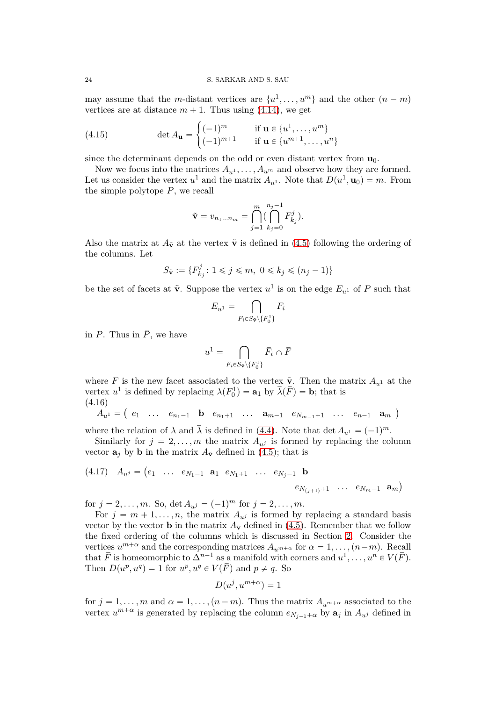may assume that the *m*-distant vertices are  $\{u^1, \ldots, u^m\}$  and the other  $(n - m)$ vertices are at distance  $m + 1$ . Thus using [\(4.14\)](#page-22-1), we get

(4.15) 
$$
\det A_{\mathbf{u}} = \begin{cases} (-1)^m & \text{if } \mathbf{u} \in \{u^1, \dots, u^m\} \\ (-1)^{m+1} & \text{if } \mathbf{u} \in \{u^{m+1}, \dots, u^n\} \end{cases}
$$

since the determinant depends on the odd or even distant vertex from  $\mathbf{u}_0$ .

Now we focus into the matrices  $A_{u}$ <sup>1</sup>,  $\ldots$ ,  $A_{u}$ <sup>*m*</sup> and observe how they are formed. Let us consider the vertex  $u^1$  and the matrix  $A_{u^1}$ . Note that  $D(u^1, \mathbf{u}_0) = m$ . From the simple polytope *P*, we recall

$$
\tilde{\mathbf{v}} = v_{n_1...n_m} = \bigcap_{j=1}^m \bigl( \bigcap_{k_j=0}^{n_j-1} F_{k_j}^j \bigr).
$$

Also the matrix at  $A_{\tilde{v}}$  at the vertex  $\tilde{v}$  is defined in [\(4.5\)](#page-19-1) following the ordering of the columns. Let

$$
S_{\tilde{\mathbf{v}}} := \{ F_{k_j}^j \colon 1 \leqslant j \leqslant m, \ 0 \leqslant k_j \leqslant (n_j - 1) \}
$$

be the set of facets at  $\tilde{\mathbf{v}}$ . Suppose the vertex  $u^1$  is on the edge  $E_{u^1}$  of  $P$  such that

$$
E_{u^1} = \bigcap_{F_i \in S_{\tilde{\mathbf{v}}} \backslash \{F_0^1\}} F_i
$$

in *P*. Thus in  $\overline{P}$ , we have

$$
u^1 = \bigcap_{F_i \in S_{\tilde{\mathbf{v}}} \setminus \{F_0^1\}} \bar{F}_i \cap \bar{F}
$$

where  $\overline{F}$  is the new facet associated to the vertex  $\tilde{v}$ . Then the matrix  $A_{u^1}$  at the vertex  $u^1$  is defined by replacing  $\lambda(F_0^1) = \mathbf{a}_1$  by  $\overline{\lambda}(\overline{F}) = \mathbf{b}$ ; that is (4.16)

$$
A_{u}^{i} = (e_1 \ldots e_{n_1-1} \mathbf{b} e_{n_1+1} \ldots a_{m-1} e_{N_{m-1}+1} \ldots e_{n-1} a_m)
$$

where the relation of  $\lambda$  and  $\overline{\lambda}$  is defined in [\(4.4\)](#page-18-2). Note that det  $A_{u} = (-1)^m$ .

Similarly for  $j = 2, \ldots, m$  the matrix  $A_{ij}$  is formed by replacing the column vector  $\mathbf{a}_i$  by **b** in the matrix  $A_{\tilde{\mathbf{v}}}$  defined in [\(4.5\)](#page-19-1); that is

<span id="page-23-0"></span>(4.17) 
$$
A_{u^j} = (e_1 \dots e_{N_1-1} \mathbf{a}_1 e_{N_1+1} \dots e_{N_j-1} \mathbf{b}
$$
  
 $e_{N_{(j+1)}+1} \dots e_{N_m-1} \mathbf{a}_m)$ 

for  $j = 2, ..., m$ . So,  $\det A_{u^j} = (-1)^m$  for  $j = 2, ..., m$ .

For  $j = m + 1, \ldots, n$ , the matrix  $A_{\mu j}$  is formed by replacing a standard basis vector by the vector **b** in the matrix  $A_{\tilde{v}}$  defined in [\(4.5\)](#page-19-1). Remember that we follow the fixed ordering of the columns which is discussed in Section [2.](#page-2-0) Consider the vertices  $u^{m+\alpha}$  and the corresponding matrices  $A_{u^{m+\alpha}}$  for  $\alpha = 1, \ldots, (n-m)$ . Recall that  $\overline{F}$  is homeomorphic to  $\Delta^{n-1}$  as a manifold with corners and  $u^1, \ldots, u^n \in V(\overline{F})$ . Then  $D(u^p, u^q) = 1$  for  $u^p, u^q \in V(\overline{F})$  and  $p \neq q$ . So

$$
D(u^j, u^{m+\alpha}) = 1
$$

for  $j = 1, \ldots, m$  and  $\alpha = 1, \ldots, (n - m)$ . Thus the matrix  $A_{u^{m+\alpha}}$  associated to the vertex  $u^{m+\alpha}$  is generated by replacing the column  $e_{N_{j-1}+\alpha}$  by  $a_j$  in  $A_{u^j}$  defined in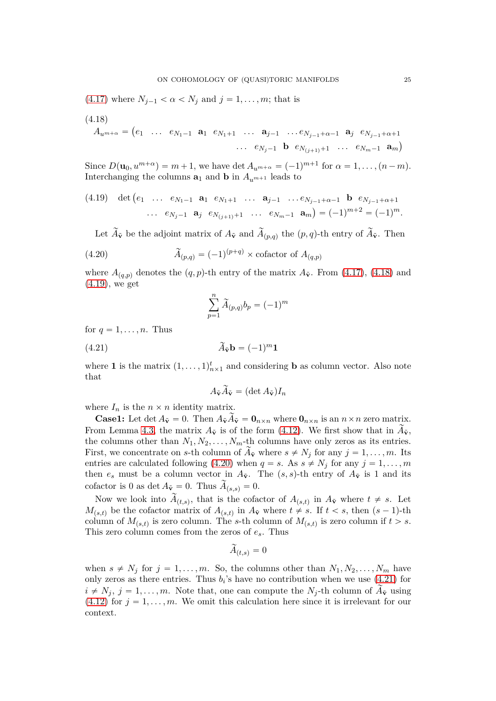$(4.17)$  where  $N_{j-1} < \alpha < N_j$  and  $j = 1, ..., m$ ; that is

<span id="page-24-0"></span>(4.18)  
\n
$$
A_{u^{m+\alpha}} = (e_1 \cdots e_{N_1-1} \mathbf{a}_1 e_{N_1+1} \cdots \mathbf{a}_{j-1} \cdots e_{N_{j-1}+\alpha-1} \mathbf{a}_j e_{N_{j-1}+\alpha+1}
$$
  
\n $\cdots e_{N_j-1} \mathbf{b} e_{N_{(j+1)}+1} \cdots e_{N_m-1} \mathbf{a}_m)$ 

Since  $D(\mathbf{u}_0, u^{m+\alpha}) = m+1$ , we have det  $A_{u^{m+\alpha}} = (-1)^{m+1}$  for  $\alpha = 1, \ldots, (n-m)$ . Interchanging the columns  $\mathbf{a}_1$  and  $\mathbf{b}$  in  $A_{u^{m+1}}$  leads to

<span id="page-24-1"></span>(4.19) det 
$$
(e_1 \cdots e_{N_1-1} \mathbf{a}_1 e_{N_1+1} \cdots \mathbf{a}_{j-1} \cdots e_{N_{j-1}+\alpha-1} \mathbf{b} e_{N_{j-1}+\alpha+1}
$$
  
...  $e_{N_j-1} \mathbf{a}_j e_{N_{(j+1)}+1} \cdots e_{N_m-1} \mathbf{a}_m) = (-1)^{m+2} = (-1)^m$ .

Let  $A_{\tilde{\mathbf{v}}}$  be the adjoint matrix of  $A_{\tilde{\mathbf{v}}}$  and  $A_{(p,q)}$  the  $(p,q)$ -th entry of  $A_{\tilde{\mathbf{v}}}$ . Then

(4.20) 
$$
\widetilde{A}_{(p,q)} = (-1)^{(p+q)} \times \text{cofactor of } A_{(q,p)}
$$

where  $A_{(q,p)}$  denotes the  $(q, p)$ -th entry of the matrix  $A_{\tilde{\mathbf{v}}}$ . From [\(4.17\)](#page-23-0), [\(4.18\)](#page-24-0) and [\(4.19\)](#page-24-1), we get

<span id="page-24-2"></span>
$$
\sum_{p=1}^{n} \widetilde{A}_{(p,q)} b_p = (-1)^m
$$

for  $q = 1, \ldots, n$ . Thus

$$
\widetilde{A}_{\widetilde{\mathbf{v}}} \mathbf{b} = (-1)^m \mathbf{1}
$$

where **1** is the matrix  $(1, \ldots, 1)_{n \times 1}^t$  and considering **b** as column vector. Also note that

<span id="page-24-3"></span>
$$
A_{\tilde{\mathbf{v}}} \tilde{A}_{\tilde{\mathbf{v}}} = (\det A_{\tilde{\mathbf{v}}}) I_n
$$

where  $I_n$  is the  $n \times n$  identity matrix.

**Case1:** Let det  $A_{\tilde{v}} = 0$ . Then  $A_{\tilde{v}} \tilde{A}_{\tilde{v}} = 0_{n \times n}$  where  $0_{n \times n}$  is an  $n \times n$  zero matrix. From Lemma [4.3,](#page-20-0) the matrix  $A_{\tilde{v}}$  is of the form [\(4.12\)](#page-22-2). We first show that in  $\tilde{A}_{\tilde{v}}$ , the columns other than  $N_1, N_2, \ldots, N_m$ -th columns have only zeros as its entries. First, we concentrate on *s*-th column of  $\tilde{A}_{\tilde{V}}$  where  $s \neq N_j$  for any  $j = 1, ..., m$ . Its entries are calculated following [\(4.20\)](#page-24-2) when  $q = s$ . As  $s \neq N_j$  for any  $j = 1, \ldots, m$ then  $e_s$  must be a column vector in  $A_{\tilde{v}}$ . The  $(s, s)$ -th entry of  $A_{\tilde{v}}$  is 1 and its cofactor is 0 as det  $A_{\tilde{\mathbf{v}}} = 0$ . Thus  $A_{(s,s)} = 0$ .

Now we look into  $A_{(t,s)}$ , that is the cofactor of  $A_{(s,t)}$  in  $A_{\tilde{v}}$  where  $t \neq s$ . Let  $M_{(s,t)}$  be the cofactor matrix of  $A_{(s,t)}$  in  $A_{\tilde{v}}$  where  $t \neq s$ . If  $t < s$ , then  $(s-1)$ -th column of  $M_{(s,t)}$  is zero column. The *s*-th column of  $M_{(s,t)}$  is zero column if  $t > s$ . This zero column comes from the zeros of *es*. Thus

$$
\tilde{A}_{(t,s)}=0
$$

when  $s \neq N_j$  for  $j = 1, ..., m$ . So, the columns other than  $N_1, N_2, ..., N_m$  have only zeros as there entries. Thus  $b_i$ 's have no contribution when we use  $(4.21)$  for  $i \neq N_j$ ,  $j = 1, \ldots, m$ . Note that, one can compute the  $N_j$ -th column of  $A_{\tilde{v}}$  using  $(4.12)$  for  $j = 1, \ldots, m$ . We omit this calculation here since it is irrelevant for our context.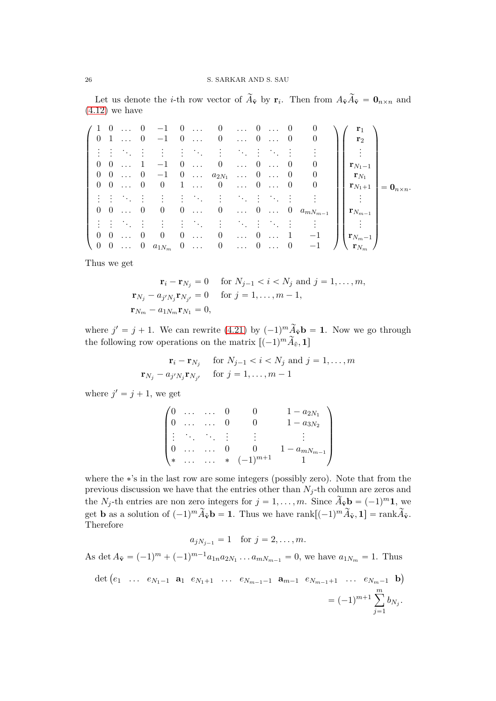Let us denote the *i*-th row vector of  $A_{\tilde{v}}$  by  $\mathbf{r}_i$ . Then from  $A_{\tilde{v}}A_{\tilde{v}} = \mathbf{0}_{n \times n}$  and  $(4.12)$  we have

|  |                                                   | $/ 1 0  0 -1 0  0  0  0  0$                                                                                             |  |  |  |                                                                             | ${\bf r}_1$                                          |
|--|---------------------------------------------------|-------------------------------------------------------------------------------------------------------------------------|--|--|--|-----------------------------------------------------------------------------|------------------------------------------------------|
|  |                                                   | $0 \quad 1 \quad  \quad 0 \quad -1 \quad 0 \quad  \quad 0 \quad  \quad 0 \quad  \quad 0$                                |  |  |  |                                                                             | ${\bf r}_2$                                          |
|  |                                                   | 主要 医自己的 主要的 电二极电压器                                                                                                      |  |  |  |                                                                             |                                                      |
|  |                                                   | $0 \t 0 \t  \t 1 \t -1 \t 0 \t  \t 0 \t  \t 0 \t  \t 0$                                                                 |  |  |  |                                                                             | ${\bf r}_{N_1-1}$                                    |
|  |                                                   | $0 \quad 0 \quad \ldots \quad 0 \quad -1 \quad 0 \quad \ldots \quad a_{2N_1} \quad \ldots \quad 0 \quad \ldots \quad 0$ |  |  |  | $\cup$                                                                      | ${\bf r}_{N_1}$                                      |
|  |                                                   | $0 \t 0 \t  \t 0 \t 0 \t 1 \t  \t 0 \t  \t 0 \t  \t 0$                                                                  |  |  |  | $\cup$                                                                      | $\mathbf{r}_{N_1+1}$<br>$= \mathbf{0}_{n \times n}.$ |
|  | 그는 아이를                                            | 10 Hotel Andrea Hotel Andrea Hotel                                                                                      |  |  |  |                                                                             |                                                      |
|  | $\begin{bmatrix} 0 & 0 & \dots & 0 \end{bmatrix}$ |                                                                                                                         |  |  |  | $0 \quad 0 \quad  \quad 0 \quad  \quad 0 \quad  \quad 0 \quad a_{mN_{m-1}}$ | $\mathbf{r}_{N_{m-1}}$                               |
|  |                                                   | 主任 医后列氏反射 医心脏心脏 医心脏                                                                                                     |  |  |  |                                                                             |                                                      |
|  | $0 \quad 0 \quad \ldots \quad 0$                  | $0 \quad 0 \quad \dots \quad 0 \quad \dots \quad 0 \quad \dots \quad 1$                                                 |  |  |  | $-1$                                                                        | $\mathbf{r}_{N_m-1}$                                 |
|  |                                                   | $(0 \ 0 \  \ 0 \ a_{1N_m} \ 0 \  \ 0 \  \ 0 \  \ 0 \ $                                                                  |  |  |  | $-1$                                                                        | $\langle \mathbf{r}_{N_m} \rangle$                   |

Thus we get

$$
\mathbf{r}_{i} - \mathbf{r}_{N_{j}} = 0 \quad \text{for } N_{j-1} < i < N_{j} \text{ and } j = 1, \dots, m,
$$
\n
$$
\mathbf{r}_{N_{j}} - a_{j'N_{j}} \mathbf{r}_{N_{j'}} = 0 \quad \text{for } j = 1, \dots, m-1,
$$
\n
$$
\mathbf{r}_{N_{m}} - a_{1N_{m}} \mathbf{r}_{N_{1}} = 0,
$$

where  $j' = j + 1$ . We can rewrite [\(4.21\)](#page-24-3) by  $(-1)^m \widetilde{A}_{\tilde{\mathbf{v}}} \mathbf{b} = \mathbf{1}$ . Now we go through the following row operations on the matrix  $[(-1)^m \tilde{A}_{\tilde{v}}, \mathbf{1}]$ 

$$
\mathbf{r}_{i} - \mathbf{r}_{N_{j}} \quad \text{for } N_{j-1} < i < N_{j} \text{ and } j = 1, \dots, m
$$
\n
$$
\mathbf{r}_{N_{j}} - a_{j} \mathbf{r}_{N_{j'}} \quad \text{for } j = 1, \dots, m-1
$$

where  $j' = j + 1$ , we get

|        |     |                |                | $1 - a_{2N_1}$   |
|--------|-----|----------------|----------------|------------------|
|        | . . | $\cdot$ .<br>٠ |                | $-a_{3N_2}$      |
| ٠      |     |                |                |                  |
|        |     |                |                | $- a_{mN_{m-1}}$ |
| $\ast$ | . . |                | * $(-1)^{m+1}$ |                  |

where the \*'s in the last row are some integers (possibly zero). Note that from the previous discussion we have that the entries other than  $N_j$ -th column are zeros and the *N*<sub>j</sub>-th entries are non zero integers for  $j = 1, ..., m$ . Since  $\widetilde{A}_{\tilde{v}}$ **b** =  $(-1)^m$ **1**, we get **b** as a solution of  $(-1)^m \widetilde{A}_{\tilde{\mathbf{v}}} \mathbf{b} = \mathbf{1}$ . Thus we have rank $[(-1)^m \widetilde{A}_{\tilde{\mathbf{v}}}, \mathbf{1}] = \text{rank}\widetilde{A}_{\tilde{\mathbf{v}}}$ . Therefore

$$
a_{jN_{j-1}} = 1
$$
 for  $j = 2, ..., m$ .

As det  $A_{\tilde{v}} = (-1)^m + (-1)^{m-1} a_{1n} a_{2N_1} \dots a_{mN_{m-1}} = 0$ , we have  $a_{1N_m} = 1$ . Thus

$$
\det (e_1 \ \ldots \ e_{N_1-1} \ \mathbf{a}_1 \ e_{N_1+1} \ \ldots \ e_{N_{m-1}-1} \ \mathbf{a}_{m-1} \ e_{N_{m-1}+1} \ \ldots \ e_{N_m-1} \ \mathbf{b})
$$

$$
= (-1)^{m+1} \sum_{j=1}^m b_{N_j}.
$$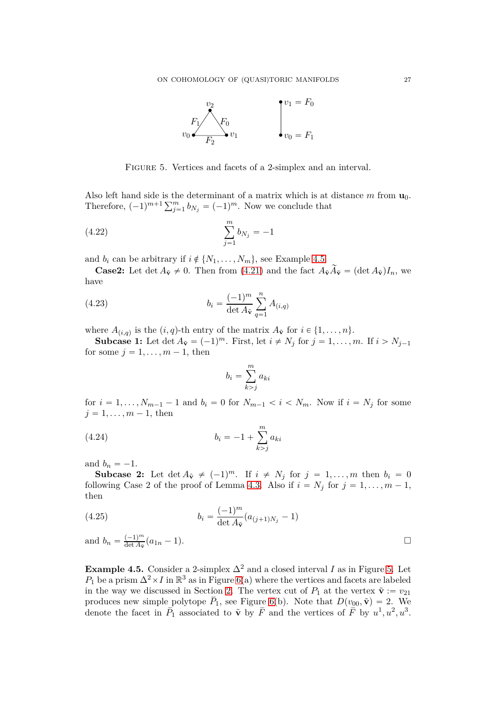

<span id="page-26-1"></span>FIGURE 5. Vertices and facets of a 2-simplex and an interval.

Also left hand side is the determinant of a matrix which is at distance *m* from **u**0. Therefore,  $(-1)^{m+1} \sum_{j=1}^{m} b_{N_j} = (-1)^m$ . Now we conclude that

(4.22) 
$$
\sum_{j=1}^{m} b_{N_j} = -1
$$

and  $b_i$  can be arbitrary if  $i \notin \{N_1, \ldots, N_m\}$ , see Example [4.5.](#page-26-0)

**Case2:** Let det  $A_{\tilde{v}} \neq 0$ . Then from [\(4.21\)](#page-24-3) and the fact  $A_{\tilde{v}} \tilde{A}_{\tilde{v}} = (\det A_{\tilde{v}})I_n$ , we have

(4.23) 
$$
b_i = \frac{(-1)^m}{\det A_{\tilde{\mathbf{v}}}} \sum_{q=1}^n A_{(i,q)}
$$

where  $A_{(i,q)}$  is the  $(i,q)$ -th entry of the matrix  $A_{\tilde{\mathbf{v}}}$  for  $i \in \{1, \ldots, n\}$ .

**Subcase 1:** Let det  $A_{\tilde{\mathbf{v}}} = (-1)^m$ . First, let  $i \neq N_j$  for  $j = 1, ..., m$ . If  $i > N_{j-1}$ for some  $j = 1, \ldots, m - 1$ , then

<span id="page-26-2"></span>
$$
b_i = \sum_{k>j}^{m} a_{ki}
$$

for  $i = 1, ..., N_{m-1} - 1$  and  $b_i = 0$  for  $N_{m-1} < i < N_m$ . Now if  $i = N_j$  for some  $j = 1, \ldots, m - 1$ , then

(4.24) 
$$
b_i = -1 + \sum_{k>j}^{m} a_{ki}
$$

and  $b_n = -1$ .

**Subcase 2:** Let  $\det A_{\tilde{v}} \neq (-1)^m$ . If  $i \neq N_j$  for  $j = 1, ..., m$  then  $b_i = 0$ following Case 2 of the proof of Lemma [4.3.](#page-20-0) Also if  $i = N_j$  for  $j = 1, ..., m - 1$ , then

<span id="page-26-3"></span>(4.25) 
$$
b_i = \frac{(-1)^m}{\det A_{\tilde{\mathbf{v}}}} (a_{(j+1)N_j} - 1)
$$

and  $b_n = \frac{(-1)^m}{\det A_{\tilde{\mathbf{v}}}}$  $\frac{(-1)^m}{\det A_{\tilde{\mathbf{v}}}}(a_{1n} - 1).$ 

<span id="page-26-0"></span>**Example 4.5.** Consider a 2-simplex  $\Delta^2$  and a closed interval *I* as in Figure [5.](#page-26-1) Let  $P_1$  be a prism  $\Delta^2 \times I$  in  $\mathbb{R}^3$  as in Figure [6\(](#page-27-0)a) where the vertices and facets are labeled in the way we discussed in Section [2.](#page-2-0) The vertex cut of  $P_1$  at the vertex  $\tilde{\mathbf{v}} := v_{21}$ produces new simple polytope  $\overline{P}_1$ , see Figure [6\(](#page-27-0)b). Note that  $D(v_{00}, \tilde{\mathbf{v}}) = 2$ . We denote the facet in  $\bar{P}_1$  associated to  $\tilde{\mathbf{v}}$  by  $\bar{F}$  and the vertices of  $\bar{F}$  by  $u^1, u^2, u^3$ .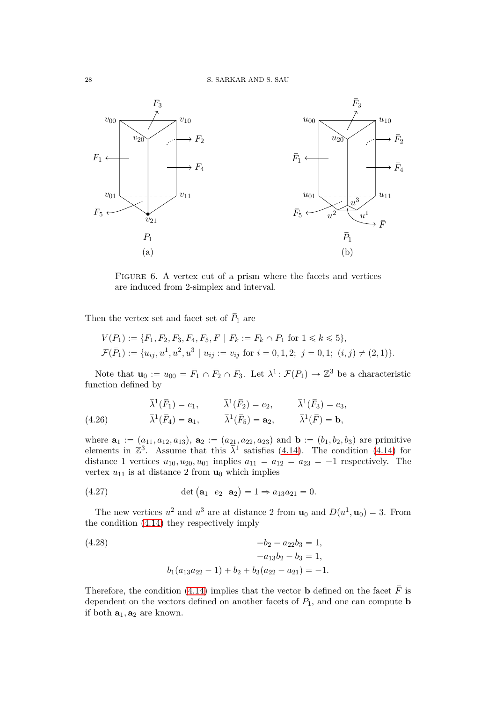

<span id="page-27-0"></span>FIGURE 6. A vertex cut of a prism where the facets and vertices are induced from 2-simplex and interval.

Then the vertex set and facet set of  $\bar{P}_1$  are

$$
V(\bar{P}_1) := \{ \bar{F}_1, \bar{F}_2, \bar{F}_3, \bar{F}_4, \bar{F}_5, \bar{F} \mid \bar{F}_k := F_k \cap \bar{P}_1 \text{ for } 1 \le k \le 5 \},
$$
  

$$
\mathcal{F}(\bar{P}_1) := \{ u_{ij}, u^1, u^2, u^3 \mid u_{ij} := v_{ij} \text{ for } i = 0, 1, 2; j = 0, 1; (i, j) \neq (2, 1) \}.
$$

Note that  $\mathbf{u}_0 := u_{00} = \bar{F}_1 \cap \bar{F}_2 \cap \bar{F}_3$ . Let  $\bar{\lambda}^1 : \mathcal{F}(\bar{P}_1) \to \mathbb{Z}^3$  be a characteristic function defined by

(4.26) 
$$
\bar{\lambda}^{1}(\bar{F}_{1}) = e_{1}, \qquad \bar{\lambda}^{1}(\bar{F}_{2}) = e_{2}, \qquad \bar{\lambda}^{1}(\bar{F}_{3}) = e_{3}, \n\bar{\lambda}^{1}(\bar{F}_{4}) = \mathbf{a}_{1}, \qquad \bar{\lambda}^{1}(\bar{F}_{5}) = \mathbf{a}_{2}, \qquad \bar{\lambda}^{1}(\bar{F}) = \mathbf{b},
$$

where  $\mathbf{a}_1 := (a_{11}, a_{12}, a_{13}), \mathbf{a}_2 := (a_{21}, a_{22}, a_{23})$  and  $\mathbf{b} := (b_1, b_2, b_3)$  are primitive elements in  $\mathbb{Z}^3$ . Assume that this  $\bar{\lambda}^1$  satisfies [\(4.14\)](#page-22-1). The condition [\(4.14\)](#page-22-1) for distance 1 vertices  $u_{10}, u_{20}, u_{01}$  implies  $a_{11} = a_{12} = a_{23} = -1$  respectively. The vertex  $u_{11}$  is at distance 2 from  $\mathbf{u}_0$  which implies

<span id="page-27-1"></span>(4.27) 
$$
\det (\mathbf{a}_1 \ e_2 \ \mathbf{a}_2) = 1 \Rightarrow a_{13} a_{21} = 0.
$$

The new vertices  $u^2$  and  $u^3$  are at distance 2 from  $\mathbf{u}_0$  and  $D(u^1, \mathbf{u}_0) = 3$ . From the condition [\(4.14\)](#page-22-1) they respectively imply

<span id="page-27-2"></span>(4.28) 
$$
-b_2 - a_{22}b_3 = 1, -a_{13}b_2 - b_3 = 1, b_1(a_{13}a_{22} - 1) + b_2 + b_3(a_{22} - a_{21}) = -1.
$$

Therefore, the condition [\(4.14\)](#page-22-1) implies that the vector **b** defined on the facet  $\overline{F}$  is dependent on the vectors defined on another facets of  $\overline{P}_1$ , and one can compute **b** if both  $\mathbf{a}_1, \mathbf{a}_2$  are known.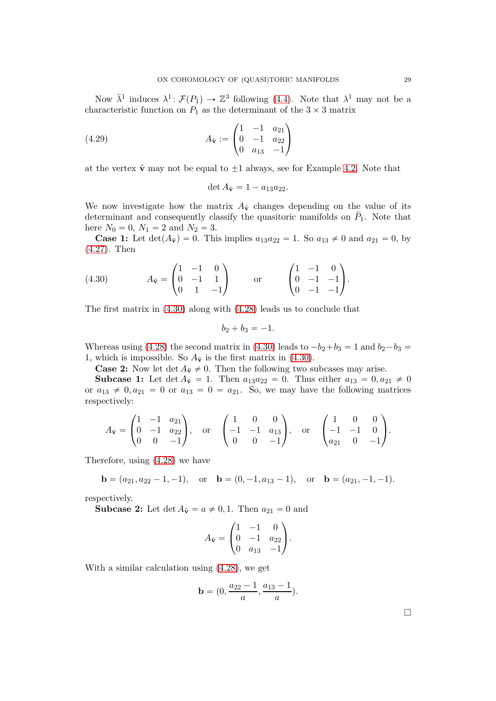Now  $\bar{\lambda}^1$  induces  $\lambda^1$ :  $\mathcal{F}(P_1) \to \mathbb{Z}^3$  following [\(4.4\)](#page-18-2). Note that  $\lambda^1$  may not be a characteristic function on  $P_1$  as the determinant of the  $3 \times 3$  matrix

(4.29) 
$$
A_{\tilde{\mathbf{v}}} := \begin{pmatrix} 1 & -1 & a_{21} \\ 0 & -1 & a_{22} \\ 0 & a_{13} & -1 \end{pmatrix}
$$

at the vertex  $\tilde{\mathbf{v}}$  may not be equal to  $\pm 1$  always, see for Example [4.2.](#page-18-1) Note that

$$
\det A_{\tilde{\mathbf{v}}} = 1 - a_{13} a_{22}.
$$

We now investigate how the matrix  $A_{\tilde{v}}$  changes depending on the value of its determinant and consequently classify the quasitoric manifolds on  $P_1$ . Note that here  $N_0 = 0$ ,  $N_1 = 2$  and  $N_2 = 3$ .

**Case 1:** Let  $det(A_{\tilde{v}}) = 0$ . This implies  $a_{13}a_{22} = 1$ . So  $a_{13} \neq 0$  and  $a_{21} = 0$ , by [\(4.27\)](#page-27-1). Then

<span id="page-28-0"></span>(4.30) 
$$
A_{\tilde{\mathbf{v}}} = \begin{pmatrix} 1 & -1 & 0 \\ 0 & -1 & 1 \\ 0 & 1 & -1 \end{pmatrix} \text{ or } \begin{pmatrix} 1 & -1 & 0 \\ 0 & -1 & -1 \\ 0 & -1 & -1 \end{pmatrix}.
$$

The first matrix in [\(4.30\)](#page-28-0) along with [\(4.28\)](#page-27-2) leads us to conclude that

$$
b_2+b_3=-1.
$$

Whereas using [\(4.28\)](#page-27-2) the second matrix in [\(4.30\)](#page-28-0) leads to  $-b_2+b_3 = 1$  and  $b_2-b_3 = 1$ 1, which is impossible. So  $A_{\tilde{v}}$  is the first matrix in [\(4.30\)](#page-28-0).

**Case 2:** Now let  $\det A_{\tilde{v}} \neq 0$ . Then the following two subcases may arise.

**Subcase 1:** Let  $\det A_{\tilde{v}} = 1$ . Then  $a_{13}a_{22} = 0$ . Thus either  $a_{13} = 0, a_{21} \neq 0$ or  $a_{13} \neq 0, a_{21} = 0$  or  $a_{13} = 0 = a_{21}$ . So, we may have the following matrices respectively:

$$
A_{\tilde{\mathbf{v}}} = \begin{pmatrix} 1 & -1 & a_{21} \\ 0 & -1 & a_{22} \\ 0 & 0 & -1 \end{pmatrix}, \text{ or } \begin{pmatrix} 1 & 0 & 0 \\ -1 & -1 & a_{13} \\ 0 & 0 & -1 \end{pmatrix}, \text{ or } \begin{pmatrix} 1 & 0 & 0 \\ -1 & -1 & 0 \\ a_{21} & 0 & -1 \end{pmatrix}.
$$

Therefore, using [\(4.28\)](#page-27-2) we have

$$
\mathbf{b} = (a_{21}, a_{22} - 1, -1), \quad \text{or} \quad \mathbf{b} = (0, -1, a_{13} - 1), \quad \text{or} \quad \mathbf{b} = (a_{21}, -1, -1).
$$

respectively.

**Subcase 2:** Let  $\det A_{\tilde{v}} = a \neq 0, 1$ . Then  $a_{21} = 0$  and

$$
A_{\tilde{\mathbf{v}}} = \begin{pmatrix} 1 & -1 & 0 \\ 0 & -1 & a_{22} \\ 0 & a_{13} & -1 \end{pmatrix}.
$$

With a similar calculation using [\(4.28\)](#page-27-2), we get

$$
\mathbf{b} = (0, \frac{a_{22} - 1}{a}, \frac{a_{13} - 1}{a}).
$$

 $\Box$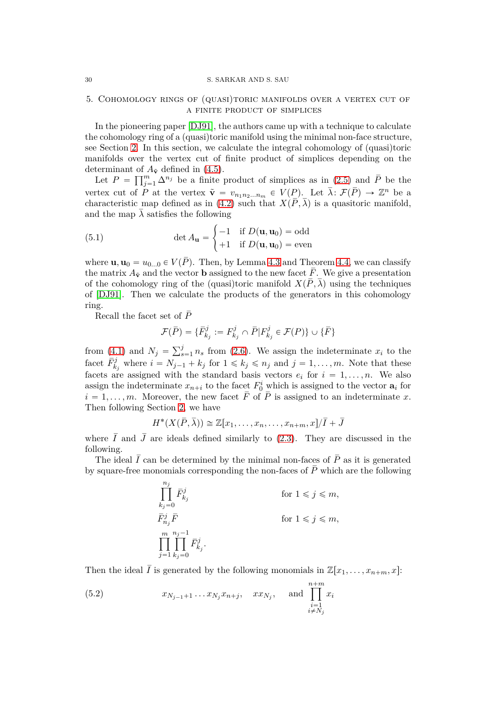#### 30 S. SARKAR AND S. SAU

## 5. Cohomology rings of (quasi)toric manifolds over a vertex cut of a finite product of simplices

In the pioneering paper [\[DJ91\]](#page-43-1), the authors came up with a technique to calculate the cohomology ring of a (quasi)toric manifold using the minimal non-face structure, see Section [2.](#page-2-0) In this section, we calculate the integral cohomology of (quasi)toric manifolds over the vertex cut of finite product of simplices depending on the determinant of  $A_{\tilde{v}}$  defined in [\(4.5\)](#page-19-1).

Let  $P = \prod_{j=1}^{m} \Delta^{n_j}$  be a finite product of simplices as in [\(2.5\)](#page-3-0) and  $\bar{P}$  be the vertex cut of *P* at the vertex  $\tilde{\mathbf{v}} = v_{n_1 n_2 ... n_m} \in V(P)$ . Let  $\bar{\lambda}: \mathcal{F}(\bar{P}) \to \mathbb{Z}^n$  be a characteristic map defined as in [\(4.2\)](#page-18-0) such that  $X(\overline{P}, \overline{\lambda})$  is a quasitoric manifold, and the map  $\lambda$  satisfies the following

(5.1) 
$$
\det A_{\mathbf{u}} = \begin{cases} -1 & \text{if } D(\mathbf{u}, \mathbf{u}_0) = \text{odd} \\ +1 & \text{if } D(\mathbf{u}, \mathbf{u}_0) = \text{even} \end{cases}
$$

where  $\mathbf{u}, \mathbf{u}_0 = u_{0...0} \in V(\overline{P})$ . Then, by Lemma [4.3](#page-20-0) and Theorem [4.4,](#page-22-0) we can classify the matrix  $A_{\tilde{v}}$  and the vector **b** assigned to the new facet  $\overline{F}$ . We give a presentation of the cohomology ring of the (quasi)toric manifold  $X(\overline{P}, \overline{\lambda})$  using the techniques of [\[DJ91\]](#page-43-1). Then we calculate the products of the generators in this cohomology ring.

Recall the facet set of  $\bar{P}$ 

$$
\mathcal{F}(\bar{P}) = \{ \bar{F}_{k_j}^j := F_{k_j}^j \cap \bar{P} | F_{k_j}^j \in \mathcal{F}(P) \} \cup \{ \bar{F} \}
$$

from [\(4.1\)](#page-18-3) and  $N_j = \sum_{s=1}^j n_s$  from [\(2.6\)](#page-4-1). We assign the indeterminate  $x_i$  to the facet  $\bar{F}^j_{k_j}$  where  $i = N_{j-1} + k_j$  for  $1 \leq k_j \leq n_j$  and  $j = 1, \ldots, m$ . Note that these facets are assigned with the standard basis vectors  $e_i$  for  $i = 1, ..., n$ . We also assign the indeterminate  $x_{n+i}$  to the facet  $F_0^i$  which is assigned to the vector  $a_i$  for  $i = 1, \ldots, m$ . Moreover, the new facet  $\overline{F}$  of  $\overline{P}$  is assigned to an indeterminate *x*. Then following Section [2,](#page-2-0) we have

$$
H^*(X(\overline{P},\overline{\lambda})) \cong \mathbb{Z}[x_1,\ldots,x_n,\ldots,x_{n+m},x]/\overline{I} + \overline{J}
$$

where  $\overline{I}$  and  $\overline{J}$  are ideals defined similarly to [\(2.3\)](#page-3-2). They are discussed in the following.

The ideal  $\overline{I}$  can be determined by the minimal non-faces of  $\overline{P}$  as it is generated by square-free monomials corresponding the non-faces of  $\overline{P}$  which are the following

$$
\label{eq:1} \begin{aligned} &\prod_{k_j=0}^{n_j} \bar{F}^j_{k_j} &\qquad \qquad \text{for } 1\leqslant j\leqslant m,\\ &\bar{F}^j_{n_j}\bar{F} &\qquad \qquad \text{for } 1\leqslant j\leqslant m,\\ &\prod_{j=1}^m\prod_{k_j=0}^{n_j-1} \bar{F}^j_{k_j}. \end{aligned}
$$

Then the ideal  $\overline{I}$  is generated by the following monomials in  $\mathbb{Z}[x_1,\ldots,x_{n+m},x]$ :

(5.2) 
$$
x_{N_{j-1}+1} \dots x_{N_j} x_{n+j}, \quad x x_{N_j}, \quad \text{and } \prod_{\substack{i=1 \ i \neq N_j}}^{n+m} x_i
$$

<span id="page-29-0"></span>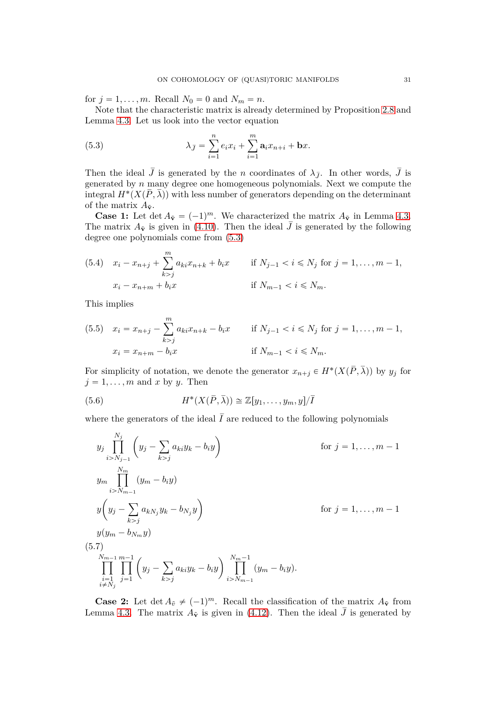for  $j = 1, ..., m$ . Recall  $N_0 = 0$  and  $N_m = n$ .

Note that the characteristic matrix is already determined by Proposition [2.8](#page-6-1) and Lemma [4.3.](#page-20-0) Let us look into the vector equation

<span id="page-30-0"></span>(5.3) 
$$
\lambda_{\bar{J}} = \sum_{i=1}^{n} e_i x_i + \sum_{i=1}^{m} \mathbf{a}_i x_{n+i} + \mathbf{b} x.
$$

Then the ideal  $\bar{J}$  is generated by the *n* coordinates of  $\lambda_{\bar{J}}$ . In other words,  $\bar{J}$  is generated by *n* many degree one homogeneous polynomials. Next we compute the integral  $H^*(X(\overline{P}, \overline{\lambda}))$  with less number of generators depending on the determinant of the matrix  $A_{\tilde{\mathbf{v}}}$ .

**Case 1:** Let det  $A_{\tilde{v}} = (-1)^m$ . We characterized the matrix  $A_{\tilde{v}}$  in Lemma [4.3.](#page-20-0) The matrix  $A_{\tilde{V}}$  is given in [\(4.10\)](#page-21-0). Then the ideal  $\bar{J}$  is generated by the following degree one polynomials come from [\(5.3\)](#page-30-0)

(5.4) 
$$
x_i - x_{n+j} + \sum_{k > j}^{m} a_{ki} x_{n+k} + b_i x
$$
 if  $N_{j-1} < i \le N_j$  for  $j = 1, ..., m - 1$ ,  
\n $x_i - x_{n+m} + b_i x$  if  $N_{m-1} < i \le N_m$ .

This implies

<span id="page-30-1"></span> $($ 

(5.5) 
$$
x_i = x_{n+j} - \sum_{k>j}^{m} a_{ki}x_{n+k} - b_ix
$$
 if  $N_{j-1} < i \le N_j$  for  $j = 1, ..., m-1$ ,  
\n $x_i = x_{n+m} - b_ix$  if  $N_{m-1} < i \le N_m$ .

For simplicity of notation, we denote the generator  $x_{n+j} \in H^*(X(\overline{P}, \overline{\lambda}))$  by  $y_j$  for  $j = 1, \ldots, m$  and *x* by *y*. Then

(5.6) 
$$
H^*(X(\overline{P},\overline{\lambda})) \cong \mathbb{Z}[y_1,\ldots,y_m,y]/\overline{I}
$$

where the generators of the ideal  $\overline{I}$  are reduced to the following polynomials

$$
y_{j} \prod_{i>N_{j-1}}^{N_{j}} \left(y_{j} - \sum_{k>j} a_{ki} y_{k} - b_{i} y\right) \qquad \text{for } j = 1, ..., m-1
$$
  
\n
$$
y_{m} \prod_{i>N_{m-1}}^{N_{m}} (y_{m} - b_{i} y)
$$
  
\n
$$
y \left(y_{j} - \sum_{k>j} a_{k} y_{j} y_{k} - b_{N_{j}} y\right) \qquad \text{for } j = 1, ..., m-1
$$
  
\n
$$
y(y_{m} - b_{N_{m}} y)
$$
  
\n5.7)  
\n
$$
\prod_{\substack{i=1 \ i \neq N_{j}}}^{N_{m-1}} \prod_{j=1}^{m-1} \left(y_{j} - \sum_{k>j} a_{ki} y_{k} - b_{i} y\right) \prod_{i>N_{m-1}}^{N_{m-1}} (y_{m} - b_{i} y).
$$

**Case 2:** Let  $\det A_{\tilde{v}} \neq (-1)^m$ . Recall the classification of the matrix  $A_{\tilde{v}}$  from Lemma [4.3.](#page-20-0) The matrix  $A_{\tilde{V}}$  is given in [\(4.12\)](#page-22-2). Then the ideal  $\bar{J}$  is generated by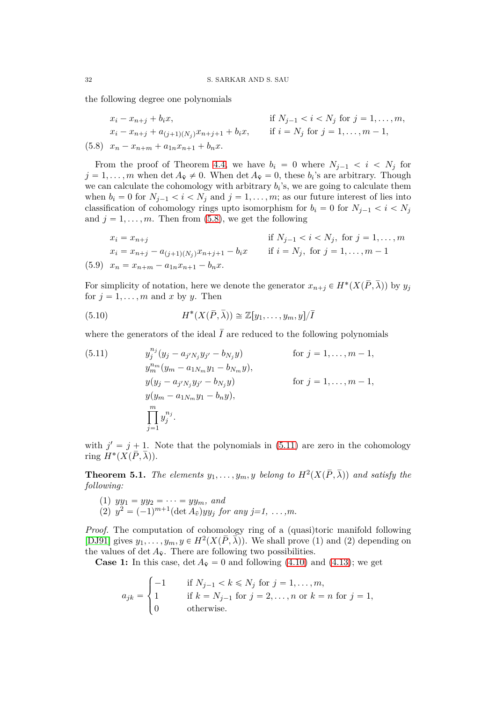the following degree one polynomials

<span id="page-31-0"></span>
$$
x_i - x_{n+j} + b_i x,
$$
 if  $N_{j-1} < i < N_j$  for  $j = 1, ..., m$ ,  
\n
$$
x_i - x_{n+j} + a_{(j+1)(N_j)}x_{n+j+1} + b_i x,
$$
 if  $i = N_j$  for  $j = 1, ..., m - 1$ ,  
\n(5.8)  $x_n - x_{n+m} + a_{1n}x_{n+1} + b_n x.$ 

From the proof of Theorem [4.4,](#page-22-0) we have  $b_i = 0$  where  $N_{i-1} < i < N_i$  for  $j = 1, ..., m$  when det  $A_{\tilde{\mathbf{v}}} \neq 0$ . When det  $A_{\tilde{\mathbf{v}}} = 0$ , these  $b_i$ 's are arbitrary. Though we can calculate the cohomology with arbitrary  $b_i$ 's, we are going to calculate them when  $b_i = 0$  for  $N_{i-1} < i < N_i$  and  $j = 1, \ldots, m$ ; as our future interest of lies into classification of cohomology rings upto isomorphism for  $b_i = 0$  for  $N_{i-1} < i < N_i$ and  $j = 1, \ldots, m$ . Then from [\(5.8\)](#page-31-0), we get the following

$$
x_i = x_{n+j}
$$
 if  $N_{j-1} < i < N_j$ , for  $j = 1, ..., m$   
\n
$$
x_i = x_{n+j} - a_{(j+1)(N_j)}x_{n+j+1} - b_i x
$$
 if  $i = N_j$ , for  $j = 1, ..., m - 1$   
\n(5.9)  $x_n = x_{n+m} - a_{1n}x_{n+1} - b_n x$ .

For simplicity of notation, here we denote the generator  $x_{n+j} \in H^*(X(\overline{P}, \overline{\lambda}))$  by  $y_j$ for  $j = 1, \ldots, m$  and x by y. Then

<span id="page-31-2"></span>(5.10) 
$$
H^*(X(\overline{P},\overline{\lambda})) \cong \mathbb{Z}[y_1,\ldots,y_m,y]/\overline{I}
$$

where the generators of the ideal  $\overline{I}$  are reduced to the following polynomials

<span id="page-31-1"></span>(5.11) 
$$
y_j^{n_j} (y_j - a_{j'N_j} y_{j'} - b_{N_j} y) \qquad \text{for } j = 1, ..., m-1,
$$
  
\n
$$
y_m^{n_m} (y_m - a_{1N_m} y_1 - b_{N_m} y),
$$
  
\n
$$
y(y_j - a_{j'N_j} y_{j'} - b_{N_j} y) \qquad \text{for } j = 1, ..., m-1,
$$
  
\n
$$
y(y_m - a_{1N_m} y_1 - b_n y),
$$
  
\n
$$
\prod_{j=1}^m y_j^{n_j}.
$$

with  $j' = j + 1$ . Note that the polynomials in [\(5.11\)](#page-31-1) are zero in the cohomology ring  $H^*(X(\overline{P}, \overline{\lambda})).$ 

<span id="page-31-3"></span>**Theorem 5.1.** *The elements*  $y_1, \ldots, y_m, y$  *belong to*  $H^2(X(\overline{P}, \overline{\lambda}))$  *and satisfy the following:*

(1) 
$$
yy_1 = yy_2 = \cdots = yy_m
$$
, and

(2)  $y^2 = (-1)^{m+1} (\det A_{\tilde{v}}) y y_j$  *for any j=1, ...,m.* 

*Proof.* The computation of cohomology ring of a (quasi)toric manifold following [\[DJ91\]](#page-43-1) gives  $y_1, \ldots, y_m, y \in H^2(X(\overline{P}, \overline{\lambda}))$ . We shall prove (1) and (2) depending on the values of det  $A_{\tilde{v}}$ . There are following two possibilities.

**Case 1:** In this case,  $\det A_{\tilde{v}} = 0$  and following [\(4.10\)](#page-21-0) and [\(4.13\)](#page-22-3); we get

$$
a_{jk} = \begin{cases} -1 & \text{if } N_{j-1} < k \le N_j \text{ for } j = 1, ..., m, \\ 1 & \text{if } k = N_{j-1} \text{ for } j = 2, ..., n \text{ or } k = n \text{ for } j = 1, \\ 0 & \text{otherwise.} \end{cases}
$$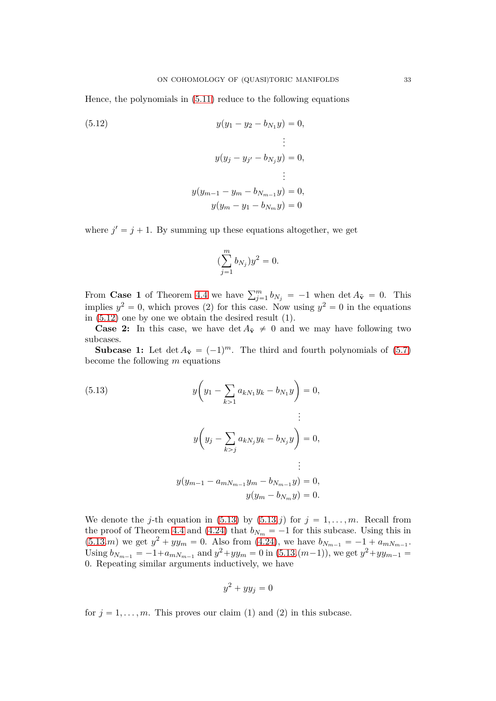Hence, the polynomials in [\(5.11\)](#page-31-1) reduce to the following equations

<span id="page-32-0"></span>(5.12) 
$$
y(y_1 - y_2 - b_{N_1}y) = 0,
$$

$$
\vdots
$$

$$
y(y_j - y_{j'} - b_{N_j}y) = 0,
$$

$$
\vdots
$$

$$
y(y_{m-1} - y_m - b_{N_{m-1}}y) = 0,
$$

$$
y(y_m - y_1 - b_{N_m}y) = 0
$$

where  $j' = j + 1$ . By summing up these equations altogether, we get

$$
(\sum_{j=1}^m b_{N_j})y^2 = 0.
$$

From **Case 1** of Theorem [4.4](#page-22-0) we have  $\sum_{j=1}^{m} b_{N_j} = -1$  when det  $A_{\tilde{v}} = 0$ . This implies  $y^2 = 0$ , which proves (2) for this case. Now using  $y^2 = 0$  in the equations in  $(5.12)$  one by one we obtain the desired result  $(1)$ .

**Case 2:** In this case, we have det  $A_{\tilde{v}} \neq 0$  and we may have following two subcases.

**Subcase 1:** Let  $\det A_{\tilde{v}} = (-1)^m$ . The third and fourth polynomials of [\(5.7\)](#page-30-1) become the following *m* equations

<span id="page-32-1"></span>(5.13) 
$$
y\left(y_1 - \sum_{k>1} a_{kN_1} y_k - b_{N_1} y\right) = 0,
$$
  

$$
\vdots
$$

$$
y\left(y_j - \sum_{k>j} a_{kN_j} y_k - b_{N_j} y\right) = 0,
$$

$$
\vdots
$$

$$
y(y_{m-1} - a_{mN_{m-1}} y_m - b_{N_{m-1}} y) = 0,
$$

$$
y(y_m - b_{N_m} y) = 0.
$$

We denote the *j*-th equation in [\(5.13\)](#page-32-1) by  $(5.13.j)$  $(5.13.j)$  $(5.13.j)$  for  $j = 1, \ldots, m$ . Recall from the proof of Theorem [4.4](#page-22-0) and [\(4.24\)](#page-26-2) that  $b_{N_m} = -1$  for this subcase. Using this in  $(5.13 \text{ m})$  $(5.13 \text{ m})$  $(5.13 \text{ m})$  we get  $y^2 + yy_m = 0$ . Also from  $(4.24)$ , we have  $b_{N_{m-1}} = -1 + a_{mN_{m-1}}$ . Using  $b_{N_{m-1}} = -1 + a_{mN_{m-1}}$  and  $y^2 + yy_m = 0$  in  $(5.13.(m-1))$  $(5.13.(m-1))$  $(5.13.(m-1))$ , we get  $y^2 + yy_{m-1} =$ 0. Repeating similar arguments inductively, we have

$$
y^2 + yy_j = 0
$$

for  $j = 1, \ldots, m$ . This proves our claim (1) and (2) in this subcase.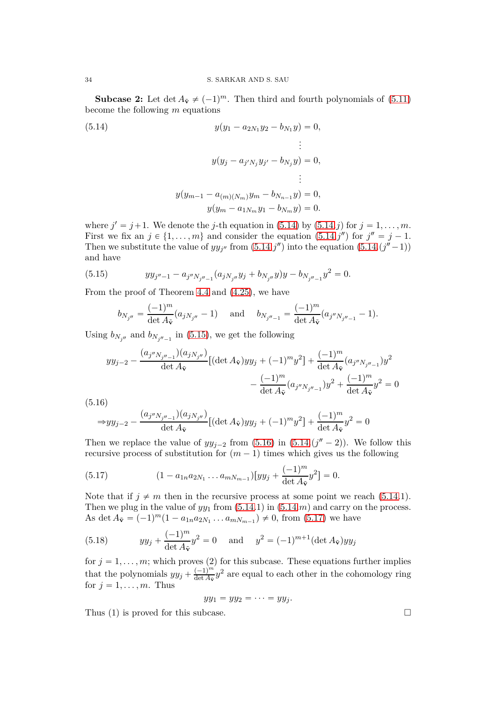**Subcase 2:** Let det  $A_{\tilde{v}} \neq (-1)^m$ . Then third and fourth polynomials of [\(5.11\)](#page-31-1) become the following *m* equations

<span id="page-33-0"></span>(5.14) 
$$
y(y_1 - a_{2N_1}y_2 - b_{N_1}y) = 0,
$$

$$
\vdots
$$

$$
y(y_j - a_{j'N_j}y_{j'} - b_{N_j}y) = 0,
$$

$$
\vdots
$$

$$
y(y_{m-1} - a_{(m)(N_m)}y_m - b_{N_{n-1}}y) = 0,
$$

$$
y(y_m - a_{1N_m}y_1 - b_{N_m}y) = 0.
$$

where  $j' = j + 1$ . We denote the *j*-th equation in [\(5.14\)](#page-33-0) by [\(5.14.](#page-33-0)*j*) for  $j = 1, ..., m$ . First we fix an  $j \in \{1, ..., m\}$  and consider the equation  $(5.14.j'')$  $(5.14.j'')$  for  $j'' = j - 1$ . Then we substitute the value of  $yy_{j''}$  from  $(5.14.j'')$  $(5.14.j'')$  into the equation  $(5.14.(j''-1))$  $(5.14.(j''-1))$  $(5.14.(j''-1))$ and have

(5.15) 
$$
yy_{j''-1} - a_{j''N_{j''-1}}(a_{jN_{j''}}y_j + b_{N_{j''}}y)y - b_{N_{j''-1}}y^2 = 0.
$$

From the proof of Theorem [4.4](#page-22-0) and [\(4.25\)](#page-26-3), we have

<span id="page-33-1"></span>
$$
b_{N_{j''}} = \frac{(-1)^m}{\det A_{\tilde{\mathbf{v}}}} (a_{jN_{j''}} - 1) \quad \text{and} \quad b_{N_{j''-1}} = \frac{(-1)^m}{\det A_{\tilde{\mathbf{v}}}} (a_{j''N_{j''-1}} - 1).
$$

Using  $b_{N_{j''}}$  and  $b_{N_{j''-1}}$  in [\(5.15\)](#page-33-1), we get the following

$$
yy_{j-2} - \frac{(a_{j''N_{j''-1}})(a_{jN_{j''}})}{\det A_{\tilde{\mathbf{v}}}} [(\det A_{\tilde{\mathbf{v}}})yy_j + (-1)^m y^2] + \frac{(-1)^m}{\det A_{\tilde{\mathbf{v}}}} (a_{j''N_{j''-1}})y^2
$$

$$
-\frac{(-1)^m}{\det A_{\tilde{\mathbf{v}}}} (a_{j''N_{j''-1}})y^2 + \frac{(-1)^m}{\det A_{\tilde{\mathbf{v}}}}y^2 = 0
$$
(5.16)

<span id="page-33-2"></span>
$$
\Rightarrow yy_{j-2} - \frac{(a_{j''N_{j''-1}})(a_{jN_{j''}})}{\det A_{\tilde{\mathbf{v}}}} [(\det A_{\tilde{\mathbf{v}}})yy_j + (-1)^m y^2] + \frac{(-1)^m}{\det A_{\tilde{\mathbf{v}}}} y^2 = 0
$$

Then we replace the value of  $yy_{j-2}$  from [\(5.16\)](#page-33-2) in [\(5.14.](#page-33-0) $(j'' - 2)$ ). We follow this recursive process of substitution for  $(m - 1)$  times which gives us the following

<span id="page-33-3"></span>(5.17) 
$$
(1 - a_{1n} a_{2N_1} \dots a_{mN_{m-1}}) [yy_j + \frac{(-1)^m}{\det A_{\tilde{\mathbf{v}}}} y^2] = 0.
$$

Note that if  $j \neq m$  then in the recursive process at some point we reach [\(5.14.](#page-33-0)1). Then we plug in the value of  $yy_1$  from  $(5.14.1)$  in  $(5.14.m)$  and carry on the process. As det  $A_{\tilde{\mathbf{v}}} = (-1)^m (1 - a_{1n} a_{2N_1} \dots a_{mN_{m-1}}) \neq 0$ , from [\(5.17\)](#page-33-3) we have

(5.18) 
$$
yy_j + \frac{(-1)^m}{\det A_{\tilde{\mathbf{v}}}} y^2 = 0 \text{ and } y^2 = (-1)^{m+1} (\det A_{\tilde{\mathbf{v}}}) y y_j
$$

for  $j = 1, \ldots, m$ ; which proves (2) for this subcase. These equations further implies that the polynomials  $yy_j + \frac{(-1)^m}{\det A_{\tilde{\mathbf{v}}}}$  $\frac{(-1)^m}{\det A_{\tilde{\mathbf{v}}}} y^2$  are equal to each other in the cohomology ring for  $j = 1, \ldots, m$ . Thus

$$
yy_1 = yy_2 = \cdots = yy_j.
$$

Thus (1) is proved for this subcase.  $\Box$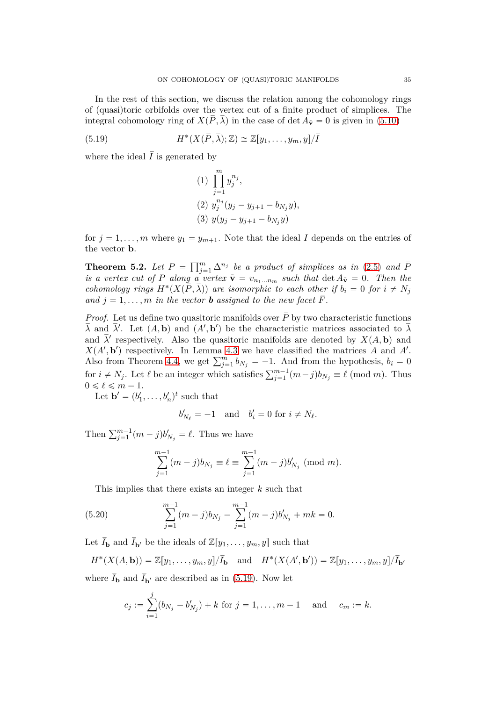In the rest of this section, we discuss the relation among the cohomology rings of (quasi)toric orbifolds over the vertex cut of a finite product of simplices. The integral cohomology ring of  $X(\overline{P}, \overline{\lambda})$  in the case of det  $A_{\tilde{v}} = 0$  is given in [\(5.10\)](#page-31-2)

(5.19) 
$$
H^*(X(\overline{P}, \overline{\lambda}); \mathbb{Z}) \cong \mathbb{Z}[y_1, \dots, y_m, y]/\overline{I}
$$

where the ideal  $\overline{I}$  is generated by

<span id="page-34-1"></span>(1) 
$$
\prod_{j=1}^{m} y_j^{n_j},
$$
  
\n(2) 
$$
y_j^{n_j} (y_j - y_{j+1} - b_{N_j} y),
$$
  
\n(3) 
$$
y(y_j - y_{j+1} - b_{N_j} y)
$$

for  $j = 1, \ldots, m$  where  $y_1 = y_{m+1}$ . Note that the ideal  $\overline{I}$  depends on the entries of the vector **b**.

<span id="page-34-0"></span>**Theorem 5.2.** Let  $P = \prod_{j=1}^{m} \Delta^{n_j}$  be a product of simplices as in [\(2.5\)](#page-3-0) and  $\overline{P}$ *is a vertex cut of P along a vertex*  $\tilde{\mathbf{v}} = v_{n_1...n_m}$  *such that* det  $A_{\tilde{\mathbf{v}}} = 0$ *. Then the cohomology rings*  $H^*(X(\overline{P}, \overline{\lambda}))$  are isomorphic to each other if  $b_i = 0$  for  $i \neq N_j$ *and*  $j = 1, \ldots, m$  *in the vector b assigned to the new facet*  $\overline{F}$ *.* 

*Proof.* Let us define two quasitoric manifolds over  $\overline{P}$  by two characteristic functions  $\bar{\lambda}$  and  $\bar{\lambda}'$ . Let  $(A, \mathbf{b})$  and  $(A', \mathbf{b}')$  be the characteristic matrices associated to  $\bar{\lambda}$ and  $\bar{\lambda}'$  respectively. Also the quasitoric manifolds are denoted by  $X(A, \mathbf{b})$  and  $X(A', \mathbf{b}')$  respectively. In Lemma [4.3](#page-20-0) we have classified the matrices *A* and *A'*. Also from Theorem [4.4,](#page-22-0) we get  $\sum_{j=1}^{m} b_{N_j} = -1$ . And from the hypothesis,  $b_i = 0$ for  $i \neq N_j$ . Let  $\ell$  be an integer which satisfies  $\sum_{j=1}^{m-1} (m-j)b_{N_j} \equiv \ell \pmod{m}$ . Thus  $0 \leq \ell \leq m - 1$ .

Let  $\mathbf{b}' = (b'_1, \ldots, b'_n)^t$  such that

$$
b'_{N_{\ell}} = -1 \quad \text{and} \quad b'_{i} = 0 \text{ for } i \neq N_{\ell}.
$$

Then  $\sum_{j=1}^{m-1} (m-j)b'_{N_j} = \ell$ . Thus we have

<span id="page-34-2"></span>
$$
\sum_{j=1}^{m-1} (m-j)b_{N_j} \equiv \ell \equiv \sum_{j=1}^{m-1} (m-j)b'_{N_j} \pmod{m}.
$$

This implies that there exists an integer *k* such that

(5.20) 
$$
\sum_{j=1}^{m-1} (m-j)b_{N_j} - \sum_{j=1}^{m-1} (m-j)b'_{N_j} + mk = 0.
$$

Let  $I_{\mathbf{b}}$  and  $I_{\mathbf{b}'}$  be the ideals of  $\mathbb{Z}[y_1, \ldots, y_m, y]$  such that

$$
H^*(X(A, \mathbf{b})) = \mathbb{Z}[y_1, \dots, y_m, y]/\overline{I}_{\mathbf{b}} \text{ and } H^*(X(A', \mathbf{b}')) = \mathbb{Z}[y_1, \dots, y_m, y]/\overline{I}_{\mathbf{b}'}
$$

where  $I_{\bf{b}}$  and  $I_{\bf{b}'}$  are described as in [\(5.19\)](#page-34-1). Now let

$$
c_j := \sum_{i=1}^j (b_{N_j} - b'_{N_j}) + k \text{ for } j = 1, ..., m-1 \text{ and } c_m := k.
$$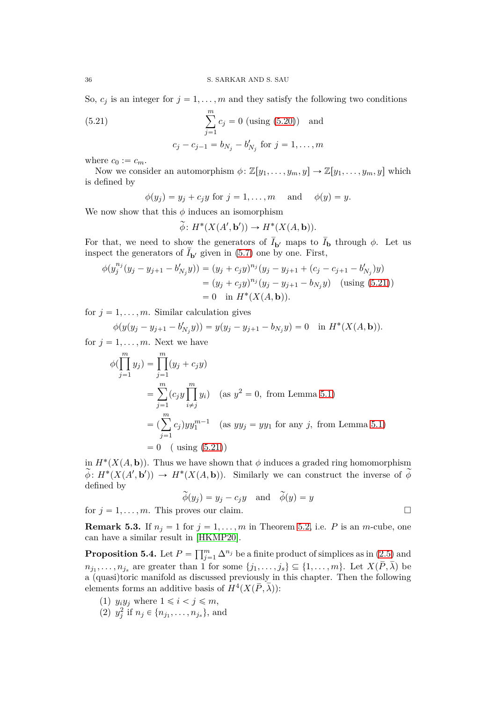So,  $c_j$  is an integer for  $j = 1, \ldots, m$  and they satisfy the following two conditions

<span id="page-35-0"></span>(5.21) 
$$
\sum_{j=1}^{m} c_j = 0 \text{ (using (5.20)) and}
$$

$$
c_j - c_{j-1} = b_{N_j} - b'_{N_j} \text{ for } j = 1, ..., m
$$

where  $c_0 := c_m$ .

Now we consider an automorphism  $\phi: \mathbb{Z}[y_1, \ldots, y_m, y] \to \mathbb{Z}[y_1, \ldots, y_m, y]$  which is defined by

$$
\phi(y_j) = y_j + c_j y \text{ for } j = 1, \dots, m \quad \text{and} \quad \phi(y) = y.
$$

We now show that this  $\phi$  induces an isomorphism

$$
\widetilde{\phi} \colon H^*(X(A', \mathbf{b}')) \to H^*(X(A, \mathbf{b})).
$$

For that, we need to show the generators of  $I_{\mathbf{b}'}$  maps to  $I_{\mathbf{b}}$  through  $\phi$ . Let us inspect the generators of  $I_{\mathbf{b}'}$  given in [\(5.7\)](#page-30-1) one by one. First,

$$
\phi(y_j^{n_j}(y_j - y_{j+1} - b'_{N_j}y)) = (y_j + c_jy)^{n_j}(y_j - y_{j+1} + (c_j - c_{j+1} - b'_{N_j})y)
$$
  
=  $(y_j + c_jy)^{n_j}(y_j - y_{j+1} - b_{N_j}y)$  (using (5.21))  
= 0 in  $H^*(X(A, \mathbf{b}))$ .

for  $j = 1, \ldots, m$ . Similar calculation gives

$$
\phi(y(y_j - y_{j+1} - b'_{N_j}y)) = y(y_j - y_{j+1} - b_{N_j}y) = 0 \text{ in } H^*(X(A, \mathbf{b})).
$$

for  $j = 1, \ldots, m$ . Next we have

$$
\phi(\prod_{j=1}^{m} y_j) = \prod_{j=1}^{m} (y_j + c_j y)
$$
  
=  $\sum_{j=1}^{m} (c_j y \prod_{i \neq j}^{m} y_i)$  (as  $y^2 = 0$ , from Lemma 5.1)  
=  $(\sum_{j=1}^{m} c_j) y y_1^{m-1}$  (as  $yy_j = yy_1$  for any j, from Lemma 5.1)  
= 0 ( using (5.21))

in  $H^*(X(A, \mathbf{b}))$ . Thus we have shown that  $\phi$  induces a graded ring homomorphism  $\widetilde{\phi}: H^*(X(A', \mathbf{b}')) \to H^*(X(A, \mathbf{b}))$ . Similarly we can construct the inverse of  $\widetilde{\phi}$ defined by

$$
\widetilde{\phi}(y_j) = y_j - c_j y \quad \text{and} \quad \widetilde{\phi}(y) = y
$$
  
for  $j = 1, ..., m$ . This proves our claim.

**Remark 5.3.** If  $n_j = 1$  for  $j = 1, \ldots, m$  in Theorem [5.2,](#page-34-0) i.e. *P* is an *m*-cube, one can have a similar result in [\[HKMP20\]](#page-43-9).

<span id="page-35-1"></span>**Proposition 5.4.** Let  $P = \prod_{j=1}^{m} \Delta^{n_j}$  be a finite product of simplices as in  $(2.5)$  and  $n_{j_1}, \ldots, n_{j_s}$  are greater than 1 for some  $\{j_1, \ldots, j_s\} \subseteq \{1, \ldots, m\}$ . Let  $X(P, \lambda)$  be a (quasi)toric manifold as discussed previously in this chapter. Then the following elements forms an additive basis of  $H^4(X(\overline{P}, \overline{\lambda}))$ :

- (1)  $y_i y_j$  where  $1 \leq i \leq j \leq m$ ,
- (2)  $y_j^2$  if  $n_j \in \{n_{j_1}, \ldots, n_{j_s}\}\$ , and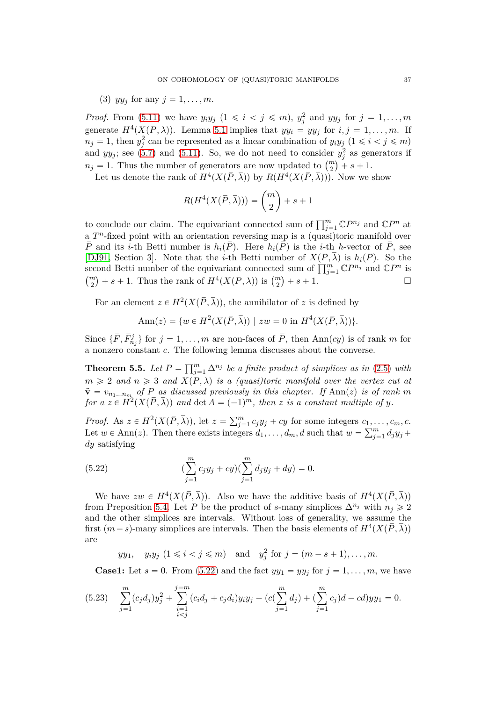(3) 
$$
yy_j
$$
 for any  $j = 1, \ldots, m$ .

*Proof.* From  $(5.11)$  we have  $y_i y_j$   $(1 \leq i \leq j \leq m)$ ,  $y_j^2$  and  $y y_j$  for  $j = 1, \ldots, m$ generate  $H^4(X(\overline{P}, \overline{\lambda}))$ . Lemma [5.1](#page-31-3) implies that  $yy_i = yy_j$  for  $i, j = 1, ..., m$ . If  $n_j = 1$ , then  $y_j^2$  can be represented as a linear combination of  $y_i y_j$   $(1 \le i \le j \le m)$ and  $yy_j$ ; see [\(5.7\)](#page-30-1) and [\(5.11\)](#page-31-1). So, we do not need to consider  $y_j^2$  as generators if  $n_j = 1$ . Thus the number of generators are now updated to  $\binom{m}{2} + s + 1$ .

Let us denote the rank of  $H^4(X(\overline{P}, \overline{\lambda}))$  by  $R(H^4(X(\overline{P}, \overline{\lambda})))$ . Now we show

$$
R(H^4(X(\bar{P},\bar{\lambda}))) = \binom{m}{2} + s + 1
$$

to conclude our claim. The equivariant connected sum of  $\prod_{j=1}^{m} \mathbb{C}P^{n_j}$  and  $\mathbb{C}P^n$  at a  $T<sup>n</sup>$ -fixed point with an orientation reversing map is a (quasi)toric manifold over  $\overline{P}$  and its *i*-th Betti number is  $h_i(\overline{P})$ . Here  $h_i(\overline{P})$  is the *i*-th *h*-vector of  $\overline{P}$ , see [\[DJ91,](#page-43-1) Section 3]. Note that the *i*-th Betti number of  $X(\overline{P}, \overline{\lambda})$  is  $h_i(\overline{P})$ . So the second Betti number of the equivariant connected sum of  $\prod_{j=1}^{m} \mathbb{C}P^{n_j}$  and  $\mathbb{C}P^n$  is  ${m \choose 2} + s + 1$ . Thus the rank of  $H^4(X(\bar{P}, \bar{\lambda}))$  is  ${m \choose 2} + s + 1$ .

For an element  $z \in H^2(X(\overline{P}, \overline{\lambda}))$ , the annihilator of *z* is defined by

$$
Ann(z) = \{ w \in H^{2}(X(\overline{P}, \overline{\lambda})) \mid zw = 0 \text{ in } H^{4}(X(\overline{P}, \overline{\lambda})) \}.
$$

Since  $\{\bar{F}, \bar{F}^j_{n_j}\}$  for  $j = 1, \ldots, m$  are non-faces of  $\bar{P}$ , then Ann $(cy)$  is of rank *m* for a nonzero constant *c*. The following lemma discusses about the converse.

<span id="page-36-1"></span>**Theorem 5.5.** Let  $P = \prod_{j=1}^{m} \Delta^{n_j}$  be a finite product of simplices as in [\(2.5\)](#page-3-0) with  $m \geq 2$  *and*  $n \geq 3$  *and*  $X(\overline{P}, \overline{\lambda})$  *is a (quasi)toric manifold over the vertex cut at*  $\tilde{\mathbf{v}} = v_{n_1...n_m}$  of P as discussed previously in this chapter. If Ann(*z*) is of rank *m for a*  $z \in H^2(X(\overline{P}, \overline{\lambda}))$  and  $\det A = (-1)^m$ , then *z is a constant multiple of y*.

*Proof.* As  $z \in H^2(X(\overline{P}, \overline{\lambda}))$ , let  $z = \sum_{j=1}^m c_j y_j + c y$  for some integers  $c_1, \ldots, c_m, c$ . Let  $w \in \text{Ann}(z)$ . Then there exists integers  $d_1, \ldots, d_m, d$  such that  $w = \sum_{j=1}^m d_j y_j +$ *dy* satisfying

<span id="page-36-0"></span>(5.22) 
$$
(\sum_{j=1}^{m} c_j y_j + c y)(\sum_{j=1}^{m} d_j y_j + d y) = 0.
$$

We have  $zw \in H^4(X(\overline{P}, \overline{\lambda}))$ . Also we have the additive basis of  $H^4(X(\overline{P}, \overline{\lambda}))$ from Preposition [5.4.](#page-35-1) Let *P* be the product of *s*-many simplices  $\Delta^{n_j}$  with  $n_j \geq 2$ and the other simplices are intervals. Without loss of generality, we assume the first  $(m-s)$ -many simplices are intervals. Then the basis elements of  $H^4(X(\overline{P}, \overline{\lambda}))$ are

*yy*<sub>1</sub>, *y<sub>i</sub>y*<sub>*j*</sub>  $(1 \le i \le j \le m)$  and  $y_j^2$  for  $j = (m - s + 1), \ldots, m$ .

**Case1:** Let  $s = 0$ . From [\(5.22\)](#page-36-0) and the fact  $yy_1 = yy_j$  for  $j = 1, \ldots, m$ , we have

$$
(5.23)\quad \sum_{j=1}^{m} (c_j d_j) y_j^2 + \sum_{\substack{i=1 \ i
$$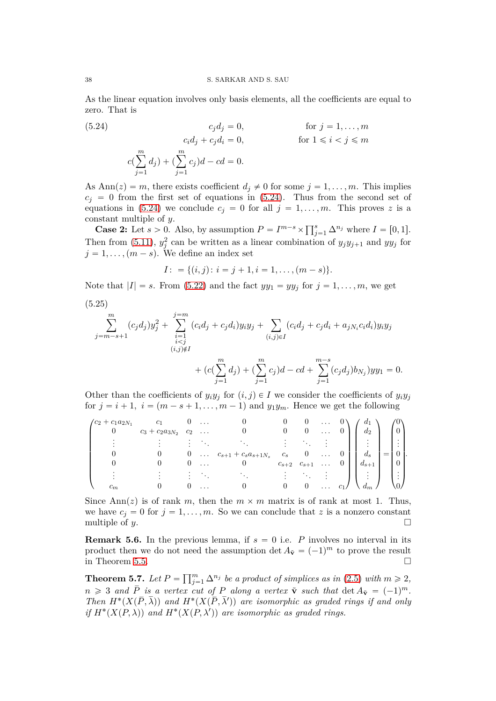#### 38 S. SARKAR AND S. SAU

As the linear equation involves only basis elements, all the coefficients are equal to zero. That is

<span id="page-37-1"></span>(5.24) 
$$
c_j d_j = 0, \qquad \text{for } j = 1, \dots, m
$$

$$
c_i d_j + c_j d_i = 0, \qquad \text{for } 1 \leq i < j \leq m
$$

$$
c(\sum_{j=1}^m d_j) + (\sum_{j=1}^m c_j)d - cd = 0.
$$

As  $\text{Ann}(z) = m$ , there exists coefficient  $d_j \neq 0$  for some  $j = 1, \ldots, m$ . This implies  $c_i = 0$  from the first set of equations in [\(5.24\)](#page-37-1). Thus from the second set of equations in [\(5.24\)](#page-37-1) we conclude  $c_j = 0$  for all  $j = 1, \ldots, m$ . This proves z is a constant multiple of *y*.

**Case 2:** Let *s* > 0. Also, by assumption  $P = I^{m-s} \times \prod_{j=1}^{s} \Delta^{n_j}$  where  $I = [0, 1].$ Then from [\(5.11\)](#page-31-1),  $y_j^2$  can be written as a linear combination of  $y_j y_{j+1}$  and  $y y_j$  for  $j = 1, \ldots, (m - s)$ . We define an index set

$$
I: = \{(i,j): i = j+1, i = 1, \ldots, (m-s)\}.
$$

Note that  $|I| = s$ . From [\(5.22\)](#page-36-0) and the fact  $yy_1 = yy_j$  for  $j = 1, \ldots, m$ , we get

(5.25)

$$
\sum_{j=m-s+1}^{m} (c_j d_j) y_j^2 + \sum_{\substack{i=1 \ i  
+ 
$$
(c(\sum_{j=1}^{m} d_j) + (\sum_{j=1}^{m} c_j) d - c d + \sum_{j=1}^{m-s} (c_j d_j) b_{N_j}) y y_1 = 0.
$$
$$

Other than the coefficients of  $y_i y_j$  for  $(i, j) \in I$  we consider the coefficients of  $y_i y_j$ for  $j = i + 1$ ,  $i = (m - s + 1, \ldots, m - 1)$  and  $y_1 y_m$ . Hence we get the following

| $\int c_2 + c_1 a_{2N_1}$ |                          | $\cdots$ |                             |                     |          | $a_1$                            |                             |  |
|---------------------------|--------------------------|----------|-----------------------------|---------------------|----------|----------------------------------|-----------------------------|--|
|                           | $c_3 + c_2 a_{3N_2} c_2$ | $\cdots$ |                             |                     |          | $d_2$                            |                             |  |
|                           |                          |          |                             |                     |          | $\mathbb{R}^n$                   | ٠<br>$\bullet$<br>$\cdot$   |  |
|                           |                          |          | $c_{s+1} + c_s a_{s+1} N_s$ | $c_{s}$             | $\cdots$ | $d_s$                            | $\boldsymbol{0}$            |  |
|                           |                          | $\cdots$ |                             | $c_{s+2}$ $c_{s+1}$ |          | $a_{s+1}$                        |                             |  |
|                           |                          |          |                             | $\bullet$           |          | $\mathcal{L} \oplus \mathcal{L}$ | ٠<br>$\bullet$<br>$\bullet$ |  |
|                           |                          |          |                             |                     |          |                                  |                             |  |

Since Ann(*z*) is of rank *m*, then the  $m \times m$  matrix is of rank at most 1. Thus, we have  $c_j = 0$  for  $j = 1, ..., m$ . So we can conclude that *z* is a nonzero constant multiple of *y*. multiple of *y*.

**Remark 5.6.** In the previous lemma, if  $s = 0$  i.e. *P* involves no interval in its product then we do not need the assumption det  $A_{\tilde{v}} = (-1)^m$  to prove the result in Theorem [5.5.](#page-36-1)  $\Box$ 

<span id="page-37-0"></span>**Theorem 5.7.** *Let*  $P = \prod_{j=1}^{m} \Delta^{n_j}$  *be a product of simplices as in* [\(2.5\)](#page-3-0) *with*  $m \ge 2$ *,*  $n \geq 3$  *and*  $\overline{P}$  *is a vertex cut of*  $P$  *along a vertex*  $\tilde{\mathbf{v}}$  *such that* det  $A_{\tilde{\mathbf{v}}} = (-1)^m$ . *Then*  $H^*(X(\overline{P},\overline{\lambda}))$  and  $H^*(X(\overline{P},\overline{\lambda}'))$  are isomorphic as graded rings if and only *if*  $H^*(X(P, \lambda))$  and  $H^*(X(P, \lambda'))$  are isomorphic as graded rings.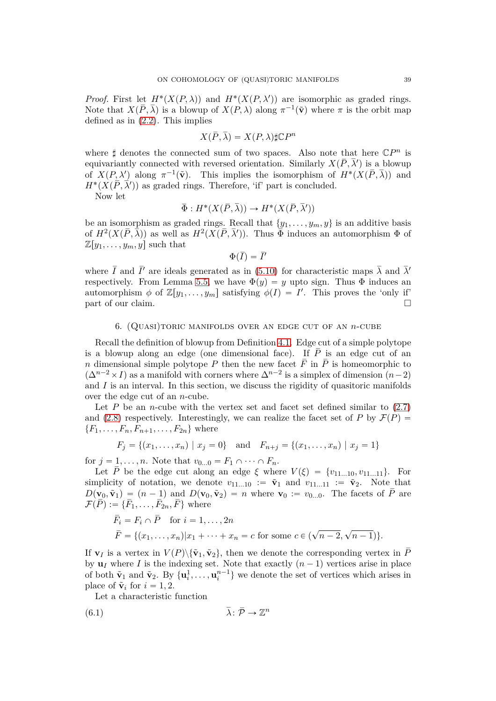*Proof.* First let  $H^*(X(P,\lambda))$  and  $H^*(X(P,\lambda'))$  are isomorphic as graded rings. Note that  $X(\overline{P}, \overline{\lambda})$  is a blowup of  $X(P, \lambda)$  along  $\pi^{-1}(\tilde{\mathbf{v}})$  where  $\pi$  is the orbit map defined as in  $(2.2)$ . This implies

$$
X(\bar{P}, \bar{\lambda}) = X(P, \lambda) \sharp \mathbb{C}P^n
$$

where  $\sharp$  denotes the connected sum of two spaces. Also note that here  $\mathbb{C}P^n$  is equivariantly connected with reversed orientation. Similarly  $X(\overline{P}, \overline{\lambda}')$  is a blowup of  $X(P, \lambda')$  along  $\pi^{-1}(\tilde{\mathbf{v}})$ . This implies the isomorphism of  $H^*(X(\overline{P}, \overline{\lambda}))$  and  $H^*(X(\overline{P}, \overline{\lambda}'))$  as graded rings. Therefore, 'if' part is concluded.

Now let

$$
\bar{\Phi}: H^*(X(\bar{P}, \bar{\lambda})) \to H^*(X(\bar{P}, \bar{\lambda}'))
$$

be an isomorphism as graded rings. Recall that  $\{y_1, \ldots, y_m, y\}$  is an additive basis of  $H^2(X(\overline{P}, \overline{\lambda}))$  as well as  $H^2(X(\overline{P}, \overline{\lambda}'))$ . Thus  $\overline{\Phi}$  induces an automorphism  $\Phi$  of  $\mathbb{Z}[y_1,\ldots,y_m,y]$  such that

$$
\Phi(\bar{I}) = \bar{I}'
$$

where  $\bar{I}$  and  $\bar{I}'$  are ideals generated as in [\(5.10\)](#page-31-2) for characteristic maps  $\bar{\lambda}$  and  $\bar{\lambda}'$ respectively. From Lemma [5.5,](#page-36-1) we have  $\Phi(y) = y$  upto sign. Thus  $\Phi$  induces an automorphism  $\phi$  of  $\mathbb{Z}[y_1,\ldots,y_m]$  satisfying  $\phi(I) = I'$ . This proves the 'only if' part of our claim.

#### 6. (Quasi)toric manifolds over an edge cut of an *n*-cube

<span id="page-38-0"></span>Recall the definition of blowup from Definition [4.1.](#page-17-2) Edge cut of a simple polytope is a blowup along an edge (one dimensional face). If  $\overline{P}$  is an edge cut of an *n* dimensional simple polytope *P* then the new facet  $\overline{F}$  in  $\overline{P}$  is homeomorphic to  $(\Delta^{n-2} \times I)$  as a manifold with corners where  $\Delta^{n-2}$  is a simplex of dimension  $(n-2)$ and *I* is an interval. In this section, we discuss the rigidity of quasitoric manifolds over the edge cut of an *n*-cube.

Let  $P$  be an *n*-cube with the vertex set and facet set defined similar to  $(2.7)$ and [\(2.8\)](#page-4-6) respectively. Interestingly, we can realize the facet set of *P* by  $\mathcal{F}(P)$  =  ${F_1, \ldots, F_n, F_{n+1}, \ldots, F_{2n}}$  where

$$
F_j = \{(x_1, ..., x_n) | x_j = 0\}
$$
 and  $F_{n+j} = \{(x_1, ..., x_n) | x_j = 1\}$ 

for  $j = 1, ..., n$ . Note that  $v_{0...0} = F_1 \cap \cdots \cap F_n$ .

Let  $\overline{P}$  be the edge cut along an edge  $\xi$  where  $V(\xi) = \{v_{11}$ ...10*, v*<sub>11</sub>*...*11}. For simplicity of notation, we denote  $v_{11}$ ...10 :=  $\tilde{v}_1$  and  $v_{11}$ ...11 :=  $\tilde{v}_2$ . Note that  $D(\mathbf{v}_0, \tilde{\mathbf{v}}_1) = (n-1)$  and  $D(\mathbf{v}_0, \tilde{\mathbf{v}}_2) = n$  where  $\mathbf{v}_0 := v_{0...0}$ . The facets of  $\overline{P}$  are  $\mathcal{F}(\overline{P}) := {\overline{F_1, \ldots, F_{2n}, F}}$  where

$$
\bar{F}_i = F_i \cap \bar{P} \text{ for } i = 1, ..., 2n
$$
  

$$
\bar{F} = \{(x_1, ..., x_n) | x_1 + \dots + x_n = c \text{ for some } c \in (\sqrt{n-2}, \sqrt{n-1})\}.
$$

If **v**<sub>*I*</sub> is a vertex in  $V(P)\setminus {\tilde{\bf{v}}_1, \tilde{\bf{v}}_2}$ , then we denote the corresponding vertex in  $\bar{P}$ by  $\mathbf{u}_I$  where *I* is the indexing set. Note that exactly  $(n-1)$  vertices arise in place of both  $\tilde{\mathbf{v}}_1$  and  $\tilde{\mathbf{v}}_2$ . By  $\{\mathbf{u}_i^1, \dots, \mathbf{u}_i^{n-1}\}\$  we denote the set of vertices which arises in place of  $\tilde{\mathbf{v}}_i$  for  $i = 1, 2$ .

<span id="page-38-1"></span>Let a characteristic function

$$
\bar{\lambda}: \bar{\mathcal{P}} \to \mathbb{Z}^n
$$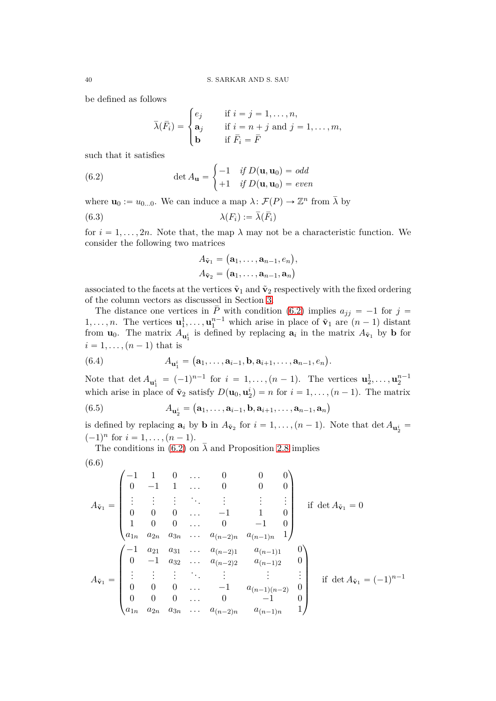be defined as follows

$$
\bar{\lambda}(\bar{F}_i) = \begin{cases} e_j & \text{if } i = j = 1, ..., n, \\ \mathbf{a}_j & \text{if } i = n + j \text{ and } j = 1, ..., m, \\ \mathbf{b} & \text{if } \bar{F}_i = \bar{F} \end{cases}
$$

such that it satisfies

<span id="page-39-0"></span>(6.2) 
$$
\det A_{\mathbf{u}} = \begin{cases} -1 & \text{if } D(\mathbf{u}, \mathbf{u}_0) = \text{odd} \\ +1 & \text{if } D(\mathbf{u}, \mathbf{u}_0) = \text{even} \end{cases}
$$

where  $\mathbf{u}_0 := u_{0...0}$ . We can induce a map  $\lambda \colon \mathcal{F}(P) \to \mathbb{Z}^n$  from  $\overline{\lambda}$  by

$$
\lambda(F_i) := \overline{\lambda}(\overline{F}_i)
$$

for  $i = 1, \ldots, 2n$ . Note that, the map  $\lambda$  may not be a characteristic function. We consider the following two matrices

$$
A_{\tilde{\mathbf{v}}_1} = (\mathbf{a}_1, \dots, \mathbf{a}_{n-1}, e_n),
$$
  

$$
A_{\tilde{\mathbf{v}}_2} = (\mathbf{a}_1, \dots, \mathbf{a}_{n-1}, \mathbf{a}_n)
$$

associated to the facets at the vertices  $\tilde{\mathbf{v}}_1$  and  $\tilde{\mathbf{v}}_2$  respectively with the fixed ordering of the column vectors as discussed in Section [3.](#page-7-0)

The distance one vertices in  $\overline{P}$  with condition [\(6.2\)](#page-39-0) implies  $a_{jj} = -1$  for  $j =$ 1, ..., *n*. The vertices  $\mathbf{u}_1^1, \ldots, \mathbf{u}_1^{n-1}$  which arise in place of  $\tilde{\mathbf{v}}_1$  are  $(n-1)$  distant from  $\mathbf{u}_0$ . The matrix  $A_{\mathbf{u}_1^i}$  is defined by replacing  $\mathbf{a}_i$  in the matrix  $A_{\tilde{\mathbf{v}}_1}$  by **b** for  $i = 1, \ldots, (n-1)$  that is

(6.4) 
$$
A_{\mathbf{u}_1^i} = (\mathbf{a}_1, \dots, \mathbf{a}_{i-1}, \mathbf{b}, \mathbf{a}_{i+1}, \dots, \mathbf{a}_{n-1}, e_n).
$$

Note that  $\det A_{\mathbf{u}_1^i} = (-1)^{n-1}$  for  $i = 1, ..., (n-1)$ . The vertices  $\mathbf{u}_2^1, ..., \mathbf{u}_2^{n-1}$ which arise in place of  $\tilde{\mathbf{v}}_2$  satisfy  $D(\mathbf{u}_0, \mathbf{u}_2^i) = n$  for  $i = 1, ..., (n-1)$ . The matrix  $(6.5)$  $\mathbf{a}_2^i = (\mathbf{a}_1, \dots, \mathbf{a}_{i-1}, \mathbf{b}, \mathbf{a}_{i+1}, \dots, \mathbf{a}_{n-1}, \mathbf{a}_n)$ 

is defined by replacing  $\mathbf{a}_i$  by  $\mathbf{b}$  in  $A_{\tilde{\mathbf{v}}_2}$  for  $i = 1, \ldots, (n-1)$ . Note that  $\det A_{\mathbf{u}_2^i}$  $(-1)^n$  for  $i = 1, ..., (n-1)$ .

The conditions in [\(6.2\)](#page-39-0) on  $\bar{\lambda}$  and Proposition [2.8](#page-6-1) implies

$$
(6.6)
$$

$$
A_{\tilde{\mathbf{v}}_1} = \begin{pmatrix} -1 & 1 & 0 & \dots & 0 & 0 & 0 \\ 0 & -1 & 1 & \dots & 0 & 0 & 0 \\ \vdots & \vdots & \vdots & \ddots & \vdots & \vdots & \vdots \\ 0 & 0 & 0 & \dots & -1 & 1 & 0 \\ 1 & 0 & 0 & \dots & 0 & -1 & 0 \\ a_{1n} & a_{2n} & a_{3n} & \dots & a_{(n-2)n} & a_{(n-1)n} & 1 \end{pmatrix} \text{ if } \det A_{\tilde{\mathbf{v}}_1} = 0
$$
  

$$
A_{\tilde{\mathbf{v}}_1} = \begin{pmatrix} -1 & a_{21} & a_{31} & \dots & a_{(n-2)n} & a_{(n-1)n} & 1 \\ 0 & -1 & a_{32} & \dots & a_{(n-2)2} & a_{(n-1)2} & 0 \\ \vdots & \vdots & \vdots & \ddots & \vdots & \vdots & \vdots \\ 0 & 0 & 0 & \dots & -1 & a_{(n-1)(n-2)} & 0 \\ 0 & 0 & 0 & \dots & 0 & -1 & 0 \\ 0 & 0 & 0 & \dots & 0 & -1 & 0 \end{pmatrix} \text{ if } \det A_{\tilde{\mathbf{v}}_1} = (-1)^{n-1}
$$
  

$$
a_{1n} & a_{2n} & a_{3n} & \dots & a_{(n-2)n} & a_{(n-1)n} & 1
$$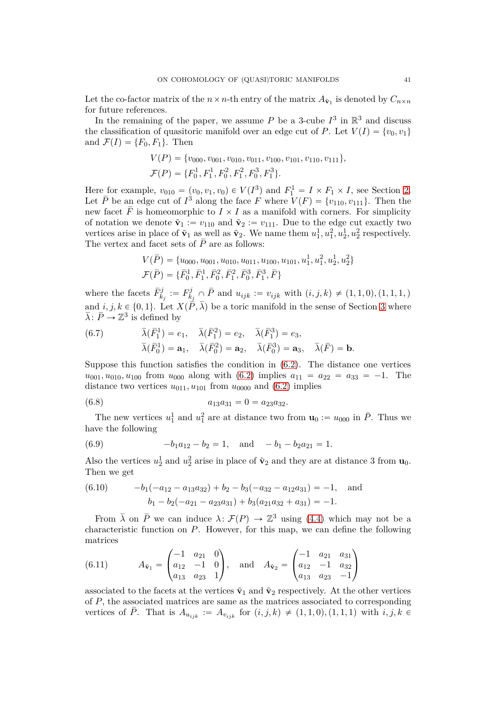Let the co-factor matrix of the  $n \times n$ -th entry of the matrix  $A_{\tilde{\mathbf{v}}_1}$  is denoted by  $C_{n \times n}$ for future references.

In the remaining of the paper, we assume  $P$  be a 3-cube  $I^3$  in  $\mathbb{R}^3$  and discuss the classification of quasitoric manifold over an edge cut of *P*. Let  $V(I) = \{v_0, v_1\}$ and  $\mathcal{F}(I) = \{F_0, F_1\}$ . Then

$$
V(P) = \{v_{000}, v_{001}, v_{010}, v_{011}, v_{100}, v_{101}, v_{110}, v_{111}\},\
$$
  

$$
\mathcal{F}(P) = \{F_0^1, F_1^1, F_0^2, F_1^2, F_0^3, F_1^3\}.
$$

Here for example,  $v_{010} = (v_0, v_1, v_0) \in V(I^3)$  and  $F_1^1 = I \times F_1 \times I$ , see Section [2.](#page-2-0) Let  $\overline{P}$  be an edge cut of  $I^3$  along the face *F* where  $V(F) = \{v_{110}, v_{111}\}.$  Then the new facet  $\overline{F}$  is homeomorphic to  $I \times I$  as a manifold with corners. For simplicity of notation we denote  $\tilde{\mathbf{v}}_1 := v_{110}$  and  $\tilde{\mathbf{v}}_2 := v_{111}$ . Due to the edge cut exactly two vertices arise in place of  $\tilde{\mathbf{v}}_1$  as well as  $\tilde{\mathbf{v}}_2$ . We name them  $u_1^1, u_1^2, u_2^1, u_2^2$  respectively. The vertex and facet sets of  $\bar{P}$  are as follows:

$$
V(\bar{P}) = \{u_{000}, u_{001}, u_{010}, u_{011}, u_{100}, u_{101}, u_1^1, u_1^2, u_2^1, u_2^2\}
$$
  

$$
\mathcal{F}(\bar{P}) = \{\bar{F}_0^1, \bar{F}_1^1, \bar{F}_0^2, \bar{F}_1^2, \bar{F}_0^3, \bar{F}_1^3, \bar{F}\}
$$

where the facets  $\bar{F}^j_{k_j} := F^j_k$  $w_{kj}^j \cap P$  and  $u_{ijk} := v_{ijk}$  with  $(i, j, k) \neq (1, 1, 0), (1, 1, 1, )$ and  $i, j, k \in \{0, 1\}$ . Let  $X(\overline{\overline{P}}, \overline{\lambda})$  be a toric manifold in the sense of Section [3](#page-7-0) where  $\bar{\lambda}$ :  $\bar{P} \rightarrow \mathbb{Z}^3$  is defined by

<span id="page-40-2"></span>(6.7) 
$$
\bar{\lambda}(\bar{F}_1^1) = e_1, \quad \bar{\lambda}(\bar{F}_1^2) = e_2, \quad \bar{\lambda}(\bar{F}_1^3) = e_3,
$$
  
\n $\bar{\lambda}(\bar{F}_0^1) = \mathbf{a}_1, \quad \bar{\lambda}(\bar{F}_0^2) = \mathbf{a}_2, \quad \bar{\lambda}(\bar{F}_0^3) = \mathbf{a}_3, \quad \bar{\lambda}(\bar{F}) = \mathbf{b}.$ 

Suppose this function satisfies the condition in [\(6.2\)](#page-39-0). The distance one vertices  $u_{001}, u_{010}, u_{100}$  from  $u_{000}$  along with  $(6.2)$  implies  $a_{11} = a_{22} = a_{33} = -1$ . The distance two vertices  $u_{011}, u_{101}$  from  $u_{0000}$  and  $(6.2)$  implies

(6.8) 
$$
a_{13}a_{31} = 0 = a_{23}a_{32}.
$$

The new vertices  $u_1^1$  and  $u_1^2$  are at distance two from  $\mathbf{u}_0 := u_{000}$  in  $\overline{P}$ . Thus we have the following

<span id="page-40-1"></span>(6.9) 
$$
-b_1 a_{12} - b_2 = 1, \text{ and } -b_1 - b_2 a_{21} = 1.
$$

Also the vertices  $u_2^1$  and  $u_2^2$  arise in place of  $\tilde{\mathbf{v}}_2$  and they are at distance 3 from  $\mathbf{u}_0$ . Then we get

(6.10) 
$$
-b_1(-a_{12}-a_{13}a_{32}) + b_2 - b_3(-a_{32}-a_{12}a_{31}) = -1, \text{ and}
$$

$$
b_1 - b_2(-a_{21}-a_{23}a_{31}) + b_3(a_{21}a_{32} + a_{31}) = -1.
$$

From  $\bar{\lambda}$  on  $\bar{P}$  we can induce  $\lambda \colon \mathcal{F}(P) \to \mathbb{Z}^3$  using [\(4.4\)](#page-18-2) which may not be a characteristic function on *P*. However, for this map, we can define the following matrices

<span id="page-40-0"></span>(6.11) 
$$
A_{\tilde{\mathbf{v}}_1} = \begin{pmatrix} -1 & a_{21} & 0 \\ a_{12} & -1 & 0 \\ a_{13} & a_{23} & 1 \end{pmatrix}
$$
, and  $A_{\tilde{\mathbf{v}}_2} = \begin{pmatrix} -1 & a_{21} & a_{31} \\ a_{12} & -1 & a_{32} \\ a_{13} & a_{23} & -1 \end{pmatrix}$ 

associated to the facets at the vertices  $\tilde{\mathbf{v}}_1$  and  $\tilde{\mathbf{v}}_2$  respectively. At the other vertices of *P*, the associated matrices are same as the matrices associated to corresponding vertices of *P*. That is  $A_{u_{ijk}} := A_{v_{ijk}}$  for  $(i, j, k) \neq (1, 1, 0), (1, 1, 1)$  with  $i, j, k \in$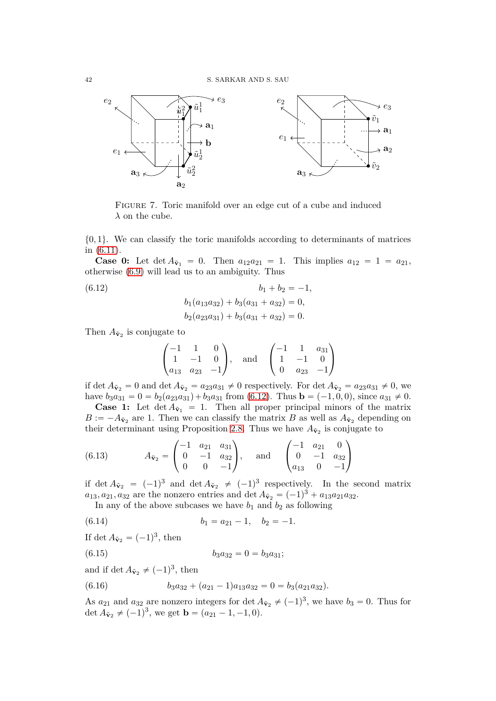

FIGURE 7. Toric manifold over an edge cut of a cube and induced  $\lambda$  on the cube.

 $\{0, 1\}$ . We can classify the toric manifolds according to determinants of matrices in [\(6.11\)](#page-40-0).

**Case 0:** Let  $\det A_{\tilde{\mathbf{v}}_1} = 0$ . Then  $a_{12}a_{21} = 1$ . This implies  $a_{12} = 1 = a_{21}$ , otherwise [\(6.9\)](#page-40-1) will lead us to an ambiguity. Thus

<span id="page-41-0"></span>(6.12) 
$$
b_1 + b_2 = -1,
$$

$$
b_1(a_{13}a_{32}) + b_3(a_{31} + a_{32}) = 0,
$$

$$
b_2(a_{23}a_{31}) + b_3(a_{31} + a_{32}) = 0.
$$

Then  $A_{\tilde{\mathbf{v}}_2}$  is conjugate to

$$
\begin{pmatrix} -1 & 1 & 0 \ 1 & -1 & 0 \ a_{13} & a_{23} & -1 \end{pmatrix}
$$
, and 
$$
\begin{pmatrix} -1 & 1 & a_{31} \ 1 & -1 & 0 \ 0 & a_{23} & -1 \end{pmatrix}
$$

if det  $A_{\tilde{\mathbf{v}}_2} = 0$  and det  $A_{\tilde{\mathbf{v}}_2} = a_{23}a_{31} \neq 0$  respectively. For det  $A_{\tilde{\mathbf{v}}_2} = a_{23}a_{31} \neq 0$ , we have  $b_3a_{31} = 0 = b_2(a_{23}a_{31}) + b_3a_{31}$  from [\(6.12\)](#page-41-0). Thus  $\mathbf{b} = (-1, 0, 0)$ , since  $a_{31} \neq 0$ .

**Case 1:** Let  $\det A_{\tilde{\mathbf{v}}_1} = 1$ . Then all proper principal minors of the matrix  $B := -A_{\tilde{\mathbf{v}}_2}$  are 1. Then we can classify the matrix *B* as well as  $A_{\tilde{\mathbf{v}}_2}$  depending on their determinant using Proposition [2.8.](#page-6-1) Thus we have  $A_{\tilde{\mathbf{v}}_2}$  is conjugate to

(6.13) 
$$
A_{\tilde{\mathbf{v}}_2} = \begin{pmatrix} -1 & a_{21} & a_{31} \\ 0 & -1 & a_{32} \\ 0 & 0 & -1 \end{pmatrix}
$$
, and  $\begin{pmatrix} -1 & a_{21} & 0 \\ 0 & -1 & a_{32} \\ a_{13} & 0 & -1 \end{pmatrix}$ 

if det  $A_{\tilde{\mathbf{v}}_2} = (-1)^3$  and det  $A_{\tilde{\mathbf{v}}_2} \neq (-1)^3$  respectively. In the second matrix  $a_{13}, a_{21}, a_{32}$  are the nonzero entries and det  $A_{\tilde{\mathbf{v}}_2} = (-1)^3 + a_{13}a_{21}a_{32}$ .

In any of the above subcases we have  $b_1$  and  $b_2$  as following

(6.14) 
$$
b_1 = a_{21} - 1, \quad b_2 = -1.
$$

If det  $A_{\tilde{\mathbf{v}}_2} = (-1)^3$ , then

$$
(6.15) \t\t b_3 a_{32} = 0 = b_3 a_{31};
$$

and if det  $A_{\tilde{\mathbf{v}}_2} \neq (-1)^3$ , then

(6.16) 
$$
b_3a_{32} + (a_{21} - 1)a_{13}a_{32} = 0 = b_3(a_{21}a_{32}).
$$

As  $a_{21}$  and  $a_{32}$  are nonzero integers for det  $A_{\tilde{v}_2} \neq (-1)^3$ , we have  $b_3 = 0$ . Thus for det  $A_{\tilde{\mathbf{v}}_2} \neq (-1)^3$ , we get  $\mathbf{b} = (a_{21} - 1, -1, 0)$ .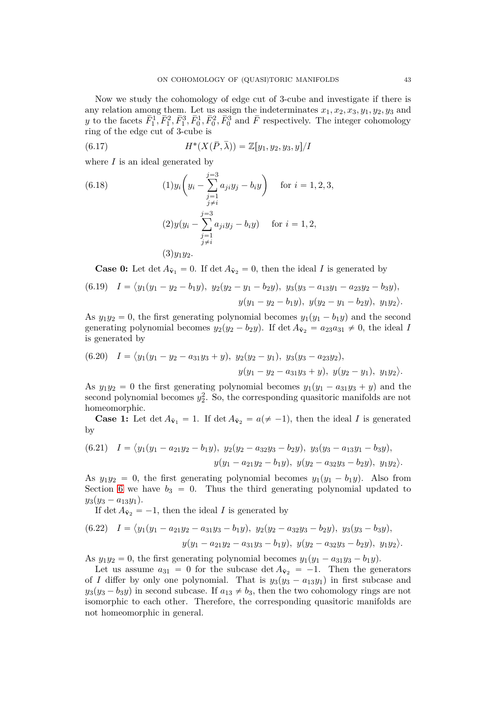Now we study the cohomology of edge cut of 3-cube and investigate if there is any relation among them. Let us assign the indeterminates *x*1*, x*2*, x*3*, y*1*, y*2*, y*<sup>3</sup> and *y* to the facets  $\bar{F}_1^1, \bar{F}_1^2, \bar{F}_1^3, \bar{F}_0^1, \bar{F}_0^2, \bar{F}_0^3$  and  $\bar{F}$  respectively. The integer cohomology ring of the edge cut of 3-cube is

(6.17) 
$$
H^*(X(\bar{P}, \bar{\lambda})) = \mathbb{Z}[y_1, y_2, y_3, y]/I
$$

where  $I$  is an ideal generated by

(6.18) 
$$
(1)y_i\left(y_i - \sum_{\substack{j=1 \ j \neq i}}^{j=3} a_{ji}y_j - b_iy\right) \text{ for } i = 1, 2, 3,
$$

$$
\lim_{\substack{j \neq i}} (2)y(y_i - \sum_{\substack{j=1 \ j \neq i}}^{j=3} a_{ji}y_j - b_iy) \text{ for } i = 1, 2,
$$

$$
(3)y_1y_2.
$$

**Case 0:** Let  $\det A_{\tilde{\mathbf{v}}_1} = 0$ . If  $\det A_{\tilde{\mathbf{v}}_2} = 0$ , then the ideal *I* is generated by

(6.19) 
$$
I = \langle y_1(y_1 - y_2 - b_1y), y_2(y_2 - y_1 - b_2y), y_3(y_3 - a_{13}y_1 - a_{23}y_2 - b_3y), y_3(y_1 - y_2 - b_1y), y_3(y_2 - y_1 - b_2y), y_1y_2 \rangle.
$$

As  $y_1y_2 = 0$ , the first generating polynomial becomes  $y_1(y_1 - b_1y)$  and the second generating polynomial becomes  $y_2(y_2 - b_2y)$ . If det  $A_{\tilde{V}_2} = a_{23}a_{31} \neq 0$ , the ideal *I* is generated by

(6.20) 
$$
I = \langle y_1(y_1 - y_2 - a_{31}y_3 + y), y_2(y_2 - y_1), y_3(y_3 - a_{23}y_2),
$$
  
 $y(y_1 - y_2 - a_{31}y_3 + y), y(y_2 - y_1), y_1y_2 \rangle.$ 

As  $y_1y_2 = 0$  the first generating polynomial becomes  $y_1(y_1 - a_{31}y_3 + y)$  and the second polynomial becomes  $y_2^2$ . So, the corresponding quasitoric manifolds are not homeomorphic.

**Case 1:** Let  $\det A_{\tilde{\mathbf{v}}_1} = 1$ . If  $\det A_{\tilde{\mathbf{v}}_2} = a \neq -1$ , then the ideal *I* is generated by

(6.21) 
$$
I = \langle y_1(y_1 - a_{21}y_2 - b_1y), y_2(y_2 - a_{32}y_3 - b_2y), y_3(y_3 - a_{13}y_1 - b_3y), y_3(y_2 - a_{32}y_3 - b_2y), y_1y_2 \rangle.
$$

As  $y_1y_2 = 0$ , the first generating polynomial becomes  $y_1(y_1 - b_1y)$ . Also from Section [6](#page-38-0) we have  $b_3 = 0$ . Thus the third generating polynomial updated to  $y_3(y_3 - a_{13}y_1).$ 

If det  $A_{\tilde{\mathbf{v}}_2} = -1$ , then the ideal *I* is generated by

$$
(6.22) \quad I = \langle y_1(y_1 - a_{21}y_2 - a_{31}y_3 - b_1y), \ y_2(y_2 - a_{32}y_3 - b_2y), \ y_3(y_3 - b_3y),
$$

$$
y(y_1 - a_{21}y_2 - a_{31}y_3 - b_1y), \ y(y_2 - a_{32}y_3 - b_2y), \ y_1y_2 \rangle.
$$

As  $y_1y_2 = 0$ , the first generating polynomial becomes  $y_1(y_1 - a_{31}y_3 - b_1y)$ .

Let us assume  $a_{31} = 0$  for the subcase det  $A_{\tilde{v}_2} = -1$ . Then the generators of *I* differ by only one polynomial. That is  $y_3(y_3 - a_{13}y_1)$  in first subcase and  $y_3(y_3 - b_3y)$  in second subcase. If  $a_{13} \neq b_3$ , then the two cohomology rings are not isomorphic to each other. Therefore, the corresponding quasitoric manifolds are not homeomorphic in general.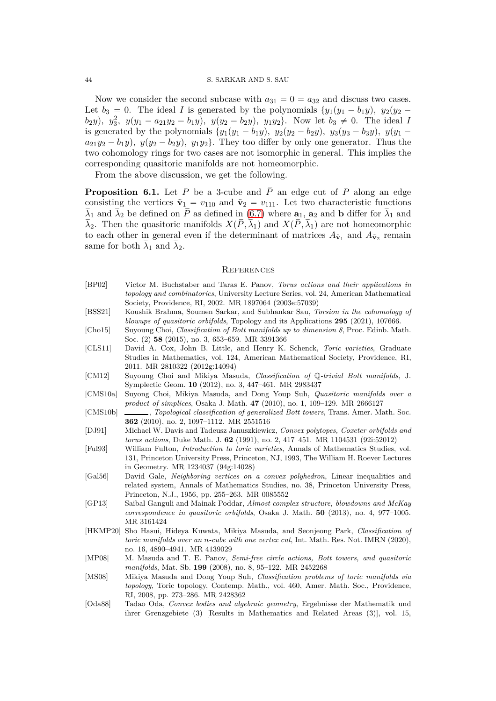Now we consider the second subcase with  $a_{31} = 0 = a_{32}$  and discuss two cases. Let  $b_3 = 0$ . The ideal *I* is generated by the polynomials  $\{y_1(y_1 - b_1y), y_2(y_2$  $b_2y$ ,  $y_3^2$ ,  $y(y_1 - a_{21}y_2 - b_1y)$ ,  $y(y_2 - b_2y)$ ,  $y_1y_2$ . Now let  $b_3 \neq 0$ . The ideal *I* is generated by the polynomials  $\{y_1(y_1 - b_1y), y_2(y_2 - b_2y), y_3(y_3 - b_3y), y(y_1 - b_3y)\}$  $a_{21}y_2 - b_1y$ ,  $y(y_2 - b_2y)$ ,  $y_1y_2$ . They too differ by only one generator. Thus the two cohomology rings for two cases are not isomorphic in general. This implies the corresponding quasitoric manifolds are not homeomorphic.

From the above discussion, we get the following.

**Proposition 6.1.** Let *P* be a 3-cube and  $\overline{P}$  an edge cut of *P* along an edge consisting the vertices  $\tilde{\mathbf{v}}_1 = v_{110}$  and  $\tilde{\mathbf{v}}_2 = v_{111}$ . Let two characteristic functions  $\lambda_1$  and  $\lambda_2$  be defined on *P* as defined in [\(6.7\)](#page-40-2) where  $\mathbf{a}_1$ ,  $\mathbf{a}_2$  and **b** differ for  $\lambda_1$  and *λ*<sub>2</sub>. Then the quasitoric manifolds *X*(*P*, λ<sub>1</sub>) and *X*(*P*, λ<sub>1</sub>) are not homeomorphic to each other in general even if the determinant of matrices  $A_{\tilde{\mathbf{v}}_1}$  and  $A_{\tilde{\mathbf{v}}_2}$  remain same for both  $\lambda_1$  and  $\lambda_2$ .

#### <span id="page-43-0"></span>**REFERENCES**

- <span id="page-43-2"></span>[BP02] Victor M. Buchstaber and Taras E. Panov, *Torus actions and their applications in topology and combinatorics*, University Lecture Series, vol. 24, American Mathematical Society, Providence, RI, 2002. MR 1897064 (2003e:57039)
- <span id="page-43-10"></span>[BSS21] Koushik Brahma, Soumen Sarkar, and Subhankar Sau, *Torsion in the cohomology of blowups of quasitoric orbifolds*, Topology and its Applications **295** (2021), 107666.
- <span id="page-43-8"></span>[Cho15] Suyoung Choi, *Classification of Bott manifolds up to dimension 8*, Proc. Edinb. Math. Soc. (2) **58** (2015), no. 3, 653–659. MR 3391366
- <span id="page-43-14"></span>[CLS11] David A. Cox, John B. Little, and Henry K. Schenck, *Toric varieties*, Graduate Studies in Mathematics, vol. 124, American Mathematical Society, Providence, RI, 2011. MR 2810322 (2012g:14094)
- <span id="page-43-7"></span>[CM12] Suyoung Choi and Mikiya Masuda, *Classification of* Q*-trivial Bott manifolds*, J. Symplectic Geom. **10** (2012), no. 3, 447–461. MR 2983437
- <span id="page-43-3"></span>[CMS10a] Suyong Choi, Mikiya Masuda, and Dong Youp Suh, *Quasitoric manifolds over a product of simplices*, Osaka J. Math. **47** (2010), no. 1, 109–129. MR 2666127
- <span id="page-43-6"></span>[CMS10b] , *Topological classification of generalized Bott towers*, Trans. Amer. Math. Soc. **362** (2010), no. 2, 1097–1112. MR 2551516
- <span id="page-43-1"></span>[DJ91] Michael W. Davis and Tadeusz Januszkiewicz, *Convex polytopes, Coxeter orbifolds and torus actions*, Duke Math. J. **62** (1991), no. 2, 417–451. MR 1104531 (92i:52012)
- <span id="page-43-12"></span>[Ful93] William Fulton, *Introduction to toric varieties*, Annals of Mathematics Studies, vol. 131, Princeton University Press, Princeton, NJ, 1993, The William H. Roever Lectures in Geometry. MR 1234037 (94g:14028)
- <span id="page-43-11"></span>[Gal56] David Gale, *Neighboring vertices on a convex polyhedron*, Linear inequalities and related system, Annals of Mathematics Studies, no. 38, Princeton University Press, Princeton, N.J., 1956, pp. 255–263. MR 0085552
- <span id="page-43-15"></span>[GP13] Saibal Ganguli and Mainak Poddar, *Almost complex structure, blowdowns and McKay correspondence in quasitoric orbifolds*, Osaka J. Math. **50** (2013), no. 4, 977–1005. MR 3161424
- <span id="page-43-9"></span>[HKMP20] Sho Hasui, Hideya Kuwata, Mikiya Masuda, and Seonjeong Park, *Classification of toric manifolds over an n-cube with one vertex cut*, Int. Math. Res. Not. IMRN (2020), no. 16, 4890–4941. MR 4139029
- <span id="page-43-4"></span>[MP08] M. Masuda and T. E. Panov, *Semi-free circle actions, Bott towers, and quasitoric manifolds*, Mat. Sb. **199** (2008), no. 8, 95–122. MR 2452268
- <span id="page-43-5"></span>[MS08] Mikiya Masuda and Dong Youp Suh, *Classification problems of toric manifolds via topology*, Toric topology, Contemp. Math., vol. 460, Amer. Math. Soc., Providence, RI, 2008, pp. 273–286. MR 2428362
- <span id="page-43-13"></span>[Oda88] Tadao Oda, *Convex bodies and algebraic geometry*, Ergebnisse der Mathematik und ihrer Grenzgebiete (3) [Results in Mathematics and Related Areas (3)], vol. 15,